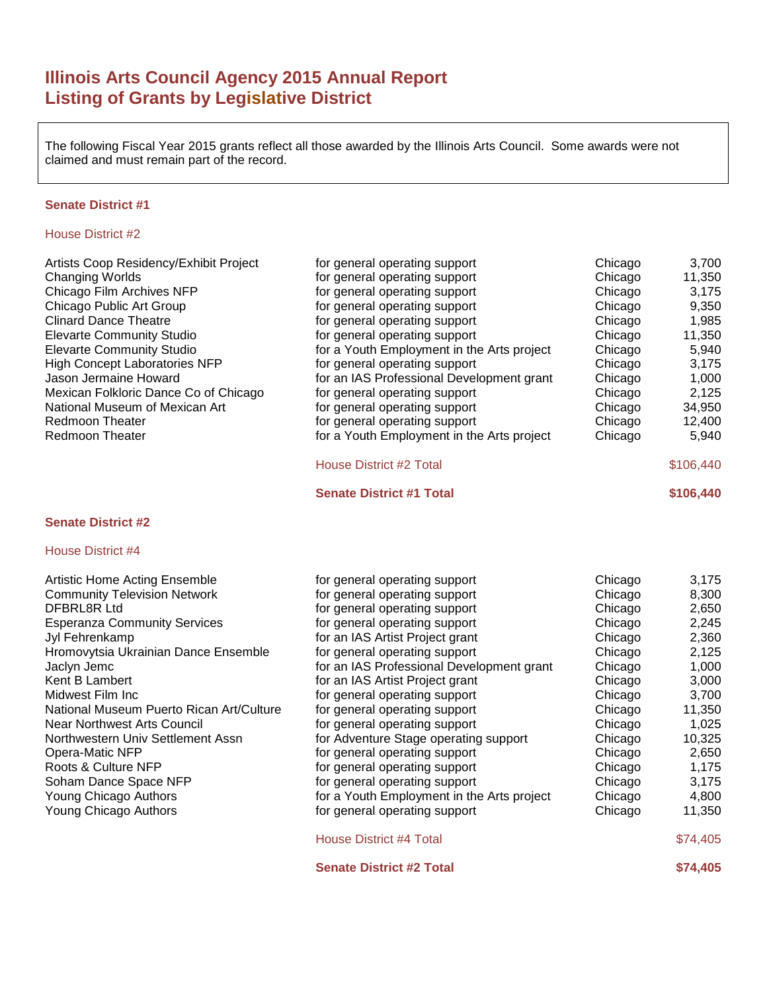# **Illinois Arts Council Agency 2015 Annual Report Listing of Grants by Legislative District**

The following Fiscal Year 2015 grants reflect all those awarded by the Illinois Arts Council. Some awards were not claimed and must remain part of the record.

### **Senate District #1**

# House District #2

| Artists Coop Residency/Exhibit Project | for general operating support              | Chicago | 3,700     |
|----------------------------------------|--------------------------------------------|---------|-----------|
| Changing Worlds                        | for general operating support              | Chicago | 11,350    |
| Chicago Film Archives NFP              | for general operating support              | Chicago | 3,175     |
| Chicago Public Art Group               | for general operating support              | Chicago | 9,350     |
| Clinard Dance Theatre                  | for general operating support              | Chicago | 1,985     |
| <b>Elevarte Community Studio</b>       | for general operating support              | Chicago | 11,350    |
| <b>Elevarte Community Studio</b>       | for a Youth Employment in the Arts project | Chicago | 5,940     |
| <b>High Concept Laboratories NFP</b>   | for general operating support              | Chicago | 3,175     |
| Jason Jermaine Howard                  | for an IAS Professional Development grant  | Chicago | 1,000     |
| Mexican Folkloric Dance Co of Chicago  | for general operating support              | Chicago | 2,125     |
| National Museum of Mexican Art         | for general operating support              | Chicago | 34,950    |
| Redmoon Theater                        | for general operating support              | Chicago | 12,400    |
| Redmoon Theater                        | for a Youth Employment in the Arts project | Chicago | 5,940     |
|                                        | <b>House District #2 Total</b>             |         | \$106,440 |
|                                        | <b>Senate District #1 Total</b>            |         | \$106,440 |

# **Senate District #2**

| <b>Artistic Home Acting Ensemble</b>     | for general operating support              | Chicago | 3,175    |
|------------------------------------------|--------------------------------------------|---------|----------|
| <b>Community Television Network</b>      | for general operating support              | Chicago | 8,300    |
| DFBRL8R Ltd                              | for general operating support              | Chicago | 2,650    |
| <b>Esperanza Community Services</b>      | for general operating support              | Chicago | 2,245    |
| Jyl Fehrenkamp                           | for an IAS Artist Project grant            | Chicago | 2,360    |
| Hromovytsia Ukrainian Dance Ensemble     | for general operating support              | Chicago | 2,125    |
| Jaclyn Jemc                              | for an IAS Professional Development grant  | Chicago | 1,000    |
| Kent B Lambert                           | for an IAS Artist Project grant            | Chicago | 3,000    |
| Midwest Film Inc                         | for general operating support              | Chicago | 3,700    |
| National Museum Puerto Rican Art/Culture | for general operating support              | Chicago | 11,350   |
| Near Northwest Arts Council              | for general operating support              | Chicago | 1,025    |
| Northwestern Univ Settlement Assn        | for Adventure Stage operating support      | Chicago | 10,325   |
| Opera-Matic NFP                          | for general operating support              | Chicago | 2,650    |
| Roots & Culture NFP                      | for general operating support              | Chicago | 1,175    |
| Soham Dance Space NFP                    | for general operating support              | Chicago | 3,175    |
| Young Chicago Authors                    | for a Youth Employment in the Arts project | Chicago | 4,800    |
| Young Chicago Authors                    | for general operating support              | Chicago | 11,350   |
|                                          | <b>House District #4 Total</b>             |         | \$74,405 |
|                                          | <b>Senate District #2 Total</b>            |         | \$74,405 |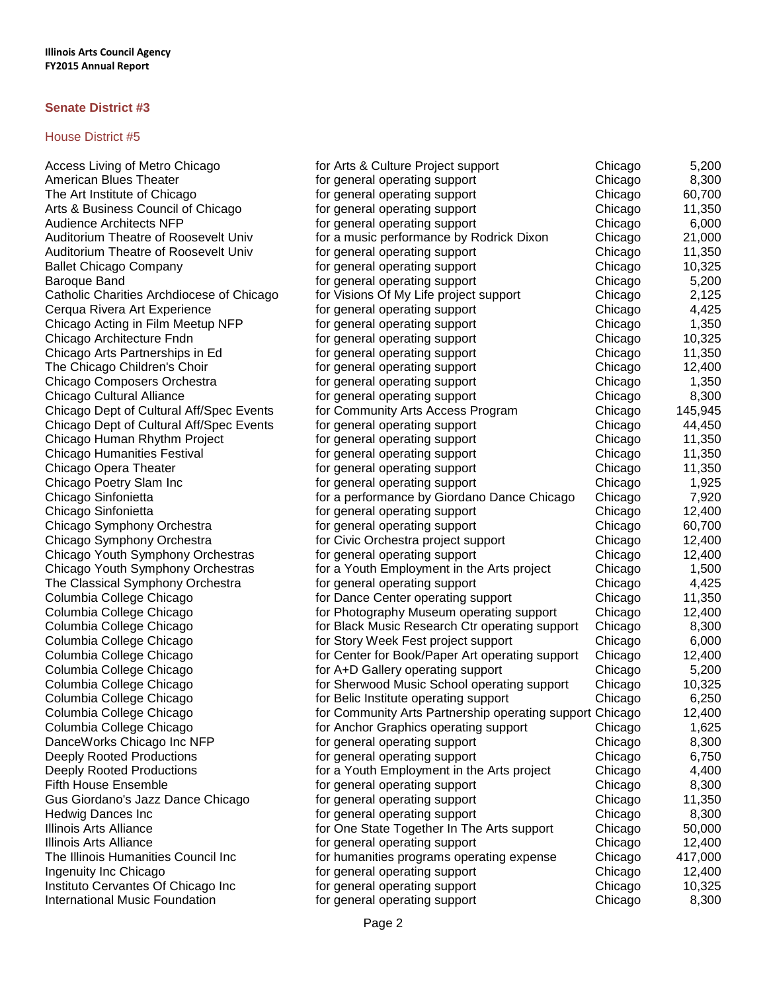| Access Living of Metro Chicago            | for Arts & Culture Project support                       | Chicago | 5,200   |
|-------------------------------------------|----------------------------------------------------------|---------|---------|
| American Blues Theater                    | for general operating support                            | Chicago | 8,300   |
| The Art Institute of Chicago              | for general operating support                            | Chicago | 60,700  |
| Arts & Business Council of Chicago        | for general operating support                            | Chicago | 11,350  |
| <b>Audience Architects NFP</b>            | for general operating support                            | Chicago | 6,000   |
| Auditorium Theatre of Roosevelt Univ      | for a music performance by Rodrick Dixon                 | Chicago | 21,000  |
| Auditorium Theatre of Roosevelt Univ      | for general operating support                            | Chicago | 11,350  |
| <b>Ballet Chicago Company</b>             | for general operating support                            | Chicago | 10,325  |
| Baroque Band                              | for general operating support                            | Chicago | 5,200   |
| Catholic Charities Archdiocese of Chicago | for Visions Of My Life project support                   | Chicago | 2,125   |
| Cerqua Rivera Art Experience              | for general operating support                            | Chicago | 4,425   |
| Chicago Acting in Film Meetup NFP         | for general operating support                            | Chicago | 1,350   |
| Chicago Architecture Fndn                 | for general operating support                            | Chicago | 10,325  |
| Chicago Arts Partnerships in Ed           | for general operating support                            | Chicago | 11,350  |
| The Chicago Children's Choir              | for general operating support                            | Chicago | 12,400  |
| Chicago Composers Orchestra               | for general operating support                            | Chicago | 1,350   |
| Chicago Cultural Alliance                 | for general operating support                            | Chicago | 8,300   |
| Chicago Dept of Cultural Aff/Spec Events  | for Community Arts Access Program                        | Chicago | 145,945 |
| Chicago Dept of Cultural Aff/Spec Events  | for general operating support                            | Chicago | 44,450  |
| Chicago Human Rhythm Project              | for general operating support                            | Chicago | 11,350  |
| Chicago Humanities Festival               | for general operating support                            | Chicago | 11,350  |
| Chicago Opera Theater                     | for general operating support                            | Chicago | 11,350  |
| Chicago Poetry Slam Inc                   | for general operating support                            | Chicago | 1,925   |
| Chicago Sinfonietta                       | for a performance by Giordano Dance Chicago              | Chicago | 7,920   |
| Chicago Sinfonietta                       | for general operating support                            | Chicago | 12,400  |
| Chicago Symphony Orchestra                | for general operating support                            | Chicago | 60,700  |
| Chicago Symphony Orchestra                | for Civic Orchestra project support                      | Chicago | 12,400  |
| Chicago Youth Symphony Orchestras         | for general operating support                            | Chicago | 12,400  |
| Chicago Youth Symphony Orchestras         | for a Youth Employment in the Arts project               | Chicago | 1,500   |
| The Classical Symphony Orchestra          | for general operating support                            | Chicago | 4,425   |
| Columbia College Chicago                  | for Dance Center operating support                       | Chicago | 11,350  |
| Columbia College Chicago                  | for Photography Museum operating support                 | Chicago | 12,400  |
| Columbia College Chicago                  | for Black Music Research Ctr operating support           | Chicago | 8,300   |
| Columbia College Chicago                  | for Story Week Fest project support                      | Chicago | 6,000   |
| Columbia College Chicago                  | for Center for Book/Paper Art operating support          | Chicago | 12,400  |
| Columbia College Chicago                  | for A+D Gallery operating support                        | Chicago | 5,200   |
| Columbia College Chicago                  | for Sherwood Music School operating support              | Chicago | 10,325  |
| Columbia College Chicago                  | for Belic Institute operating support                    | Chicago | 6,250   |
| Columbia College Chicago                  | for Community Arts Partnership operating support Chicago |         | 12,400  |
| Columbia College Chicago                  | for Anchor Graphics operating support                    | Chicago | 1,625   |
| DanceWorks Chicago Inc NFP                | for general operating support                            | Chicago | 8,300   |
| Deeply Rooted Productions                 | for general operating support                            | Chicago | 6,750   |
| Deeply Rooted Productions                 | for a Youth Employment in the Arts project               | Chicago | 4,400   |
| <b>Fifth House Ensemble</b>               | for general operating support                            | Chicago | 8,300   |
| Gus Giordano's Jazz Dance Chicago         | for general operating support                            | Chicago | 11,350  |
| Hedwig Dances Inc                         | for general operating support                            | Chicago | 8,300   |
| <b>Illinois Arts Alliance</b>             | for One State Together In The Arts support               | Chicago | 50,000  |
| Illinois Arts Alliance                    | for general operating support                            | Chicago | 12,400  |
| The Illinois Humanities Council Inc       | for humanities programs operating expense                | Chicago | 417,000 |
| Ingenuity Inc Chicago                     | for general operating support                            | Chicago | 12,400  |
| Instituto Cervantes Of Chicago Inc        | for general operating support                            | Chicago | 10,325  |
| <b>International Music Foundation</b>     | for general operating support                            | Chicago | 8,300   |
|                                           |                                                          |         |         |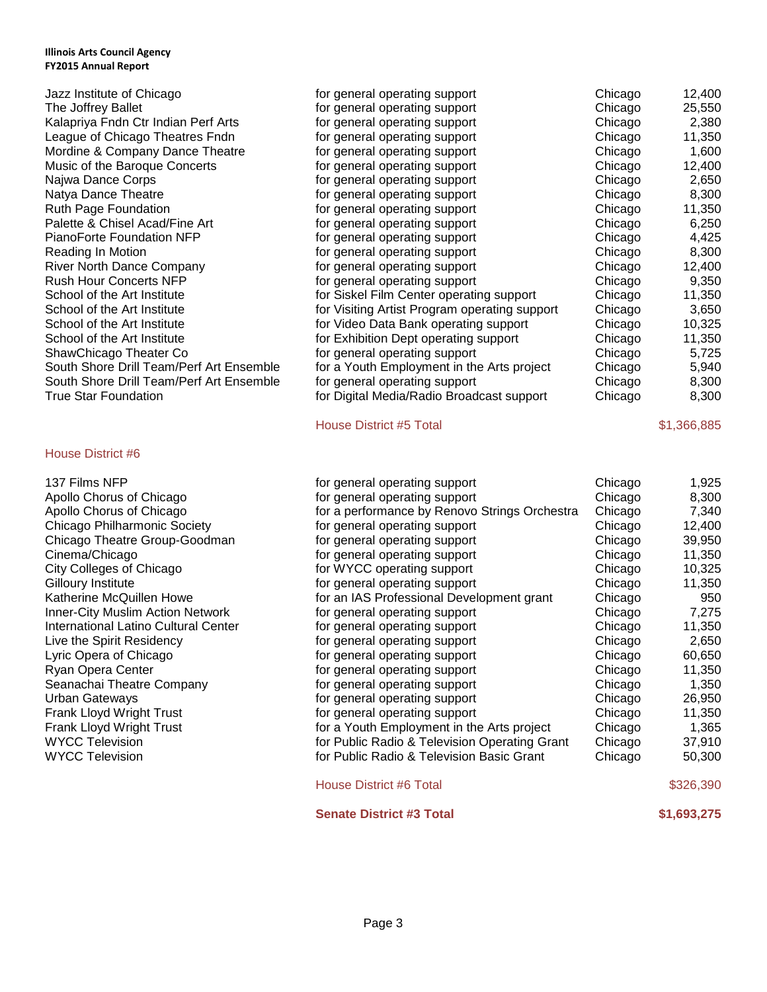| Jazz Institute of Chicago                |
|------------------------------------------|
| The Joffrey Ballet                       |
| Kalapriya Fndn Ctr Indian Perf Arts      |
| League of Chicago Theatres Fndn          |
| Mordine & Company Dance Theatre          |
| Music of the Baroque Concerts            |
| Najwa Dance Corps                        |
| Natya Dance Theatre                      |
| <b>Ruth Page Foundation</b>              |
| Palette & Chisel Acad/Fine Art           |
| PianoForte Foundation NFP                |
| Reading In Motion                        |
| <b>River North Dance Company</b>         |
| <b>Rush Hour Concerts NFP</b>            |
| School of the Art Institute              |
| School of the Art Institute              |
| School of the Art Institute              |
| School of the Art Institute              |
| ShawChicago Theater Co                   |
| South Shore Drill Team/Perf Art Ensemble |
| South Shore Drill Team/Perf Art Ensemble |
| True Star Foundation                     |
|                                          |

# House District #6

| Jazz Institute of Chicago                | for general operating support                 | Chicago | 12,400 |
|------------------------------------------|-----------------------------------------------|---------|--------|
| The Joffrey Ballet                       | for general operating support                 | Chicago | 25,550 |
| Kalapriya Fndn Ctr Indian Perf Arts      | for general operating support                 | Chicago | 2,380  |
| League of Chicago Theatres Fndn          | for general operating support                 | Chicago | 11,350 |
| Mordine & Company Dance Theatre          | for general operating support                 | Chicago | 1,600  |
| Music of the Baroque Concerts            | for general operating support                 | Chicago | 12,400 |
| Najwa Dance Corps                        | for general operating support                 | Chicago | 2,650  |
| Natya Dance Theatre                      | for general operating support                 | Chicago | 8,300  |
| Ruth Page Foundation                     | for general operating support                 | Chicago | 11,350 |
| Palette & Chisel Acad/Fine Art           | for general operating support                 | Chicago | 6,250  |
| PianoForte Foundation NFP                | for general operating support                 | Chicago | 4,425  |
| Reading In Motion                        | for general operating support                 | Chicago | 8,300  |
| <b>River North Dance Company</b>         | for general operating support                 | Chicago | 12,400 |
| <b>Rush Hour Concerts NFP</b>            | for general operating support                 | Chicago | 9,350  |
| School of the Art Institute              | for Siskel Film Center operating support      | Chicago | 11,350 |
| School of the Art Institute              | for Visiting Artist Program operating support | Chicago | 3,650  |
| School of the Art Institute              | for Video Data Bank operating support         | Chicago | 10,325 |
| School of the Art Institute              | for Exhibition Dept operating support         | Chicago | 11,350 |
| ShawChicago Theater Co                   | for general operating support                 | Chicago | 5,725  |
| South Shore Drill Team/Perf Art Ensemble | for a Youth Employment in the Arts project    | Chicago | 5,940  |
| South Shore Drill Team/Perf Art Ensemble | for general operating support                 | Chicago | 8,300  |
| True Star Foundation                     | for Digital Media/Radio Broadcast support     | Chicago | 8,300  |
|                                          |                                               |         |        |

House District #5 Total \$1,366,885

# 137 Films NFP **for general operating support** Chicago 1,925 Apollo Chorus of Chicago for series of the general operating support chicago for  $\overline{8,300}$ Apollo Chorus of Chicago for a performance by Renovo Strings Orchestra Chicago 7,340 Chicago Philharmonic Society **for general operating support** Chicago 12,400 Chicago Theatre Group-Goodman for general operating support Chicago 39,950 Cinema/Chicago **for general operating support** Chicago 11,350 City Colleges of Chicago **For Chicago** for WYCC operating support **For Chicago** 10,325 Gilloury Institute **Form 20 and 31 and 31** for general operating support Chicago 11,350 Katherine McQuillen Howe **Form Chicago** 650 an IAS Professional Development grant Chicago 650 Inner-City Muslim Action Network for general operating support Chicago 7,275 International Latino Cultural Center for general operating support Chicago 11,350 Live the Spirit Residency **for general operating support** Chicago 2,650 Lyric Opera of Chicago **for a contract of the contract operating support** chicago 60,650 Ryan Opera Center **For a Chicago** 11,350 Seanachai Theatre Company **for general operating support** Chicago 1,350 Urban Gateways **For a Chicago 26,950** for general operating support **For a Chicago** 26,950 Frank Lloyd Wright Trust **for a set of general operating support** chicago the Chicago 11,350 Frank Lloyd Wright Trust **Frank Lloyd Wright Trust** for a Youth Employment in the Arts project Chicago 1,365 WYCC Television **Formult Chicago for Public Radio & Television Operating Grant Chicago** 37,910 WYCC Television **Formult Chicago** 60,300 for Public Radio & Television Basic Grant Chicago 50,300 House District #6 Total \$326,390

# **Senate District #3 Total 60.11 <b>\$1,693,275**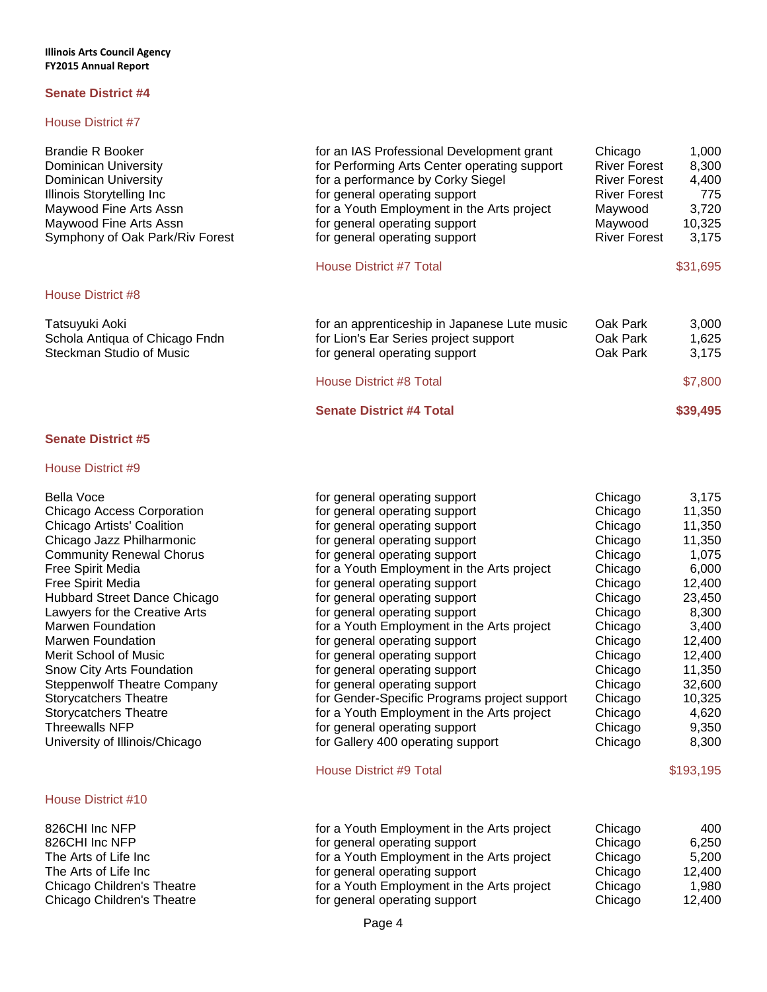# House District #7

| <b>Brandie R Booker</b><br><b>Dominican University</b><br><b>Dominican University</b><br>Illinois Storytelling Inc<br>Maywood Fine Arts Assn<br>Maywood Fine Arts Assn<br>Symphony of Oak Park/Riv Forest | for an IAS Professional Development grant<br>for Performing Arts Center operating support<br>for a performance by Corky Siegel<br>for general operating support<br>for a Youth Employment in the Arts project<br>for general operating support<br>for general operating support<br>House District #7 Total | Chicago<br><b>River Forest</b><br><b>River Forest</b><br><b>River Forest</b><br>Maywood<br>Maywood<br><b>River Forest</b> | 1,000<br>8,300<br>4,400<br>775<br>3,720<br>10,325<br>3,175<br>\$31,695 |
|-----------------------------------------------------------------------------------------------------------------------------------------------------------------------------------------------------------|------------------------------------------------------------------------------------------------------------------------------------------------------------------------------------------------------------------------------------------------------------------------------------------------------------|---------------------------------------------------------------------------------------------------------------------------|------------------------------------------------------------------------|
| House District #8                                                                                                                                                                                         |                                                                                                                                                                                                                                                                                                            |                                                                                                                           |                                                                        |
| Tatsuyuki Aoki<br>Schola Antiqua of Chicago Fndn<br>Steckman Studio of Music                                                                                                                              | for an apprenticeship in Japanese Lute music<br>for Lion's Ear Series project support<br>for general operating support                                                                                                                                                                                     | Oak Park<br>Oak Park<br>Oak Park                                                                                          | 3,000<br>1,625<br>3,175                                                |
|                                                                                                                                                                                                           | <b>House District #8 Total</b>                                                                                                                                                                                                                                                                             |                                                                                                                           | \$7,800                                                                |
|                                                                                                                                                                                                           | <b>Senate District #4 Total</b>                                                                                                                                                                                                                                                                            |                                                                                                                           | \$39,495                                                               |

# **Senate District #5**

| <b>Bella Voce</b>                  | for general operating support                | Chicago | 3,175     |
|------------------------------------|----------------------------------------------|---------|-----------|
| Chicago Access Corporation         | for general operating support                | Chicago | 11,350    |
| Chicago Artists' Coalition         | for general operating support                | Chicago | 11,350    |
| Chicago Jazz Philharmonic          | for general operating support                | Chicago | 11,350    |
| <b>Community Renewal Chorus</b>    | for general operating support                | Chicago | 1,075     |
| Free Spirit Media                  | for a Youth Employment in the Arts project   | Chicago | 6,000     |
| Free Spirit Media                  | for general operating support                | Chicago | 12,400    |
| Hubbard Street Dance Chicago       | for general operating support                | Chicago | 23,450    |
| Lawyers for the Creative Arts      | for general operating support                | Chicago | 8,300     |
| <b>Marwen Foundation</b>           | for a Youth Employment in the Arts project   | Chicago | 3,400     |
| <b>Marwen Foundation</b>           | for general operating support                | Chicago | 12,400    |
| Merit School of Music              | for general operating support                | Chicago | 12,400    |
| Snow City Arts Foundation          | for general operating support                | Chicago | 11,350    |
| <b>Steppenwolf Theatre Company</b> | for general operating support                | Chicago | 32,600    |
| <b>Storycatchers Theatre</b>       | for Gender-Specific Programs project support | Chicago | 10,325    |
| <b>Storycatchers Theatre</b>       | for a Youth Employment in the Arts project   | Chicago | 4,620     |
| <b>Threewalls NFP</b>              | for general operating support                | Chicago | 9,350     |
| University of Illinois/Chicago     | for Gallery 400 operating support            | Chicago | 8,300     |
|                                    | <b>House District #9 Total</b>               |         | \$193,195 |
| House District #10                 |                                              |         |           |

| 826CHI Inc NFP<br>Chicago<br>for general operating support<br>The Arts of Life Inc<br>for a Youth Employment in the Arts project<br>Chicago<br>The Arts of Life Inc_<br>Chicago<br>for general operating support<br>Chicago Children's Theatre<br>for a Youth Employment in the Arts project<br>Chicago | 826CHI Inc NFP | Chicago<br>400    |
|---------------------------------------------------------------------------------------------------------------------------------------------------------------------------------------------------------------------------------------------------------------------------------------------------------|----------------|-------------------|
|                                                                                                                                                                                                                                                                                                         |                | 6,250             |
|                                                                                                                                                                                                                                                                                                         |                | 5.200             |
|                                                                                                                                                                                                                                                                                                         |                | 12,400            |
|                                                                                                                                                                                                                                                                                                         |                | 1.980             |
| Chicago Children's Theatre<br>for general operating support                                                                                                                                                                                                                                             |                | Chicago<br>12,400 |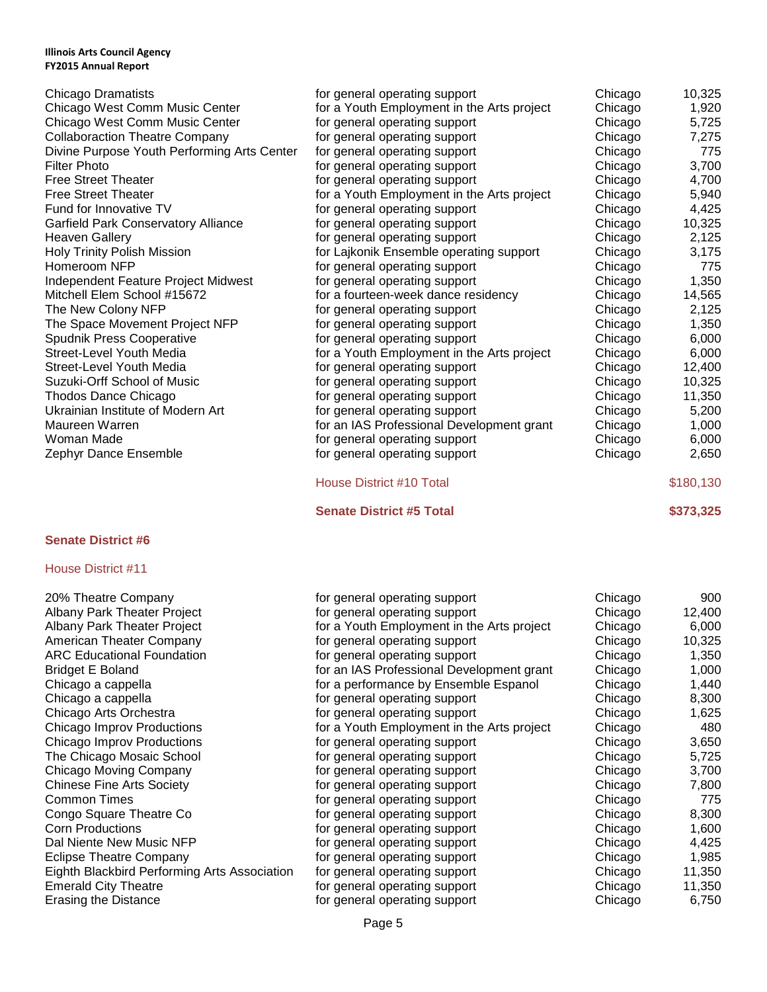| Chicago Dramatists                          | for general operating support              | Chicago | 10,325    |
|---------------------------------------------|--------------------------------------------|---------|-----------|
| Chicago West Comm Music Center              | for a Youth Employment in the Arts project | Chicago | 1,920     |
| Chicago West Comm Music Center              | for general operating support              | Chicago | 5,725     |
| <b>Collaboraction Theatre Company</b>       | for general operating support              | Chicago | 7,275     |
| Divine Purpose Youth Performing Arts Center | for general operating support              | Chicago | 775       |
| <b>Filter Photo</b>                         | for general operating support              | Chicago | 3,700     |
| <b>Free Street Theater</b>                  | for general operating support              | Chicago | 4,700     |
| <b>Free Street Theater</b>                  | for a Youth Employment in the Arts project | Chicago | 5,940     |
| Fund for Innovative TV                      | for general operating support              | Chicago | 4,425     |
| Garfield Park Conservatory Alliance         | for general operating support              | Chicago | 10,325    |
| <b>Heaven Gallery</b>                       | for general operating support              | Chicago | 2,125     |
| <b>Holy Trinity Polish Mission</b>          | for Lajkonik Ensemble operating support    | Chicago | 3,175     |
| Homeroom NFP                                | for general operating support              | Chicago | 775       |
| Independent Feature Project Midwest         | for general operating support              | Chicago | 1,350     |
| Mitchell Elem School #15672                 | for a fourteen-week dance residency        | Chicago | 14,565    |
| The New Colony NFP                          | for general operating support              | Chicago | 2,125     |
| The Space Movement Project NFP              | for general operating support              | Chicago | 1,350     |
| Spudnik Press Cooperative                   | for general operating support              | Chicago | 6,000     |
| Street-Level Youth Media                    | for a Youth Employment in the Arts project | Chicago | 6,000     |
| Street-Level Youth Media                    | for general operating support              | Chicago | 12,400    |
| Suzuki-Orff School of Music                 | for general operating support              | Chicago | 10,325    |
| Thodos Dance Chicago                        | for general operating support              | Chicago | 11,350    |
| Ukrainian Institute of Modern Art           | for general operating support              | Chicago | 5,200     |
| Maureen Warren                              | for an IAS Professional Development grant  | Chicago | 1,000     |
| Woman Made                                  | for general operating support              | Chicago | 6,000     |
| Zephyr Dance Ensemble                       | for general operating support              | Chicago | 2,650     |
|                                             | House District #10 Total                   |         | \$180,130 |

**Senate District #5 Total \$373,325** 

# **Senate District #6**

| 20% Theatre Company                          | for general operating support              | Chicago | 900    |
|----------------------------------------------|--------------------------------------------|---------|--------|
| Albany Park Theater Project                  | for general operating support              | Chicago | 12,400 |
| Albany Park Theater Project                  | for a Youth Employment in the Arts project | Chicago | 6,000  |
| American Theater Company                     | for general operating support              | Chicago | 10,325 |
| <b>ARC Educational Foundation</b>            | for general operating support              | Chicago | 1,350  |
| Bridget E Boland                             | for an IAS Professional Development grant  | Chicago | 1,000  |
| Chicago a cappella                           | for a performance by Ensemble Espanol      | Chicago | 1,440  |
| Chicago a cappella                           | for general operating support              | Chicago | 8,300  |
| Chicago Arts Orchestra                       | for general operating support              | Chicago | 1,625  |
| Chicago Improv Productions                   | for a Youth Employment in the Arts project | Chicago | 480    |
| Chicago Improv Productions                   | for general operating support              | Chicago | 3,650  |
| The Chicago Mosaic School                    | for general operating support              | Chicago | 5,725  |
| Chicago Moving Company                       | for general operating support              | Chicago | 3,700  |
| <b>Chinese Fine Arts Society</b>             | for general operating support              | Chicago | 7,800  |
| Common Times                                 | for general operating support              | Chicago | 775    |
| Congo Square Theatre Co                      | for general operating support              | Chicago | 8,300  |
| <b>Corn Productions</b>                      | for general operating support              | Chicago | 1,600  |
| Dal Niente New Music NFP                     | for general operating support              | Chicago | 4,425  |
| <b>Eclipse Theatre Company</b>               | for general operating support              | Chicago | 1,985  |
| Eighth Blackbird Performing Arts Association | for general operating support              | Chicago | 11,350 |
| <b>Emerald City Theatre</b>                  | for general operating support              | Chicago | 11,350 |
| <b>Erasing the Distance</b>                  | for general operating support              | Chicago | 6,750  |
|                                              |                                            |         |        |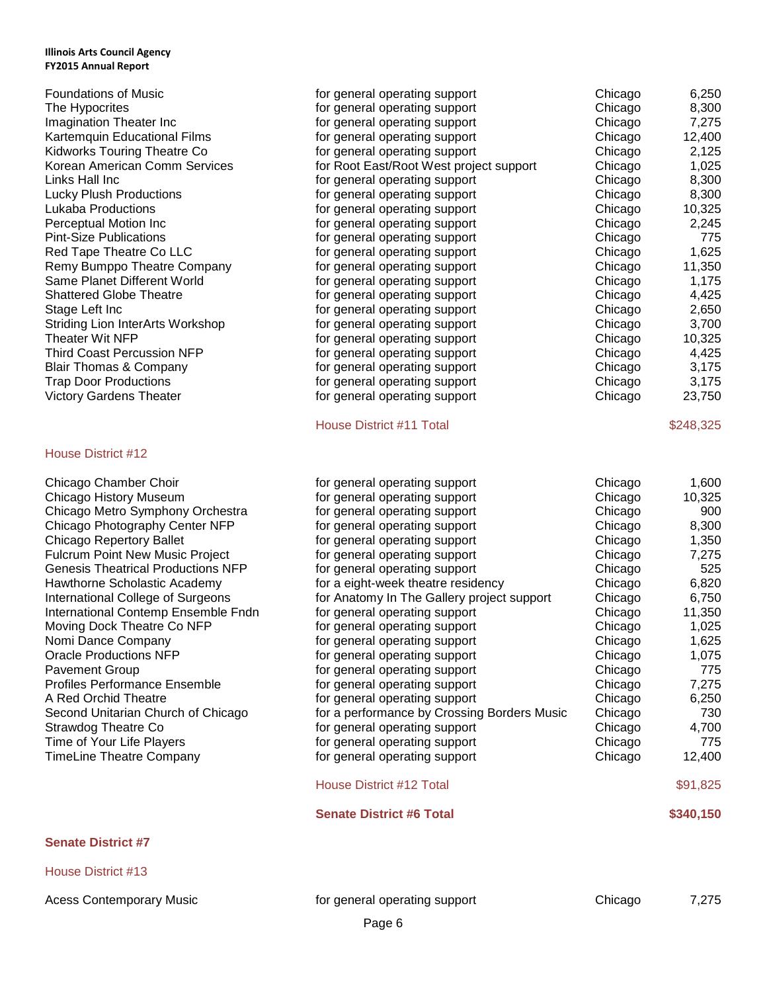| <b>Foundations of Music</b>       | for general operating support           | Chicago | 6,250     |
|-----------------------------------|-----------------------------------------|---------|-----------|
| The Hypocrites                    | for general operating support           | Chicago | 8,300     |
| Imagination Theater Inc           | for general operating support           | Chicago | 7,275     |
| Kartemquin Educational Films      | for general operating support           | Chicago | 12,400    |
| Kidworks Touring Theatre Co       | for general operating support           | Chicago | 2,125     |
| Korean American Comm Services     | for Root East/Root West project support | Chicago | 1,025     |
| Links Hall Inc                    | for general operating support           | Chicago | 8,300     |
| Lucky Plush Productions           | for general operating support           | Chicago | 8,300     |
| Lukaba Productions                | for general operating support           | Chicago | 10,325    |
| Perceptual Motion Inc             | for general operating support           | Chicago | 2,245     |
| <b>Pint-Size Publications</b>     | for general operating support           | Chicago | 775       |
| Red Tape Theatre Co LLC           | for general operating support           | Chicago | 1,625     |
| Remy Bumppo Theatre Company       | for general operating support           | Chicago | 11,350    |
| Same Planet Different World       | for general operating support           | Chicago | 1,175     |
| <b>Shattered Globe Theatre</b>    | for general operating support           | Chicago | 4,425     |
| Stage Left Inc                    | for general operating support           | Chicago | 2,650     |
| Striding Lion InterArts Workshop  | for general operating support           | Chicago | 3,700     |
| Theater Wit NFP                   | for general operating support           | Chicago | 10,325    |
| <b>Third Coast Percussion NFP</b> | for general operating support           | Chicago | 4,425     |
| Blair Thomas & Company            | for general operating support           | Chicago | 3,175     |
| <b>Trap Door Productions</b>      | for general operating support           | Chicago | 3,175     |
| <b>Victory Gardens Theater</b>    | for general operating support           | Chicago | 23,750    |
|                                   | House District #11 Total                |         | \$248,325 |

# House District #12

# **Senate District #7**

House District #13

Acess Contemporary Music **Formulation** for general operating support **Chicago** 7,275

|                                           | <b>Senate District #6 Total</b>             |         | \$340,150 |
|-------------------------------------------|---------------------------------------------|---------|-----------|
|                                           | House District #12 Total                    |         | \$91,825  |
| TimeLine Theatre Company                  | for general operating support               | Chicago | 12,400    |
| Time of Your Life Players                 | for general operating support               | Chicago | 775       |
| Strawdog Theatre Co                       | for general operating support               | Chicago | 4,700     |
| Second Unitarian Church of Chicago        | for a performance by Crossing Borders Music | Chicago | 730       |
| A Red Orchid Theatre                      | for general operating support               | Chicago | 6,250     |
| Profiles Performance Ensemble             | for general operating support               | Chicago | 7,275     |
| Pavement Group                            | for general operating support               | Chicago | 775       |
| <b>Oracle Productions NFP</b>             | for general operating support               | Chicago | 1,075     |
| Nomi Dance Company                        | for general operating support               | Chicago | 1,625     |
| Moving Dock Theatre Co NFP                | for general operating support               | Chicago | 1,025     |
| International Contemp Ensemble Fndn       | for general operating support               | Chicago | 11,350    |
| International College of Surgeons         | for Anatomy In The Gallery project support  | Chicago | 6,750     |
| Hawthorne Scholastic Academy              | for a eight-week theatre residency          | Chicago | 6,820     |
| <b>Genesis Theatrical Productions NFP</b> | for general operating support               | Chicago | 525       |
| <b>Fulcrum Point New Music Project</b>    | for general operating support               | Chicago | 7,275     |
| Chicago Repertory Ballet                  | for general operating support               | Chicago | 1,350     |
| Chicago Photography Center NFP            | for general operating support               | Chicago | 8,300     |
| Chicago Metro Symphony Orchestra          | for general operating support               | Chicago | 900       |
| Chicago History Museum                    | for general operating support               | Chicago | 10,325    |
| Chicago Chamber Choir                     | for general operating support               | Chicago | 1,600     |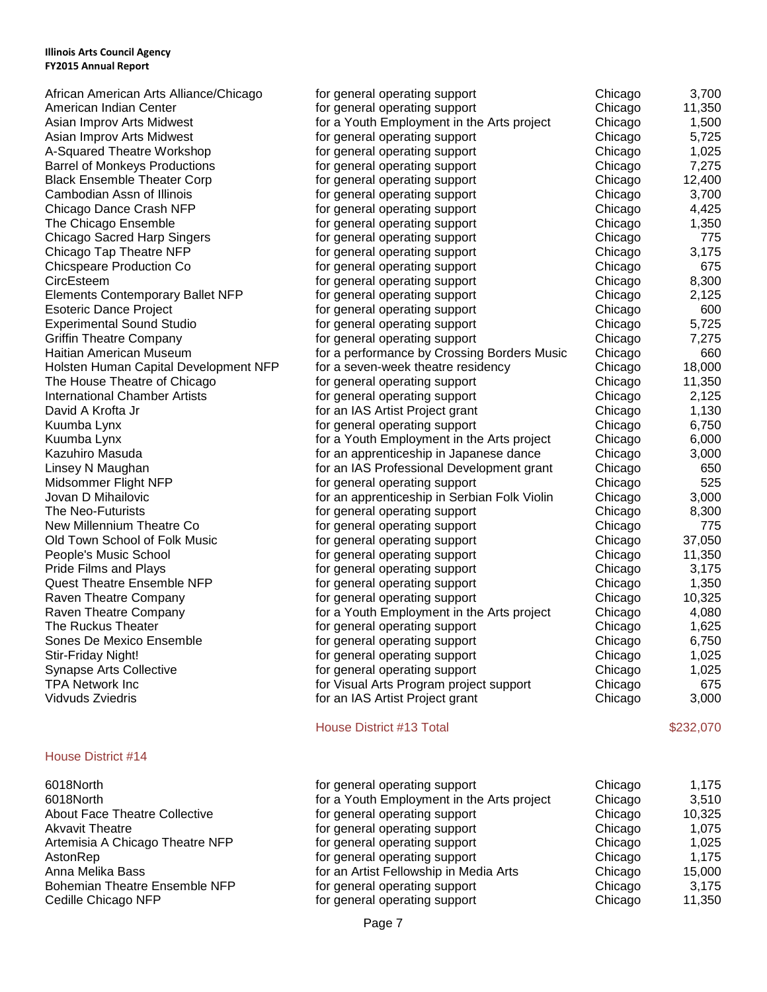| African American Arts Alliance/Chicago<br>American Indian Center<br>Asian Improv Arts Midwest<br>Asian Improv Arts Midwest<br>A-Squared Theatre Workshop<br><b>Barrel of Monkeys Productions</b><br><b>Black Ensemble Theater Corp</b><br>Cambodian Assn of Illinois<br>Chicago Dance Crash NFP<br>The Chicago Ensemble<br><b>Chicago Sacred Harp Singers</b><br>Chicago Tap Theatre NFP<br><b>Chicspeare Production Co</b><br>CircEsteem<br><b>Elements Contemporary Ballet NFP</b><br><b>Esoteric Dance Project</b><br><b>Experimental Sound Studio</b><br><b>Griffin Theatre Company</b><br>Haitian American Museum<br>Holsten Human Capital Development NFP<br>The House Theatre of Chicago<br><b>International Chamber Artists</b><br>David A Krofta Jr | for general operating support<br>for general operating support<br>for a Youth Employment in the Arts project<br>for general operating support<br>for general operating support<br>for general operating support<br>for general operating support<br>for general operating support<br>for general operating support<br>for general operating support<br>for general operating support<br>for general operating support<br>for general operating support<br>for general operating support<br>for general operating support<br>for general operating support<br>for general operating support<br>for general operating support<br>for a performance by Crossing Borders Music<br>for a seven-week theatre residency<br>for general operating support<br>for general operating support<br>for an IAS Artist Project grant | Chicago<br>Chicago<br>Chicago<br>Chicago<br>Chicago<br>Chicago<br>Chicago<br>Chicago<br>Chicago<br>Chicago<br>Chicago<br>Chicago<br>Chicago<br>Chicago<br>Chicago<br>Chicago<br>Chicago<br>Chicago<br>Chicago<br>Chicago<br>Chicago<br>Chicago<br>Chicago | 3,700<br>11,350<br>1,500<br>5,725<br>1,025<br>7,275<br>12,400<br>3,700<br>4,425<br>1,350<br>775<br>3,175<br>675<br>8,300<br>2,125<br>600<br>5,725<br>7,275<br>660<br>18,000<br>11,350<br>2,125<br>1,130 |
|--------------------------------------------------------------------------------------------------------------------------------------------------------------------------------------------------------------------------------------------------------------------------------------------------------------------------------------------------------------------------------------------------------------------------------------------------------------------------------------------------------------------------------------------------------------------------------------------------------------------------------------------------------------------------------------------------------------------------------------------------------------|-----------------------------------------------------------------------------------------------------------------------------------------------------------------------------------------------------------------------------------------------------------------------------------------------------------------------------------------------------------------------------------------------------------------------------------------------------------------------------------------------------------------------------------------------------------------------------------------------------------------------------------------------------------------------------------------------------------------------------------------------------------------------------------------------------------------------|-----------------------------------------------------------------------------------------------------------------------------------------------------------------------------------------------------------------------------------------------------------|---------------------------------------------------------------------------------------------------------------------------------------------------------------------------------------------------------|
| Kuumba Lynx                                                                                                                                                                                                                                                                                                                                                                                                                                                                                                                                                                                                                                                                                                                                                  | for general operating support                                                                                                                                                                                                                                                                                                                                                                                                                                                                                                                                                                                                                                                                                                                                                                                         | Chicago                                                                                                                                                                                                                                                   | 6,750                                                                                                                                                                                                   |
| Kuumba Lynx                                                                                                                                                                                                                                                                                                                                                                                                                                                                                                                                                                                                                                                                                                                                                  | for a Youth Employment in the Arts project                                                                                                                                                                                                                                                                                                                                                                                                                                                                                                                                                                                                                                                                                                                                                                            | Chicago                                                                                                                                                                                                                                                   | 6,000                                                                                                                                                                                                   |
| Kazuhiro Masuda<br>Linsey N Maughan                                                                                                                                                                                                                                                                                                                                                                                                                                                                                                                                                                                                                                                                                                                          | for an apprenticeship in Japanese dance<br>for an IAS Professional Development grant                                                                                                                                                                                                                                                                                                                                                                                                                                                                                                                                                                                                                                                                                                                                  | Chicago<br>Chicago                                                                                                                                                                                                                                        | 3,000<br>650                                                                                                                                                                                            |
| Midsommer Flight NFP                                                                                                                                                                                                                                                                                                                                                                                                                                                                                                                                                                                                                                                                                                                                         | for general operating support                                                                                                                                                                                                                                                                                                                                                                                                                                                                                                                                                                                                                                                                                                                                                                                         | Chicago                                                                                                                                                                                                                                                   | 525                                                                                                                                                                                                     |
| Jovan D Mihailovic                                                                                                                                                                                                                                                                                                                                                                                                                                                                                                                                                                                                                                                                                                                                           | for an apprenticeship in Serbian Folk Violin                                                                                                                                                                                                                                                                                                                                                                                                                                                                                                                                                                                                                                                                                                                                                                          | Chicago                                                                                                                                                                                                                                                   | 3,000                                                                                                                                                                                                   |
| The Neo-Futurists                                                                                                                                                                                                                                                                                                                                                                                                                                                                                                                                                                                                                                                                                                                                            | for general operating support                                                                                                                                                                                                                                                                                                                                                                                                                                                                                                                                                                                                                                                                                                                                                                                         | Chicago                                                                                                                                                                                                                                                   | 8,300                                                                                                                                                                                                   |
| New Millennium Theatre Co                                                                                                                                                                                                                                                                                                                                                                                                                                                                                                                                                                                                                                                                                                                                    | for general operating support                                                                                                                                                                                                                                                                                                                                                                                                                                                                                                                                                                                                                                                                                                                                                                                         | Chicago                                                                                                                                                                                                                                                   | 775                                                                                                                                                                                                     |
| Old Town School of Folk Music                                                                                                                                                                                                                                                                                                                                                                                                                                                                                                                                                                                                                                                                                                                                | for general operating support                                                                                                                                                                                                                                                                                                                                                                                                                                                                                                                                                                                                                                                                                                                                                                                         | Chicago                                                                                                                                                                                                                                                   | 37,050                                                                                                                                                                                                  |
| People's Music School                                                                                                                                                                                                                                                                                                                                                                                                                                                                                                                                                                                                                                                                                                                                        | for general operating support                                                                                                                                                                                                                                                                                                                                                                                                                                                                                                                                                                                                                                                                                                                                                                                         | Chicago                                                                                                                                                                                                                                                   | 11,350                                                                                                                                                                                                  |
| Pride Films and Plays                                                                                                                                                                                                                                                                                                                                                                                                                                                                                                                                                                                                                                                                                                                                        | for general operating support                                                                                                                                                                                                                                                                                                                                                                                                                                                                                                                                                                                                                                                                                                                                                                                         | Chicago                                                                                                                                                                                                                                                   | 3,175                                                                                                                                                                                                   |
| <b>Quest Theatre Ensemble NFP</b>                                                                                                                                                                                                                                                                                                                                                                                                                                                                                                                                                                                                                                                                                                                            | for general operating support                                                                                                                                                                                                                                                                                                                                                                                                                                                                                                                                                                                                                                                                                                                                                                                         | Chicago                                                                                                                                                                                                                                                   | 1,350                                                                                                                                                                                                   |
| Raven Theatre Company                                                                                                                                                                                                                                                                                                                                                                                                                                                                                                                                                                                                                                                                                                                                        | for general operating support                                                                                                                                                                                                                                                                                                                                                                                                                                                                                                                                                                                                                                                                                                                                                                                         | Chicago                                                                                                                                                                                                                                                   | 10,325                                                                                                                                                                                                  |
| Raven Theatre Company                                                                                                                                                                                                                                                                                                                                                                                                                                                                                                                                                                                                                                                                                                                                        | for a Youth Employment in the Arts project                                                                                                                                                                                                                                                                                                                                                                                                                                                                                                                                                                                                                                                                                                                                                                            | Chicago                                                                                                                                                                                                                                                   | 4,080                                                                                                                                                                                                   |
| The Ruckus Theater                                                                                                                                                                                                                                                                                                                                                                                                                                                                                                                                                                                                                                                                                                                                           | for general operating support                                                                                                                                                                                                                                                                                                                                                                                                                                                                                                                                                                                                                                                                                                                                                                                         | Chicago                                                                                                                                                                                                                                                   | 1,625                                                                                                                                                                                                   |
| Sones De Mexico Ensemble                                                                                                                                                                                                                                                                                                                                                                                                                                                                                                                                                                                                                                                                                                                                     | for general operating support                                                                                                                                                                                                                                                                                                                                                                                                                                                                                                                                                                                                                                                                                                                                                                                         | Chicago                                                                                                                                                                                                                                                   | 6,750                                                                                                                                                                                                   |
| Stir-Friday Night!                                                                                                                                                                                                                                                                                                                                                                                                                                                                                                                                                                                                                                                                                                                                           | for general operating support                                                                                                                                                                                                                                                                                                                                                                                                                                                                                                                                                                                                                                                                                                                                                                                         | Chicago                                                                                                                                                                                                                                                   | 1,025                                                                                                                                                                                                   |
| <b>Synapse Arts Collective</b>                                                                                                                                                                                                                                                                                                                                                                                                                                                                                                                                                                                                                                                                                                                               | for general operating support                                                                                                                                                                                                                                                                                                                                                                                                                                                                                                                                                                                                                                                                                                                                                                                         | Chicago                                                                                                                                                                                                                                                   | 1,025                                                                                                                                                                                                   |
| <b>TPA Network Inc.</b>                                                                                                                                                                                                                                                                                                                                                                                                                                                                                                                                                                                                                                                                                                                                      | for Visual Arts Program project support                                                                                                                                                                                                                                                                                                                                                                                                                                                                                                                                                                                                                                                                                                                                                                               | Chicago                                                                                                                                                                                                                                                   | 675                                                                                                                                                                                                     |
| Vidvuds Zviedris                                                                                                                                                                                                                                                                                                                                                                                                                                                                                                                                                                                                                                                                                                                                             | for an IAS Artist Project grant                                                                                                                                                                                                                                                                                                                                                                                                                                                                                                                                                                                                                                                                                                                                                                                       | Chicago                                                                                                                                                                                                                                                   | 3,000                                                                                                                                                                                                   |
|                                                                                                                                                                                                                                                                                                                                                                                                                                                                                                                                                                                                                                                                                                                                                              | House District #13 Total                                                                                                                                                                                                                                                                                                                                                                                                                                                                                                                                                                                                                                                                                                                                                                                              |                                                                                                                                                                                                                                                           | \$232,070                                                                                                                                                                                               |
| House District #14                                                                                                                                                                                                                                                                                                                                                                                                                                                                                                                                                                                                                                                                                                                                           |                                                                                                                                                                                                                                                                                                                                                                                                                                                                                                                                                                                                                                                                                                                                                                                                                       |                                                                                                                                                                                                                                                           |                                                                                                                                                                                                         |
| 6018North<br>6018North<br><b>About Face Theatre Collective</b><br><b>Akvavit Theatre</b><br>Artemisia A Chicago Theatre NFP<br>AstonRep<br>Anna Melika Bass<br><b>Bohemian Theatre Ensemble NFP</b><br>Cedille Chicago NFP                                                                                                                                                                                                                                                                                                                                                                                                                                                                                                                                   | for general operating support<br>for a Youth Employment in the Arts project<br>for general operating support<br>for general operating support<br>for general operating support<br>for general operating support<br>for an Artist Fellowship in Media Arts<br>for general operating support<br>for general operating support                                                                                                                                                                                                                                                                                                                                                                                                                                                                                           | Chicago<br>Chicago<br>Chicago<br>Chicago<br>Chicago<br>Chicago<br>Chicago<br>Chicago<br>Chicago                                                                                                                                                           | 1,175<br>3,510<br>10,325<br>1,075<br>1,025<br>1,175<br>15,000<br>3,175<br>11,350                                                                                                                        |
|                                                                                                                                                                                                                                                                                                                                                                                                                                                                                                                                                                                                                                                                                                                                                              |                                                                                                                                                                                                                                                                                                                                                                                                                                                                                                                                                                                                                                                                                                                                                                                                                       |                                                                                                                                                                                                                                                           |                                                                                                                                                                                                         |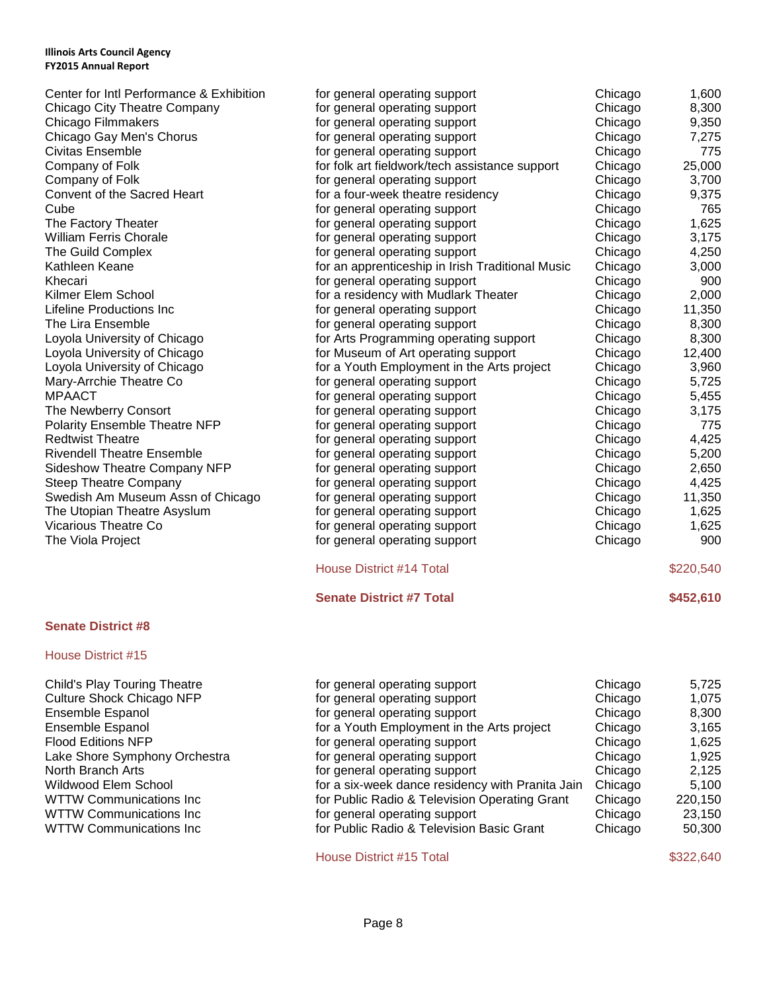| Center for Intl Performance & Exhibition | for general operating support                    | Chicago | 1,600     |
|------------------------------------------|--------------------------------------------------|---------|-----------|
| Chicago City Theatre Company             | for general operating support                    | Chicago | 8,300     |
| <b>Chicago Filmmakers</b>                | for general operating support                    | Chicago | 9,350     |
| Chicago Gay Men's Chorus                 | for general operating support                    | Chicago | 7,275     |
| <b>Civitas Ensemble</b>                  | for general operating support                    | Chicago | 775       |
| Company of Folk                          | for folk art fieldwork/tech assistance support   | Chicago | 25,000    |
| Company of Folk                          | for general operating support                    | Chicago | 3,700     |
| Convent of the Sacred Heart              | for a four-week theatre residency                | Chicago | 9,375     |
| Cube                                     | for general operating support                    | Chicago | 765       |
| The Factory Theater                      | for general operating support                    | Chicago | 1,625     |
| <b>William Ferris Chorale</b>            | for general operating support                    | Chicago | 3,175     |
| The Guild Complex                        | for general operating support                    | Chicago | 4,250     |
| Kathleen Keane                           | for an apprenticeship in Irish Traditional Music | Chicago | 3,000     |
| Khecari                                  | for general operating support                    | Chicago | 900       |
| Kilmer Elem School                       | for a residency with Mudlark Theater             | Chicago | 2,000     |
| Lifeline Productions Inc                 | for general operating support                    | Chicago | 11,350    |
| The Lira Ensemble                        | for general operating support                    | Chicago | 8,300     |
| Loyola University of Chicago             | for Arts Programming operating support           | Chicago | 8,300     |
| Loyola University of Chicago             | for Museum of Art operating support              | Chicago | 12,400    |
| Loyola University of Chicago             | for a Youth Employment in the Arts project       | Chicago | 3,960     |
| Mary-Arrchie Theatre Co                  | for general operating support                    | Chicago | 5,725     |
| <b>MPAACT</b>                            | for general operating support                    | Chicago | 5,455     |
| The Newberry Consort                     | for general operating support                    | Chicago | 3,175     |
| Polarity Ensemble Theatre NFP            | for general operating support                    | Chicago | 775       |
| <b>Redtwist Theatre</b>                  | for general operating support                    | Chicago | 4,425     |
| <b>Rivendell Theatre Ensemble</b>        | for general operating support                    | Chicago | 5,200     |
| <b>Sideshow Theatre Company NFP</b>      | for general operating support                    | Chicago | 2,650     |
| <b>Steep Theatre Company</b>             | for general operating support                    | Chicago | 4,425     |
| Swedish Am Museum Assn of Chicago        | for general operating support                    | Chicago | 11,350    |
| The Utopian Theatre Asyslum              | for general operating support                    | Chicago | 1,625     |
| <b>Vicarious Theatre Co</b>              | for general operating support                    | Chicago | 1,625     |
| The Viola Project                        | for general operating support                    | Chicago | 900       |
|                                          | <b>House District #14 Total</b>                  |         | \$220,540 |
|                                          | <b>Senate District #7 Total</b>                  |         | \$452,610 |

# **Senate District #8**

# House District #15

| Child's Play Touring Theatre     |
|----------------------------------|
| <b>Culture Shock Chicago NFP</b> |
| <b>Ensemble Espanol</b>          |
| <b>Ensemble Espanol</b>          |
| <b>Flood Editions NFP</b>        |
| Lake Shore Symphony Orchestra    |
| North Branch Arts                |
| Wildwood Elem School             |
| <b>WTTW Communications Inc</b>   |
| <b>WTTW Communications Inc</b>   |
| <b>WTTW Communications Inc</b>   |

| for general operating support                    | Chicago | 5,725   |
|--------------------------------------------------|---------|---------|
| for general operating support                    | Chicago | 1.075   |
| for general operating support                    | Chicago | 8,300   |
| for a Youth Employment in the Arts project       | Chicago | 3,165   |
| for general operating support                    | Chicago | 1,625   |
| for general operating support                    | Chicago | 1.925   |
| for general operating support                    | Chicago | 2,125   |
| for a six-week dance residency with Pranita Jain | Chicago | 5.100   |
| for Public Radio & Television Operating Grant    | Chicago | 220,150 |
| for general operating support                    | Chicago | 23,150  |
| for Public Radio & Television Basic Grant        | Chicago | 50,300  |
|                                                  |         |         |

House District #15 Total \$322,640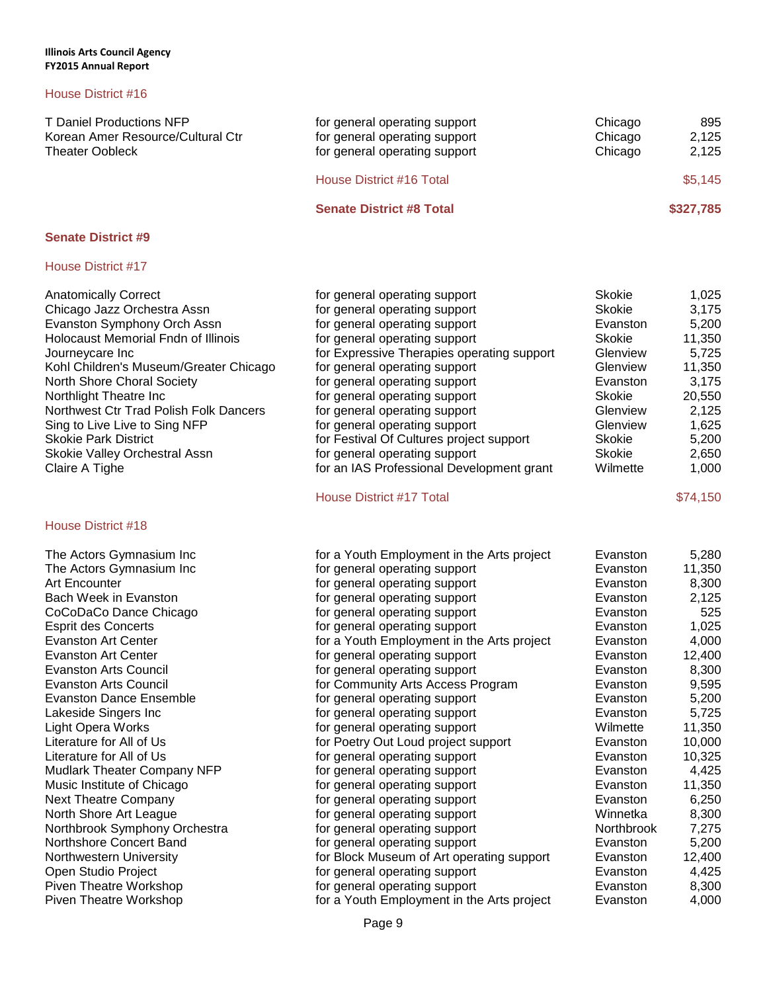# House District #16

| T Daniel Productions NFP<br>Korean Amer Resource/Cultural Ctr<br><b>Theater Oobleck</b> | for general operating support<br>for general operating support<br>for general operating support | Chicago<br>Chicago<br>Chicago | 895<br>2.125<br>2,125 |
|-----------------------------------------------------------------------------------------|-------------------------------------------------------------------------------------------------|-------------------------------|-----------------------|
|                                                                                         | House District #16 Total                                                                        |                               | \$5,145               |
|                                                                                         | <b>Senate District #8 Total</b>                                                                 |                               | \$327,785             |

# **Senate District #9**

# House District #17

| <b>Anatomically Correct</b><br>Chicago Jazz Orchestra Assn<br>Evanston Symphony Orch Assn<br><b>Holocaust Memorial Fndn of Illinois</b><br>Journeycare Inc<br>Kohl Children's Museum/Greater Chicago<br>North Shore Choral Society<br>Northlight Theatre Inc<br>Northwest Ctr Trad Polish Folk Dancers | for general operating support<br>for general operating support<br>for general operating support<br>for general operating support<br>for Expressive Therapies operating support<br>for general operating support<br>for general operating support<br>for general operating support<br>for general operating support | <b>Skokie</b><br><b>Skokie</b><br>Evanston<br><b>Skokie</b><br>Glenview<br>Glenview<br>Evanston<br><b>Skokie</b><br>Glenview | 1,025<br>3,175<br>5,200<br>11,350<br>5,725<br>11,350<br>3,175<br>20,550<br>2,125 |
|--------------------------------------------------------------------------------------------------------------------------------------------------------------------------------------------------------------------------------------------------------------------------------------------------------|--------------------------------------------------------------------------------------------------------------------------------------------------------------------------------------------------------------------------------------------------------------------------------------------------------------------|------------------------------------------------------------------------------------------------------------------------------|----------------------------------------------------------------------------------|
| Sing to Live Live to Sing NFP                                                                                                                                                                                                                                                                          | for general operating support                                                                                                                                                                                                                                                                                      | Glenview                                                                                                                     | 1,625                                                                            |
| <b>Skokie Park District</b>                                                                                                                                                                                                                                                                            | for Festival Of Cultures project support                                                                                                                                                                                                                                                                           | <b>Skokie</b>                                                                                                                | 5,200                                                                            |
| Skokie Valley Orchestral Assn                                                                                                                                                                                                                                                                          | for general operating support                                                                                                                                                                                                                                                                                      | <b>Skokie</b>                                                                                                                | 2,650                                                                            |
| Claire A Tighe                                                                                                                                                                                                                                                                                         | for an IAS Professional Development grant                                                                                                                                                                                                                                                                          | Wilmette                                                                                                                     | 1,000                                                                            |
|                                                                                                                                                                                                                                                                                                        | House District #17 Total                                                                                                                                                                                                                                                                                           |                                                                                                                              | \$74,150                                                                         |
| <b>House District #18</b>                                                                                                                                                                                                                                                                              |                                                                                                                                                                                                                                                                                                                    |                                                                                                                              |                                                                                  |
| The Actors Gymnasium Inc                                                                                                                                                                                                                                                                               | for a Youth Employment in the Arts project                                                                                                                                                                                                                                                                         | Evanston                                                                                                                     | 5,280                                                                            |
| The Actors Gymnasium Inc                                                                                                                                                                                                                                                                               | for general operating support                                                                                                                                                                                                                                                                                      | Evanston                                                                                                                     | 11,350                                                                           |
| Art Encounter                                                                                                                                                                                                                                                                                          | for general operating support                                                                                                                                                                                                                                                                                      | Evanston                                                                                                                     | 8,300                                                                            |
| Bach Week in Evanston                                                                                                                                                                                                                                                                                  | for general operating support                                                                                                                                                                                                                                                                                      | Evanston                                                                                                                     | 2,125                                                                            |
| CoCoDaCo Dance Chicago                                                                                                                                                                                                                                                                                 | for general operating support                                                                                                                                                                                                                                                                                      | Evanston                                                                                                                     | 525                                                                              |
| <b>Esprit des Concerts</b>                                                                                                                                                                                                                                                                             | for general operating support                                                                                                                                                                                                                                                                                      | Evanston                                                                                                                     | 1,025                                                                            |
| <b>Evanston Art Center</b>                                                                                                                                                                                                                                                                             | for a Youth Employment in the Arts project                                                                                                                                                                                                                                                                         | Evanston                                                                                                                     | 4,000                                                                            |
| <b>Evanston Art Center</b>                                                                                                                                                                                                                                                                             | for general operating support                                                                                                                                                                                                                                                                                      | Evanston                                                                                                                     | 12,400                                                                           |
| <b>Evanston Arts Council</b>                                                                                                                                                                                                                                                                           | for general operating support                                                                                                                                                                                                                                                                                      | Evanston                                                                                                                     | 8,300                                                                            |
| <b>Evanston Arts Council</b>                                                                                                                                                                                                                                                                           | for Community Arts Access Program                                                                                                                                                                                                                                                                                  | Evanston                                                                                                                     | 9,595                                                                            |
| <b>Evanston Dance Ensemble</b>                                                                                                                                                                                                                                                                         | for general operating support                                                                                                                                                                                                                                                                                      | Evanston                                                                                                                     | 5,200                                                                            |
| Lakeside Singers Inc                                                                                                                                                                                                                                                                                   | for general operating support                                                                                                                                                                                                                                                                                      | Evanston                                                                                                                     | 5,725                                                                            |
| <b>Light Opera Works</b>                                                                                                                                                                                                                                                                               | for general operating support                                                                                                                                                                                                                                                                                      | Wilmette                                                                                                                     | 11,350                                                                           |
| Literature for All of Us                                                                                                                                                                                                                                                                               | for Poetry Out Loud project support                                                                                                                                                                                                                                                                                | Evanston                                                                                                                     | 10,000                                                                           |
| Literature for All of Us                                                                                                                                                                                                                                                                               | for general operating support                                                                                                                                                                                                                                                                                      | Evanston                                                                                                                     | 10,325                                                                           |
| Mudlark Theater Company NFP                                                                                                                                                                                                                                                                            | for general operating support                                                                                                                                                                                                                                                                                      | Evanston                                                                                                                     | 4,425                                                                            |
| Music Institute of Chicago                                                                                                                                                                                                                                                                             | for general operating support                                                                                                                                                                                                                                                                                      | Evanston                                                                                                                     | 11,350                                                                           |
| <b>Next Theatre Company</b>                                                                                                                                                                                                                                                                            | for general operating support                                                                                                                                                                                                                                                                                      | Evanston                                                                                                                     | 6,250                                                                            |
| North Shore Art League                                                                                                                                                                                                                                                                                 | for general operating support                                                                                                                                                                                                                                                                                      | Winnetka                                                                                                                     | 8,300                                                                            |
| Northbrook Symphony Orchestra                                                                                                                                                                                                                                                                          | for general operating support                                                                                                                                                                                                                                                                                      | Northbrook                                                                                                                   | 7,275                                                                            |
| Northshore Concert Band                                                                                                                                                                                                                                                                                | for general operating support                                                                                                                                                                                                                                                                                      | Evanston                                                                                                                     | 5,200                                                                            |
| Northwestern University                                                                                                                                                                                                                                                                                | for Block Museum of Art operating support                                                                                                                                                                                                                                                                          | Evanston                                                                                                                     | 12,400                                                                           |
| Open Studio Project                                                                                                                                                                                                                                                                                    | for general operating support                                                                                                                                                                                                                                                                                      | Evanston                                                                                                                     | 4,425                                                                            |

Piven Theatre Workshop for general operating support Evanston 8,300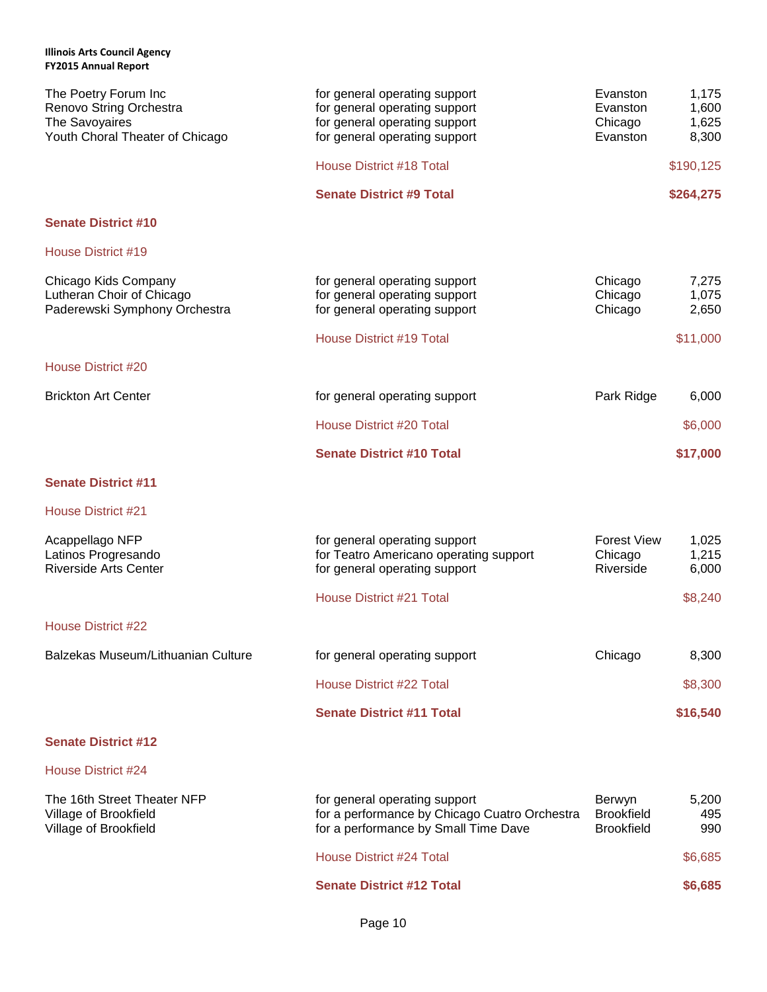| The Poetry Forum Inc<br>Renovo String Orchestra<br>The Savoyaires<br>Youth Choral Theater of Chicago | for general operating support<br>for general operating support<br>for general operating support<br>for general operating support | Evanston<br>Evanston<br>Chicago<br>Evanston      | 1,175<br>1,600<br>1,625<br>8,300 |
|------------------------------------------------------------------------------------------------------|----------------------------------------------------------------------------------------------------------------------------------|--------------------------------------------------|----------------------------------|
|                                                                                                      | House District #18 Total                                                                                                         |                                                  | \$190,125                        |
|                                                                                                      | <b>Senate District #9 Total</b>                                                                                                  |                                                  | \$264,275                        |
| <b>Senate District #10</b>                                                                           |                                                                                                                                  |                                                  |                                  |
| House District #19                                                                                   |                                                                                                                                  |                                                  |                                  |
| Chicago Kids Company<br>Lutheran Choir of Chicago<br>Paderewski Symphony Orchestra                   | for general operating support<br>for general operating support<br>for general operating support                                  | Chicago<br>Chicago<br>Chicago                    | 7,275<br>1,075<br>2,650          |
|                                                                                                      | House District #19 Total                                                                                                         |                                                  | \$11,000                         |
| House District #20                                                                                   |                                                                                                                                  |                                                  |                                  |
| <b>Brickton Art Center</b>                                                                           | for general operating support                                                                                                    | Park Ridge                                       | 6,000                            |
|                                                                                                      | <b>House District #20 Total</b>                                                                                                  |                                                  | \$6,000                          |
|                                                                                                      | <b>Senate District #10 Total</b>                                                                                                 |                                                  | \$17,000                         |
| <b>Senate District #11</b>                                                                           |                                                                                                                                  |                                                  |                                  |
| House District #21                                                                                   |                                                                                                                                  |                                                  |                                  |
| Acappellago NFP<br>Latinos Progresando<br><b>Riverside Arts Center</b>                               | for general operating support<br>for Teatro Americano operating support<br>for general operating support                         | <b>Forest View</b><br>Chicago<br>Riverside       | 1,025<br>1,215<br>6,000          |
|                                                                                                      | <b>House District #21 Total</b>                                                                                                  |                                                  | \$8,240                          |
| <b>House District #22</b>                                                                            |                                                                                                                                  |                                                  |                                  |
| Balzekas Museum/Lithuanian Culture                                                                   | for general operating support                                                                                                    | Chicago                                          | 8,300                            |
|                                                                                                      | House District #22 Total                                                                                                         |                                                  | \$8,300                          |
|                                                                                                      | <b>Senate District #11 Total</b>                                                                                                 |                                                  | \$16,540                         |
| <b>Senate District #12</b>                                                                           |                                                                                                                                  |                                                  |                                  |
| <b>House District #24</b>                                                                            |                                                                                                                                  |                                                  |                                  |
| The 16th Street Theater NFP<br>Village of Brookfield<br>Village of Brookfield                        | for general operating support<br>for a performance by Chicago Cuatro Orchestra<br>for a performance by Small Time Dave           | Berwyn<br><b>Brookfield</b><br><b>Brookfield</b> | 5,200<br>495<br>990              |
|                                                                                                      | House District #24 Total                                                                                                         |                                                  | \$6,685                          |

**Senate District #12 Total \$6,685**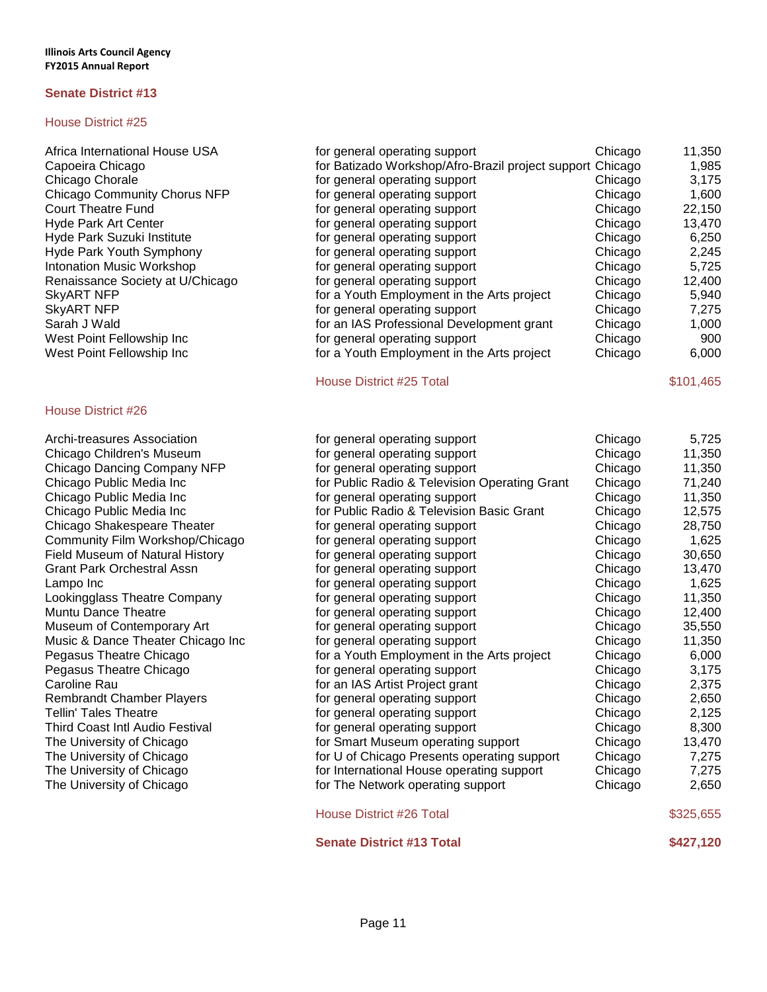# House District #25

| Chicago                                                                                                                                                                                                                                                                                                                                                                                                                                                                                                          | 11,350                                                               |
|------------------------------------------------------------------------------------------------------------------------------------------------------------------------------------------------------------------------------------------------------------------------------------------------------------------------------------------------------------------------------------------------------------------------------------------------------------------------------------------------------------------|----------------------------------------------------------------------|
|                                                                                                                                                                                                                                                                                                                                                                                                                                                                                                                  | 1,985                                                                |
| Chicago                                                                                                                                                                                                                                                                                                                                                                                                                                                                                                          | 3,175                                                                |
| Chicago                                                                                                                                                                                                                                                                                                                                                                                                                                                                                                          | 1,600                                                                |
| Chicago                                                                                                                                                                                                                                                                                                                                                                                                                                                                                                          | 22,150                                                               |
| Chicago                                                                                                                                                                                                                                                                                                                                                                                                                                                                                                          | 13,470                                                               |
|                                                                                                                                                                                                                                                                                                                                                                                                                                                                                                                  | 6,250                                                                |
| Chicago                                                                                                                                                                                                                                                                                                                                                                                                                                                                                                          | 2,245                                                                |
| Chicago                                                                                                                                                                                                                                                                                                                                                                                                                                                                                                          | 5,725                                                                |
| Chicago                                                                                                                                                                                                                                                                                                                                                                                                                                                                                                          | 12,400                                                               |
| Chicago                                                                                                                                                                                                                                                                                                                                                                                                                                                                                                          | 5,940                                                                |
| Chicago                                                                                                                                                                                                                                                                                                                                                                                                                                                                                                          | 7,275                                                                |
| Chicago                                                                                                                                                                                                                                                                                                                                                                                                                                                                                                          | 1,000                                                                |
| Chicago                                                                                                                                                                                                                                                                                                                                                                                                                                                                                                          | 900                                                                  |
| Chicago                                                                                                                                                                                                                                                                                                                                                                                                                                                                                                          | 6,000                                                                |
| for general operating support<br>for general operating support<br>for general operating support<br>for general operating support<br>for general operating support<br>for general operating support<br>for general operating support<br>for general operating support<br>for general operating support<br>for a Youth Employment in the Arts project<br>for general operating support<br>for an IAS Professional Development grant<br>for general operating support<br>for a Youth Employment in the Arts project | for Batizado Workshop/Afro-Brazil project support Chicago<br>Chicago |

### House District #26

| Archi-treasures Association            |
|----------------------------------------|
| Chicago Children's Museum              |
| Chicago Dancing Company NFP            |
| Chicago Public Media Inc               |
| Chicago Public Media Inc               |
| Chicago Public Media Inc               |
| Chicago Shakespeare Theater            |
| Community Film Workshop/Chicago        |
| <b>Field Museum of Natural History</b> |
| <b>Grant Park Orchestral Assn</b>      |
| Lampo Inc                              |
| Lookingglass Theatre Company           |
| Muntu Dance Theatre                    |
| Museum of Contemporary Art             |
| Music & Dance Theater Chicago Inc      |
| Pegasus Theatre Chicago                |
| Pegasus Theatre Chicago                |
| Caroline Rau                           |
| <b>Rembrandt Chamber Players</b>       |
| <b>Tellin' Tales Theatre</b>           |
| Third Coast Intl Audio Festival        |
| The University of Chicago              |
| The University of Chicago              |
| The University of Chicago              |
| The University of Chicago              |

House District #25 Total \$101,465

| Archi-treasures Association       | for general operating support                 | Chicago | 5,725     |
|-----------------------------------|-----------------------------------------------|---------|-----------|
| Chicago Children's Museum         | for general operating support                 | Chicago | 11,350    |
| Chicago Dancing Company NFP       | for general operating support                 | Chicago | 11,350    |
| Chicago Public Media Inc          | for Public Radio & Television Operating Grant | Chicago | 71,240    |
| Chicago Public Media Inc          | for general operating support                 | Chicago | 11,350    |
| Chicago Public Media Inc          | for Public Radio & Television Basic Grant     | Chicago | 12,575    |
| Chicago Shakespeare Theater       | for general operating support                 | Chicago | 28,750    |
| Community Film Workshop/Chicago   | for general operating support                 | Chicago | 1,625     |
| Field Museum of Natural History   | for general operating support                 | Chicago | 30,650    |
| Grant Park Orchestral Assn        | for general operating support                 | Chicago | 13,470    |
| Lampo Inc                         | for general operating support                 | Chicago | 1,625     |
| Lookingglass Theatre Company      | for general operating support                 | Chicago | 11,350    |
| Muntu Dance Theatre               | for general operating support                 | Chicago | 12,400    |
| Museum of Contemporary Art        | for general operating support                 | Chicago | 35,550    |
| Music & Dance Theater Chicago Inc | for general operating support                 | Chicago | 11,350    |
| Pegasus Theatre Chicago           | for a Youth Employment in the Arts project    | Chicago | 6,000     |
| Pegasus Theatre Chicago           | for general operating support                 | Chicago | 3,175     |
| Caroline Rau                      | for an IAS Artist Project grant               | Chicago | 2,375     |
| <b>Rembrandt Chamber Players</b>  | for general operating support                 | Chicago | 2,650     |
| <b>Tellin' Tales Theatre</b>      | for general operating support                 | Chicago | 2,125     |
| Third Coast Intl Audio Festival   | for general operating support                 | Chicago | 8,300     |
| The University of Chicago         | for Smart Museum operating support            | Chicago | 13,470    |
| The University of Chicago         | for U of Chicago Presents operating support   | Chicago | 7,275     |
| The University of Chicago         | for International House operating support     | Chicago | 7,275     |
| The University of Chicago         | for The Network operating support             | Chicago | 2,650     |
|                                   | House District #26 Total                      |         | \$325,655 |
|                                   | <b>Senate District #13 Total</b>              |         | \$427,120 |
|                                   |                                               |         |           |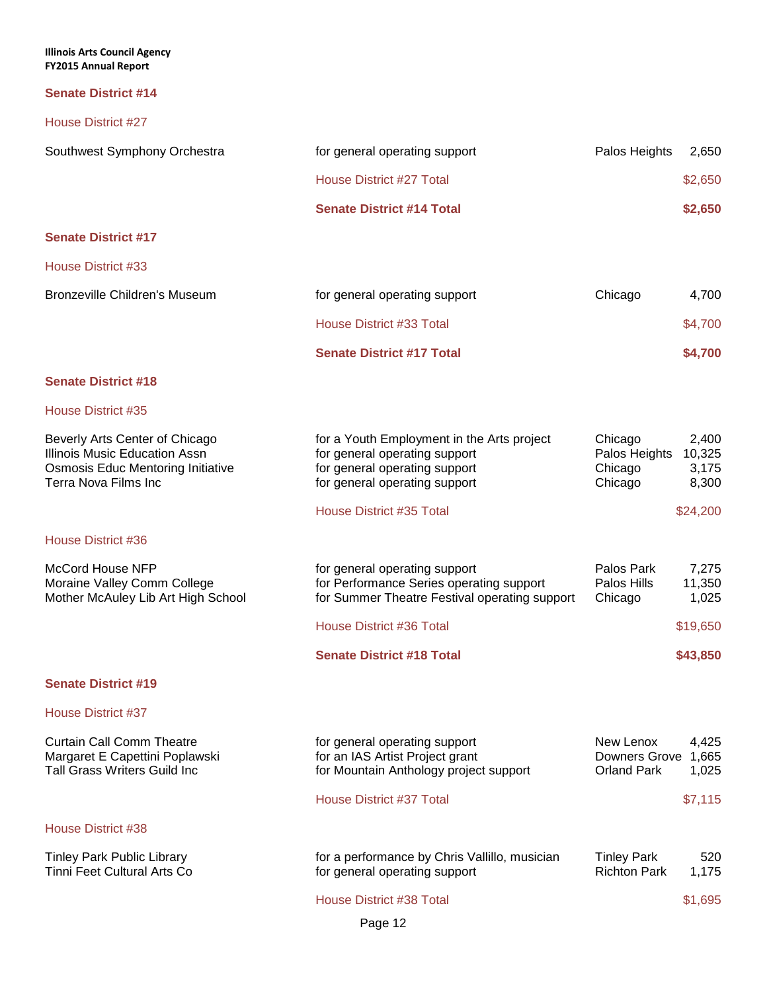| <b>Illinois Arts Council Agency</b><br><b>FY2015 Annual Report</b>                                                                  |                                                                                                                                               |                                                                                     |
|-------------------------------------------------------------------------------------------------------------------------------------|-----------------------------------------------------------------------------------------------------------------------------------------------|-------------------------------------------------------------------------------------|
| <b>Senate District #14</b>                                                                                                          |                                                                                                                                               |                                                                                     |
| <b>House District #27</b>                                                                                                           |                                                                                                                                               |                                                                                     |
| Southwest Symphony Orchestra                                                                                                        | for general operating support                                                                                                                 | Palos Heights<br>2,650                                                              |
|                                                                                                                                     | House District #27 Total                                                                                                                      | \$2,650                                                                             |
|                                                                                                                                     | <b>Senate District #14 Total</b>                                                                                                              | \$2,650                                                                             |
| <b>Senate District #17</b>                                                                                                          |                                                                                                                                               |                                                                                     |
| House District #33                                                                                                                  |                                                                                                                                               |                                                                                     |
| <b>Bronzeville Children's Museum</b>                                                                                                | for general operating support                                                                                                                 | Chicago<br>4,700                                                                    |
|                                                                                                                                     | House District #33 Total                                                                                                                      | \$4,700                                                                             |
|                                                                                                                                     | <b>Senate District #17 Total</b>                                                                                                              | \$4,700                                                                             |
| <b>Senate District #18</b>                                                                                                          |                                                                                                                                               |                                                                                     |
| House District #35                                                                                                                  |                                                                                                                                               |                                                                                     |
| Beverly Arts Center of Chicago<br>Illinois Music Education Assn<br><b>Osmosis Educ Mentoring Initiative</b><br>Terra Nova Films Inc | for a Youth Employment in the Arts project<br>for general operating support<br>for general operating support<br>for general operating support | Chicago<br>2,400<br>Palos Heights<br>10,325<br>Chicago<br>3,175<br>Chicago<br>8,300 |
|                                                                                                                                     | House District #35 Total                                                                                                                      | \$24,200                                                                            |
| House District #36                                                                                                                  |                                                                                                                                               |                                                                                     |
| <b>McCord House NFP</b><br>Moraine Valley Comm College<br>Mother McAuley Lib Art High School                                        | for general operating support<br>for Performance Series operating support<br>for Summer Theatre Festival operating support                    | Palos Park<br>7,275<br>Palos Hills<br>11,350<br>1,025<br>Chicago                    |
|                                                                                                                                     | House District #36 Total                                                                                                                      | \$19,650                                                                            |
|                                                                                                                                     | <b>Senate District #18 Total</b>                                                                                                              | \$43,850                                                                            |
| <b>Senate District #19</b>                                                                                                          |                                                                                                                                               |                                                                                     |
| <b>House District #37</b>                                                                                                           |                                                                                                                                               |                                                                                     |
| <b>Curtain Call Comm Theatre</b><br>Margaret E Capettini Poplawski<br><b>Tall Grass Writers Guild Inc</b>                           | for general operating support<br>for an IAS Artist Project grant<br>for Mountain Anthology project support                                    | New Lenox<br>4,425<br>Downers Grove 1,665<br><b>Orland Park</b><br>1,025            |
|                                                                                                                                     | <b>House District #37 Total</b>                                                                                                               | \$7,115                                                                             |
| House District #38                                                                                                                  |                                                                                                                                               |                                                                                     |

Tinley Park Public Library for a performance by Chris Vallillo, musician Tinley Park 520 Tinni Feet Cultural Arts Co for general operating support Richton Park 1,175

House District #38 Total \$1,695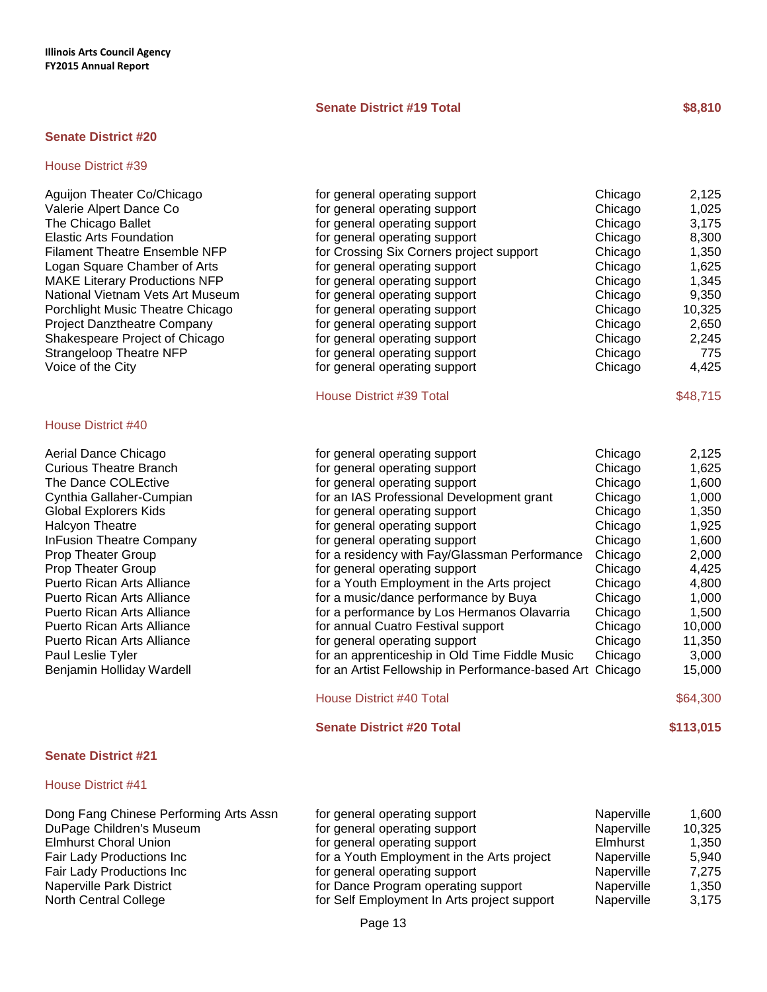# **Senate District #19 Total 68,810**

### **Senate District #20**

### House District #39

Aguijon Theater Co/Chicago **for general operating support** Chicago 2,125 Valerie Alpert Dance Co The Chicago Ballet Elastic Arts Foundation Filament Theatre Ensemble NFP Logan Square Chamber of Arts MAKE Literary Productions NFP National Vietnam Vets Art Museum Porchlight Music Theatre Chicago Project Danztheatre Company Shakespeare Project of Chicago Strangeloop Theatre NFP Voice of the City

### House District #40

Aerial Dance Chicago Curious Theatre Branch The Dance COLEctive Cynthia Gallaher-Cumpian Global Explorers Kids Halcyon Theatre InFusion Theatre Company Prop Theater Group Prop Theater Group for general operating support Chicago 4,425 Puerto Rican Arts Alliance for a Youth Employment in the Arts project Chicago 4,8000 for a Voltago 4,8000 for a Voltago 4,8000 for a Voltago 4,8000 for a Voltago 4,8000 for a Voltago 4,8000 for a Voltago 4,8000 for a Volta Puerto Rican Arts Alliance **For a music** for a music for a music for a music for a music formance by Buya Chicago 1,000 Puerto Rican Arts Alliance **For a performance** by Los Hermanos of Puerto Rican Arts Alliance Puerto Rican Arts Alliance Paul Leslie Tyler for an approximate for an approximate for an approximate for  $f$ Benjamin Holliday Wardell **Fellowship in Performance** Fe

### **Senate District #21**

# House District #41

| ior gonorar oporatnig support            | Univayo | 4, 14 J |
|------------------------------------------|---------|---------|
| for general operating support            | Chicago | 1,025   |
| for general operating support            | Chicago | 3,175   |
| for general operating support            | Chicago | 8,300   |
| for Crossing Six Corners project support | Chicago | 1,350   |
| for general operating support            | Chicago | 1,625   |
| for general operating support            | Chicago | 1,345   |
| for general operating support            | Chicago | 9,350   |
| for general operating support            | Chicago | 10,325  |
| for general operating support            | Chicago | 2,650   |
| for general operating support            | Chicago | 2,245   |
| for general operating support            | Chicago | 775     |
| for general operating support            | Chicago | 4,425   |
|                                          |         |         |

### House District #39 Total \$48,715

| for general operating support                     | Chicago | 2,125    |
|---------------------------------------------------|---------|----------|
| for general operating support                     | Chicago | 1,625    |
| for general operating support                     | Chicago | 1,600    |
| for an IAS Professional Development grant         | Chicago | 1,000    |
| for general operating support                     | Chicago | 1,350    |
| for general operating support                     | Chicago | 1,925    |
| for general operating support                     | Chicago | 1,600    |
| for a residency with Fay/Glassman Performance     | Chicago | 2,000    |
| for general operating support                     | Chicago | 4,425    |
| for a Youth Employment in the Arts project        | Chicago | 4,800    |
| for a music/dance performance by Buya             | Chicago | 1,000    |
| for a performance by Los Hermanos Olavarria       | Chicago | 1,500    |
| for annual Cuatro Festival support                | Chicago | 10,000   |
| for general operating support                     | Chicago | 11,350   |
| for an apprenticeship in Old Time Fiddle Music    | Chicago | 3,000    |
| for an Artist Fellowship in Performance-based Art | Chicago | 15,000   |
| <b>House District #40 Total</b>                   |         | \$64,300 |

#### **Senate District #20 Total \$113,015**

| Dong Fang Chinese Performing Arts Assn | for general operating support               | Naperville | 1.600  |
|----------------------------------------|---------------------------------------------|------------|--------|
| DuPage Children's Museum               | for general operating support               | Naperville | 10,325 |
| <b>Elmhurst Choral Union</b>           | for general operating support               | Elmhurst   | 1,350  |
| Fair Lady Productions Inc              | for a Youth Employment in the Arts project  | Naperville | 5.940  |
| Fair Lady Productions Inc              | for general operating support               | Naperville | 7.275  |
| Naperville Park District               | for Dance Program operating support         | Naperville | 1,350  |
| North Central College                  | for Self Employment In Arts project support | Naperville | 3,175  |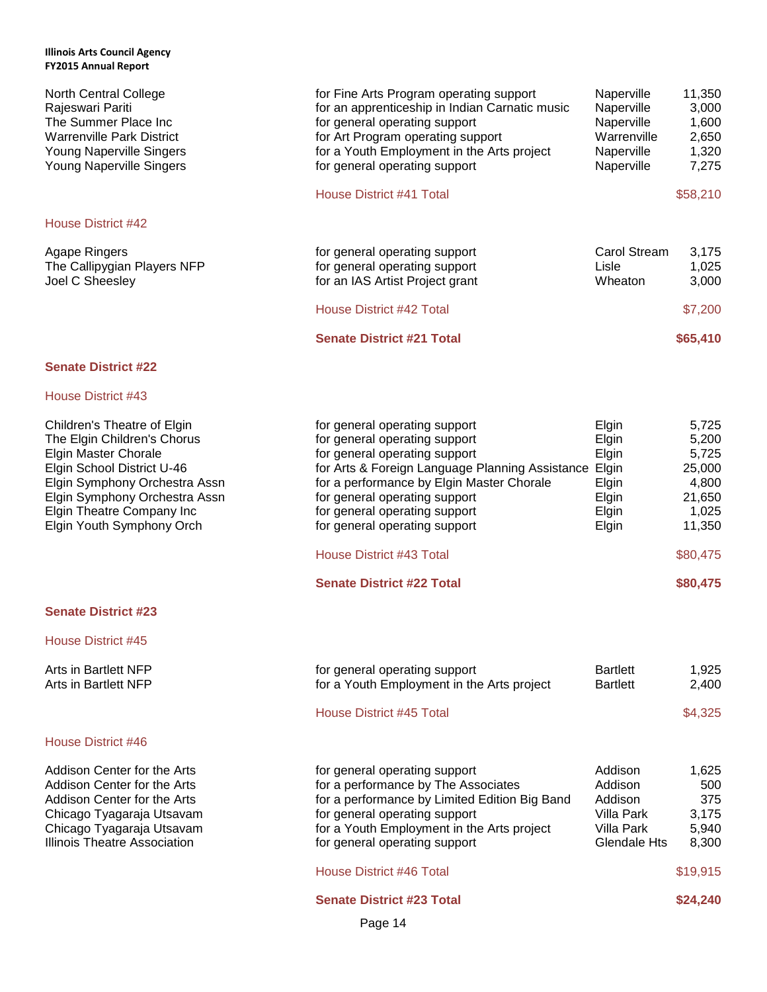| <b>North Central College</b><br>Rajeswari Pariti<br>The Summer Place Inc<br><b>Warrenville Park District</b><br>Young Naperville Singers<br>Young Naperville Singers                                                                         | for Fine Arts Program operating support<br>for an apprenticeship in Indian Carnatic music<br>for general operating support<br>for Art Program operating support<br>for a Youth Employment in the Arts project<br>for general operating support                                                           | Naperville<br>Naperville<br>Naperville<br>Warrenville<br>Naperville<br>Naperville       | 11,350<br>3,000<br>1,600<br>2,650<br>1,320<br>7,275                     |
|----------------------------------------------------------------------------------------------------------------------------------------------------------------------------------------------------------------------------------------------|----------------------------------------------------------------------------------------------------------------------------------------------------------------------------------------------------------------------------------------------------------------------------------------------------------|-----------------------------------------------------------------------------------------|-------------------------------------------------------------------------|
|                                                                                                                                                                                                                                              | House District #41 Total                                                                                                                                                                                                                                                                                 |                                                                                         | \$58,210                                                                |
| <b>House District #42</b>                                                                                                                                                                                                                    |                                                                                                                                                                                                                                                                                                          |                                                                                         |                                                                         |
| <b>Agape Ringers</b><br>The Callipygian Players NFP<br>Joel C Sheesley                                                                                                                                                                       | for general operating support<br>for general operating support<br>for an IAS Artist Project grant                                                                                                                                                                                                        | Carol Stream<br>Lisle<br>Wheaton                                                        | 3,175<br>1,025<br>3,000                                                 |
|                                                                                                                                                                                                                                              | House District #42 Total                                                                                                                                                                                                                                                                                 |                                                                                         | \$7,200                                                                 |
|                                                                                                                                                                                                                                              | <b>Senate District #21 Total</b>                                                                                                                                                                                                                                                                         |                                                                                         | \$65,410                                                                |
| <b>Senate District #22</b>                                                                                                                                                                                                                   |                                                                                                                                                                                                                                                                                                          |                                                                                         |                                                                         |
| <b>House District #43</b>                                                                                                                                                                                                                    |                                                                                                                                                                                                                                                                                                          |                                                                                         |                                                                         |
| Children's Theatre of Elgin<br>The Elgin Children's Chorus<br>Elgin Master Chorale<br>Elgin School District U-46<br>Elgin Symphony Orchestra Assn<br>Elgin Symphony Orchestra Assn<br>Elgin Theatre Company Inc<br>Elgin Youth Symphony Orch | for general operating support<br>for general operating support<br>for general operating support<br>for Arts & Foreign Language Planning Assistance Elgin<br>for a performance by Elgin Master Chorale<br>for general operating support<br>for general operating support<br>for general operating support | Elgin<br>Elgin<br>Elgin<br>Elgin<br>Elgin<br>Elgin<br>Elgin                             | 5,725<br>5,200<br>5,725<br>25,000<br>4,800<br>21,650<br>1,025<br>11,350 |
|                                                                                                                                                                                                                                              | House District #43 Total                                                                                                                                                                                                                                                                                 |                                                                                         | \$80,475                                                                |
|                                                                                                                                                                                                                                              | <b>Senate District #22 Total</b>                                                                                                                                                                                                                                                                         |                                                                                         | \$80,475                                                                |
| <b>Senate District #23</b>                                                                                                                                                                                                                   |                                                                                                                                                                                                                                                                                                          |                                                                                         |                                                                         |
| House District #45                                                                                                                                                                                                                           |                                                                                                                                                                                                                                                                                                          |                                                                                         |                                                                         |
| <b>Arts in Bartlett NFP</b><br><b>Arts in Bartlett NFP</b>                                                                                                                                                                                   | for general operating support<br>for a Youth Employment in the Arts project                                                                                                                                                                                                                              | <b>Bartlett</b><br><b>Bartlett</b>                                                      | 1,925<br>2,400                                                          |
|                                                                                                                                                                                                                                              | House District #45 Total                                                                                                                                                                                                                                                                                 |                                                                                         | \$4,325                                                                 |
| House District #46                                                                                                                                                                                                                           |                                                                                                                                                                                                                                                                                                          |                                                                                         |                                                                         |
| Addison Center for the Arts<br>Addison Center for the Arts<br>Addison Center for the Arts<br>Chicago Tyagaraja Utsavam<br>Chicago Tyagaraja Utsavam<br><b>Illinois Theatre Association</b>                                                   | for general operating support<br>for a performance by The Associates<br>for a performance by Limited Edition Big Band<br>for general operating support<br>for a Youth Employment in the Arts project<br>for general operating support                                                                    | Addison<br>Addison<br>Addison<br><b>Villa Park</b><br><b>Villa Park</b><br>Glendale Hts | 1,625<br>500<br>375<br>3,175<br>5,940<br>8,300                          |

# House District #46 Total \$19,915

**Senate District #23 Total \$24,240** 

Page 14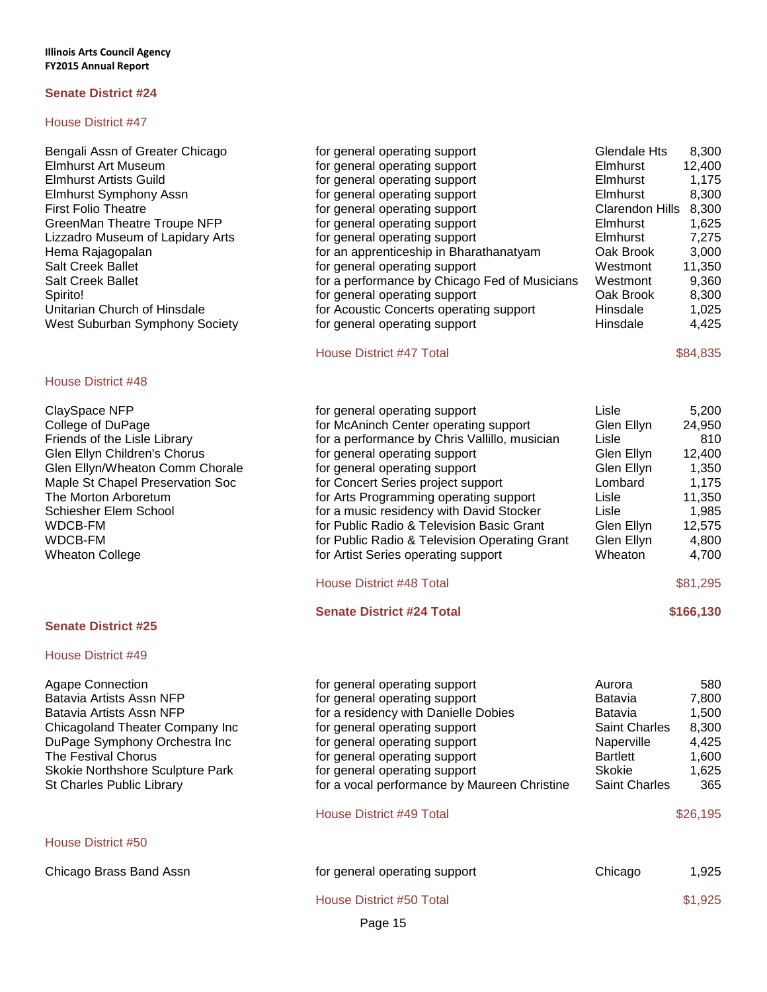### House District #47

### House District #48

| ClaySpace NFP                    |
|----------------------------------|
| College of DuPage                |
| Friends of the Lisle Library     |
| Glen Ellyn Children's Chorus     |
| Glen Ellyn/Wheaton Comm Chorale  |
| Maple St Chapel Preservation Soc |
| The Morton Arboretum             |
| Schiesher Elem School            |
| WDCB-FM                          |
| WDCB-FM                          |
| Wheaton College                  |

### **Senate District #25**

### House District #49

| Bengali Assn of Greater Chicago    | for general operating support                 | Glendale Hts           | 8,300  |
|------------------------------------|-----------------------------------------------|------------------------|--------|
| Elmhurst Art Museum                | for general operating support                 | <b>Elmhurst</b>        | 12,400 |
| Elmhurst Artists Guild             | for general operating support                 | <b>Elmhurst</b>        | 1.175  |
| Elmhurst Symphony Assn             | for general operating support                 | <b>Elmhurst</b>        | 8,300  |
| <b>First Folio Theatre</b>         | for general operating support                 | <b>Clarendon Hills</b> | 8,300  |
| <b>GreenMan Theatre Troupe NFP</b> | for general operating support                 | <b>Elmhurst</b>        | 1,625  |
| Lizzadro Museum of Lapidary Arts   | for general operating support                 | Elmhurst               | 7,275  |
| Hema Rajagopalan                   | for an apprenticeship in Bharathanatyam       | Oak Brook              | 3,000  |
| <b>Salt Creek Ballet</b>           | for general operating support                 | Westmont               | 11,350 |
| <b>Salt Creek Ballet</b>           | for a performance by Chicago Fed of Musicians | Westmont               | 9,360  |
| Spirito!                           | for general operating support                 | Oak Brook              | 8,300  |
| Unitarian Church of Hinsdale       | for Acoustic Concerts operating support       | <b>Hinsdale</b>        | 1,025  |
| West Suburban Symphony Society     | for general operating support                 | <b>Hinsdale</b>        | 4.425  |

# House District #47 Total \$84,835

| ClaySpace NFP                    | for general operating support                 | Lisle      | 5.200    |
|----------------------------------|-----------------------------------------------|------------|----------|
| College of DuPage                | for McAninch Center operating support         | Glen Ellyn | 24,950   |
| Friends of the Lisle Library     | for a performance by Chris Vallillo, musician | Lisle      | 810      |
| Glen Ellyn Children's Chorus     | for general operating support                 | Glen Ellyn | 12,400   |
| Glen Ellyn/Wheaton Comm Chorale  | for general operating support                 | Glen Ellyn | 1,350    |
| Maple St Chapel Preservation Soc | for Concert Series project support            | Lombard    | 1.175    |
| The Morton Arboretum             | for Arts Programming operating support        | Lisle      | 11,350   |
| Schiesher Elem School            | for a music residency with David Stocker      | Lisle      | 1,985    |
| WDCB-FM                          | for Public Radio & Television Basic Grant     | Glen Ellyn | 12,575   |
| WDCB-FM                          | for Public Radio & Television Operating Grant | Glen Ellyn | 4,800    |
| Wheaton College                  | for Artist Series operating support           | Wheaton    | 4.700    |
|                                  | <b>House District #48 Total</b>               |            | \$81,295 |
|                                  | ________________                              |            | .        |

**Senate District #24 Total \$166,130**

Agape Connection **Formulation** for general operating support **Aurora** Aurora 580 Batavia Artists Assn NFP for general operating support Batavia 7,800 Batavia Artists Assn NFP **For a residency with Danielle Dobies For a residency Setup Actional Residency** Batavia 1,500 Chicagoland Theater Company Inc for general operating support Saint Charles 8,300 DuPage Symphony Orchestra Inc for general operating support Naperville 4,425 The Festival Chorus **Form in the Festival Chorus** for general operating support **Form Bartlett** 1,600 Skokie Northshore Sculpture Park for general operating support Skokie 1,625 St Charles Public Library **France 20 Francisc Charles** 365 House District #49 Total \$26,195

# Page 15 House District #50 Chicago Brass Band Assn for general operating support Chicago 1,925 House District #50 Total \$1,925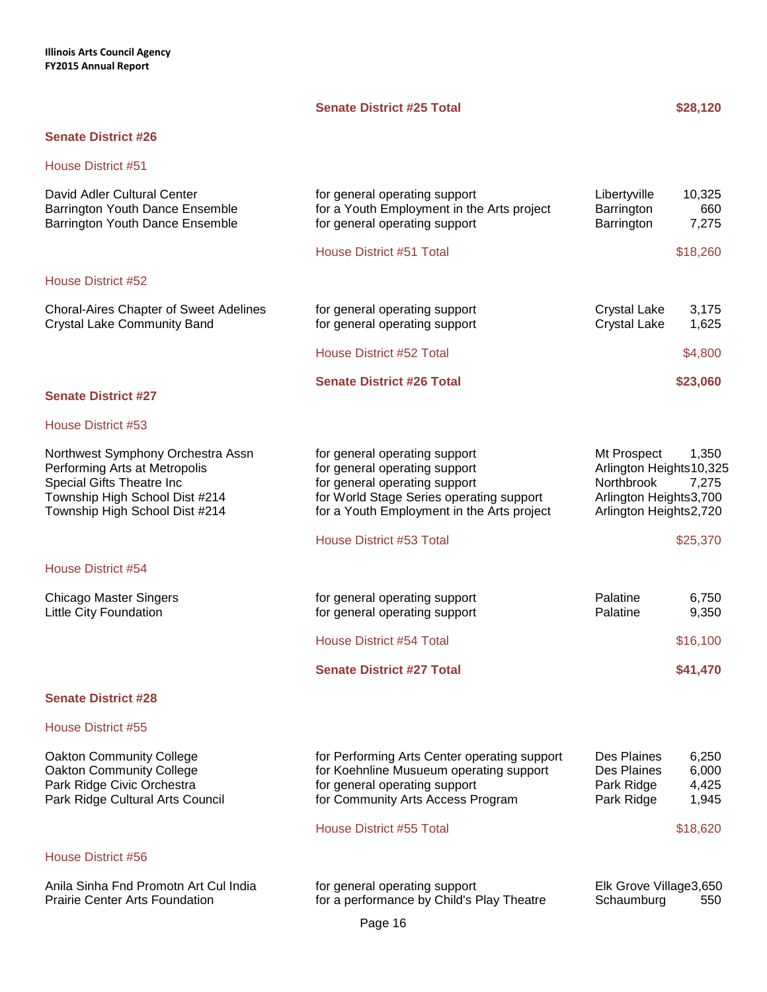# **Senate District #25 Total \$28,120**

# **Senate District #26**

| David Adler Cultural Center<br>Barrington Youth Dance Ensemble<br>Barrington Youth Dance Ensemble                                                                   | for general operating support<br>for a Youth Employment in the Arts project<br>for general operating support                                                                              | Libertyville<br>Barrington<br>Barrington                                                                 | 10,325<br>660<br>7,275           |
|---------------------------------------------------------------------------------------------------------------------------------------------------------------------|-------------------------------------------------------------------------------------------------------------------------------------------------------------------------------------------|----------------------------------------------------------------------------------------------------------|----------------------------------|
|                                                                                                                                                                     | House District #51 Total                                                                                                                                                                  |                                                                                                          | \$18,260                         |
| House District #52                                                                                                                                                  |                                                                                                                                                                                           |                                                                                                          |                                  |
| <b>Choral-Aires Chapter of Sweet Adelines</b><br><b>Crystal Lake Community Band</b>                                                                                 | for general operating support<br>for general operating support                                                                                                                            | <b>Crystal Lake</b><br><b>Crystal Lake</b>                                                               | 3,175<br>1,625                   |
|                                                                                                                                                                     | House District #52 Total                                                                                                                                                                  |                                                                                                          | \$4,800                          |
| <b>Senate District #27</b>                                                                                                                                          | <b>Senate District #26 Total</b>                                                                                                                                                          |                                                                                                          | \$23,060                         |
| House District #53                                                                                                                                                  |                                                                                                                                                                                           |                                                                                                          |                                  |
| Northwest Symphony Orchestra Assn<br>Performing Arts at Metropolis<br>Special Gifts Theatre Inc<br>Township High School Dist #214<br>Township High School Dist #214 | for general operating support<br>for general operating support<br>for general operating support<br>for World Stage Series operating support<br>for a Youth Employment in the Arts project | Mt Prospect<br>Arlington Heights10,325<br>Northbrook<br>Arlington Heights3,700<br>Arlington Heights2,720 | 1,350<br>7,275                   |
|                                                                                                                                                                     | House District #53 Total                                                                                                                                                                  |                                                                                                          | \$25,370                         |
| House District #54                                                                                                                                                  |                                                                                                                                                                                           |                                                                                                          |                                  |
| <b>Chicago Master Singers</b><br>Little City Foundation                                                                                                             | for general operating support<br>for general operating support                                                                                                                            | Palatine<br>Palatine                                                                                     | 6,750<br>9,350                   |
|                                                                                                                                                                     | House District #54 Total                                                                                                                                                                  |                                                                                                          | \$16,100                         |
|                                                                                                                                                                     | <b>Senate District #27 Total</b>                                                                                                                                                          |                                                                                                          | \$41,470                         |
| <b>Senate District #28</b>                                                                                                                                          |                                                                                                                                                                                           |                                                                                                          |                                  |
| House District #55                                                                                                                                                  |                                                                                                                                                                                           |                                                                                                          |                                  |
| <b>Oakton Community College</b><br><b>Oakton Community College</b><br>Park Ridge Civic Orchestra<br>Park Ridge Cultural Arts Council                                | for Performing Arts Center operating support<br>for Koehnline Musueum operating support<br>for general operating support<br>for Community Arts Access Program                             | Des Plaines<br>Des Plaines<br>Park Ridge<br>Park Ridge                                                   | 6,250<br>6,000<br>4,425<br>1,945 |
|                                                                                                                                                                     | <b>House District #55 Total</b>                                                                                                                                                           |                                                                                                          | \$18,620                         |
| <b>House District #56</b>                                                                                                                                           |                                                                                                                                                                                           |                                                                                                          |                                  |
| Anila Sinha Fnd Promotn Art Cul India<br><b>Prairie Center Arts Foundation</b>                                                                                      | for general operating support<br>for a performance by Child's Play Theatre                                                                                                                | Elk Grove Village3,650<br>Schaumburg                                                                     | 550                              |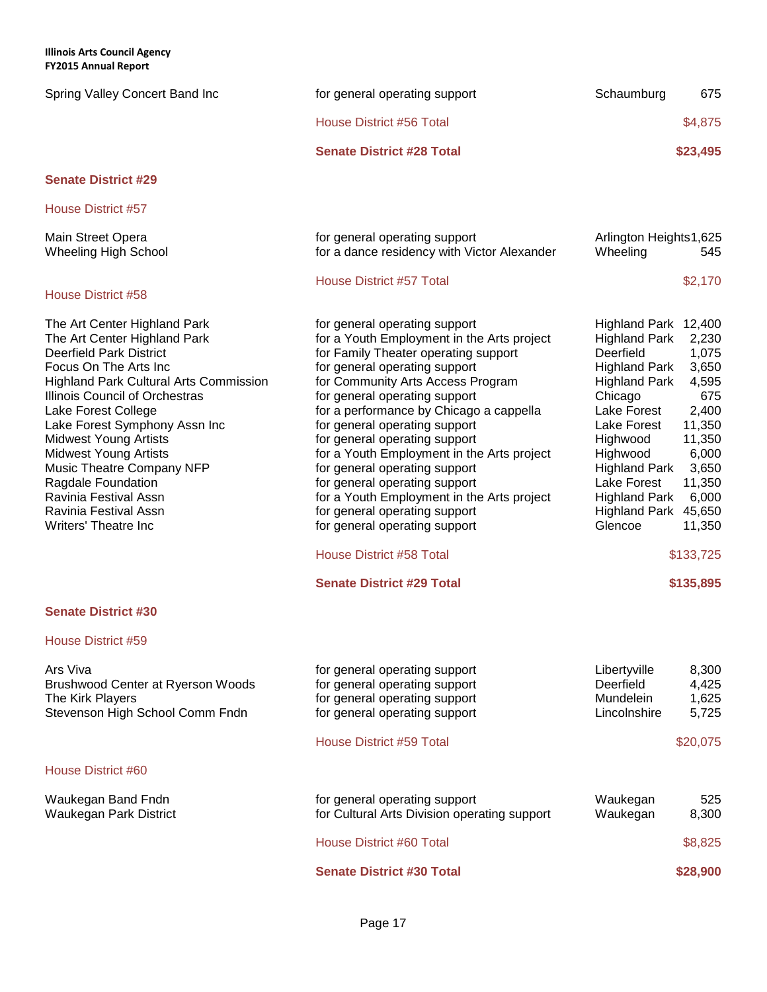**Illinois Arts Council Agency** .......<br>FV3015 Ani

| <b>FY2015 Annual Report</b>                                                                                                                                                                                                                                                                                                                                                                                                                                            |                                                                                                                                                                                                                                                                                                                                                                                                                                                                                                                                                                                                            |                                                                                                                                                                                                                                                                                                                                                                                                                  |
|------------------------------------------------------------------------------------------------------------------------------------------------------------------------------------------------------------------------------------------------------------------------------------------------------------------------------------------------------------------------------------------------------------------------------------------------------------------------|------------------------------------------------------------------------------------------------------------------------------------------------------------------------------------------------------------------------------------------------------------------------------------------------------------------------------------------------------------------------------------------------------------------------------------------------------------------------------------------------------------------------------------------------------------------------------------------------------------|------------------------------------------------------------------------------------------------------------------------------------------------------------------------------------------------------------------------------------------------------------------------------------------------------------------------------------------------------------------------------------------------------------------|
| Spring Valley Concert Band Inc                                                                                                                                                                                                                                                                                                                                                                                                                                         | for general operating support                                                                                                                                                                                                                                                                                                                                                                                                                                                                                                                                                                              | 675<br>Schaumburg                                                                                                                                                                                                                                                                                                                                                                                                |
|                                                                                                                                                                                                                                                                                                                                                                                                                                                                        | House District #56 Total                                                                                                                                                                                                                                                                                                                                                                                                                                                                                                                                                                                   | \$4,875                                                                                                                                                                                                                                                                                                                                                                                                          |
|                                                                                                                                                                                                                                                                                                                                                                                                                                                                        | <b>Senate District #28 Total</b>                                                                                                                                                                                                                                                                                                                                                                                                                                                                                                                                                                           | \$23,495                                                                                                                                                                                                                                                                                                                                                                                                         |
| <b>Senate District #29</b>                                                                                                                                                                                                                                                                                                                                                                                                                                             |                                                                                                                                                                                                                                                                                                                                                                                                                                                                                                                                                                                                            |                                                                                                                                                                                                                                                                                                                                                                                                                  |
| House District #57                                                                                                                                                                                                                                                                                                                                                                                                                                                     |                                                                                                                                                                                                                                                                                                                                                                                                                                                                                                                                                                                                            |                                                                                                                                                                                                                                                                                                                                                                                                                  |
| Main Street Opera<br><b>Wheeling High School</b>                                                                                                                                                                                                                                                                                                                                                                                                                       | for general operating support<br>for a dance residency with Victor Alexander                                                                                                                                                                                                                                                                                                                                                                                                                                                                                                                               | Arlington Heights1,625<br>Wheeling<br>545                                                                                                                                                                                                                                                                                                                                                                        |
| House District #58                                                                                                                                                                                                                                                                                                                                                                                                                                                     | House District #57 Total                                                                                                                                                                                                                                                                                                                                                                                                                                                                                                                                                                                   | \$2,170                                                                                                                                                                                                                                                                                                                                                                                                          |
| The Art Center Highland Park<br>The Art Center Highland Park<br><b>Deerfield Park District</b><br>Focus On The Arts Inc<br><b>Highland Park Cultural Arts Commission</b><br>Illinois Council of Orchestras<br>Lake Forest College<br>Lake Forest Symphony Assn Inc<br><b>Midwest Young Artists</b><br><b>Midwest Young Artists</b><br>Music Theatre Company NFP<br>Ragdale Foundation<br>Ravinia Festival Assn<br>Ravinia Festival Assn<br><b>Writers' Theatre Inc</b> | for general operating support<br>for a Youth Employment in the Arts project<br>for Family Theater operating support<br>for general operating support<br>for Community Arts Access Program<br>for general operating support<br>for a performance by Chicago a cappella<br>for general operating support<br>for general operating support<br>for a Youth Employment in the Arts project<br>for general operating support<br>for general operating support<br>for a Youth Employment in the Arts project<br>for general operating support<br>for general operating support<br><b>House District #58 Total</b> | Highland Park 12,400<br><b>Highland Park</b><br>2,230<br>Deerfield<br>1,075<br><b>Highland Park</b><br>3,650<br><b>Highland Park</b><br>4,595<br>Chicago<br>675<br>Lake Forest<br>2,400<br>Lake Forest<br>11,350<br>11,350<br>Highwood<br>6,000<br>Highwood<br><b>Highland Park</b><br>3,650<br>Lake Forest<br>11,350<br><b>Highland Park</b><br>6,000<br>Highland Park 45,650<br>Glencoe<br>11,350<br>\$133,725 |
|                                                                                                                                                                                                                                                                                                                                                                                                                                                                        | <b>Senate District #29 Total</b>                                                                                                                                                                                                                                                                                                                                                                                                                                                                                                                                                                           | \$135,895                                                                                                                                                                                                                                                                                                                                                                                                        |
| <b>Senate District #30</b>                                                                                                                                                                                                                                                                                                                                                                                                                                             |                                                                                                                                                                                                                                                                                                                                                                                                                                                                                                                                                                                                            |                                                                                                                                                                                                                                                                                                                                                                                                                  |
| House District #59                                                                                                                                                                                                                                                                                                                                                                                                                                                     |                                                                                                                                                                                                                                                                                                                                                                                                                                                                                                                                                                                                            |                                                                                                                                                                                                                                                                                                                                                                                                                  |
| Ars Viva<br>Brushwood Center at Ryerson Woods<br>The Kirk Players<br>Stevenson High School Comm Fndn                                                                                                                                                                                                                                                                                                                                                                   | for general operating support<br>for general operating support<br>for general operating support<br>for general operating support                                                                                                                                                                                                                                                                                                                                                                                                                                                                           | Libertyville<br>8,300<br>Deerfield<br>4,425<br>1,625<br><b>Mundelein</b><br>Lincolnshire<br>5,725                                                                                                                                                                                                                                                                                                                |
|                                                                                                                                                                                                                                                                                                                                                                                                                                                                        | <b>House District #59 Total</b>                                                                                                                                                                                                                                                                                                                                                                                                                                                                                                                                                                            | \$20,075                                                                                                                                                                                                                                                                                                                                                                                                         |
| House District #60                                                                                                                                                                                                                                                                                                                                                                                                                                                     |                                                                                                                                                                                                                                                                                                                                                                                                                                                                                                                                                                                                            |                                                                                                                                                                                                                                                                                                                                                                                                                  |
| Waukegan Band Fndn<br>Waukegan Park District                                                                                                                                                                                                                                                                                                                                                                                                                           | for general operating support<br>for Cultural Arts Division operating support                                                                                                                                                                                                                                                                                                                                                                                                                                                                                                                              | 525<br>Waukegan<br>Waukegan<br>8,300                                                                                                                                                                                                                                                                                                                                                                             |
|                                                                                                                                                                                                                                                                                                                                                                                                                                                                        | <b>House District #60 Total</b>                                                                                                                                                                                                                                                                                                                                                                                                                                                                                                                                                                            | \$8,825                                                                                                                                                                                                                                                                                                                                                                                                          |

**Senate District #30 Total \$28,900 \$28,900**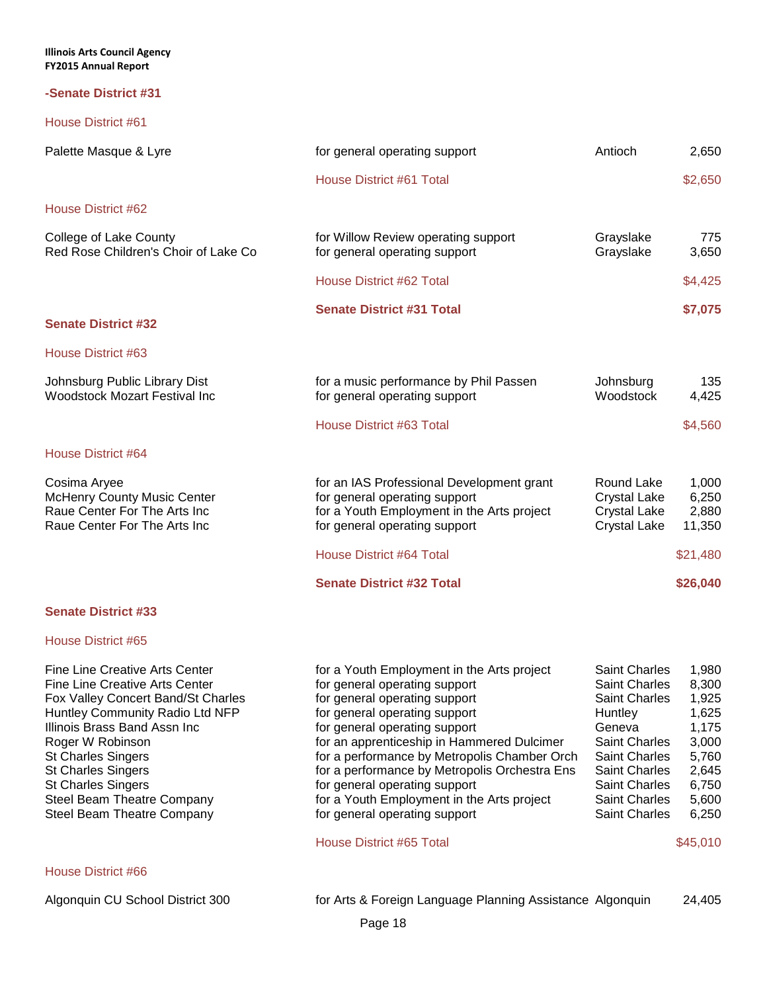### **-Senate District #31**

House District #61

| Palette Masque & Lyre                                                                                                                                                                                                                                                                                                                                          | for general operating support                                                                                                                                                                                                                                                                                                                                                                                                                                             | Antioch                                                                                                                                                                                                              | 2,650                                                                                                       |
|----------------------------------------------------------------------------------------------------------------------------------------------------------------------------------------------------------------------------------------------------------------------------------------------------------------------------------------------------------------|---------------------------------------------------------------------------------------------------------------------------------------------------------------------------------------------------------------------------------------------------------------------------------------------------------------------------------------------------------------------------------------------------------------------------------------------------------------------------|----------------------------------------------------------------------------------------------------------------------------------------------------------------------------------------------------------------------|-------------------------------------------------------------------------------------------------------------|
|                                                                                                                                                                                                                                                                                                                                                                | House District #61 Total                                                                                                                                                                                                                                                                                                                                                                                                                                                  |                                                                                                                                                                                                                      | \$2,650                                                                                                     |
| House District #62                                                                                                                                                                                                                                                                                                                                             |                                                                                                                                                                                                                                                                                                                                                                                                                                                                           |                                                                                                                                                                                                                      |                                                                                                             |
| College of Lake County<br>Red Rose Children's Choir of Lake Co                                                                                                                                                                                                                                                                                                 | for Willow Review operating support<br>for general operating support                                                                                                                                                                                                                                                                                                                                                                                                      | Grayslake<br>Grayslake                                                                                                                                                                                               | 775<br>3,650                                                                                                |
|                                                                                                                                                                                                                                                                                                                                                                | House District #62 Total                                                                                                                                                                                                                                                                                                                                                                                                                                                  |                                                                                                                                                                                                                      | \$4,425                                                                                                     |
| <b>Senate District #32</b>                                                                                                                                                                                                                                                                                                                                     | <b>Senate District #31 Total</b>                                                                                                                                                                                                                                                                                                                                                                                                                                          |                                                                                                                                                                                                                      | \$7,075                                                                                                     |
| House District #63                                                                                                                                                                                                                                                                                                                                             |                                                                                                                                                                                                                                                                                                                                                                                                                                                                           |                                                                                                                                                                                                                      |                                                                                                             |
| Johnsburg Public Library Dist<br><b>Woodstock Mozart Festival Inc</b>                                                                                                                                                                                                                                                                                          | for a music performance by Phil Passen<br>for general operating support                                                                                                                                                                                                                                                                                                                                                                                                   | Johnsburg<br>Woodstock                                                                                                                                                                                               | 135<br>4,425                                                                                                |
|                                                                                                                                                                                                                                                                                                                                                                | House District #63 Total                                                                                                                                                                                                                                                                                                                                                                                                                                                  |                                                                                                                                                                                                                      | \$4,560                                                                                                     |
| House District #64                                                                                                                                                                                                                                                                                                                                             |                                                                                                                                                                                                                                                                                                                                                                                                                                                                           |                                                                                                                                                                                                                      |                                                                                                             |
| Cosima Aryee<br><b>McHenry County Music Center</b><br>Raue Center For The Arts Inc<br>Raue Center For The Arts Inc                                                                                                                                                                                                                                             | for an IAS Professional Development grant<br>for general operating support<br>for a Youth Employment in the Arts project<br>for general operating support                                                                                                                                                                                                                                                                                                                 | Round Lake<br><b>Crystal Lake</b><br><b>Crystal Lake</b><br><b>Crystal Lake</b>                                                                                                                                      | 1,000<br>6,250<br>2,880<br>11,350                                                                           |
|                                                                                                                                                                                                                                                                                                                                                                | <b>House District #64 Total</b>                                                                                                                                                                                                                                                                                                                                                                                                                                           |                                                                                                                                                                                                                      | \$21,480                                                                                                    |
|                                                                                                                                                                                                                                                                                                                                                                | <b>Senate District #32 Total</b>                                                                                                                                                                                                                                                                                                                                                                                                                                          |                                                                                                                                                                                                                      | \$26,040                                                                                                    |
| <b>Senate District #33</b>                                                                                                                                                                                                                                                                                                                                     |                                                                                                                                                                                                                                                                                                                                                                                                                                                                           |                                                                                                                                                                                                                      |                                                                                                             |
| House District #65                                                                                                                                                                                                                                                                                                                                             |                                                                                                                                                                                                                                                                                                                                                                                                                                                                           |                                                                                                                                                                                                                      |                                                                                                             |
| Fine Line Creative Arts Center<br><b>Fine Line Creative Arts Center</b><br>Fox Valley Concert Band/St Charles<br>Huntley Community Radio Ltd NFP<br>Illinois Brass Band Assn Inc<br>Roger W Robinson<br><b>St Charles Singers</b><br><b>St Charles Singers</b><br><b>St Charles Singers</b><br><b>Steel Beam Theatre Company</b><br>Steel Beam Theatre Company | for a Youth Employment in the Arts project<br>for general operating support<br>for general operating support<br>for general operating support<br>for general operating support<br>for an apprenticeship in Hammered Dulcimer<br>for a performance by Metropolis Chamber Orch<br>for a performance by Metropolis Orchestra Ens<br>for general operating support<br>for a Youth Employment in the Arts project<br>for general operating support<br>House District #65 Total | Saint Charles<br><b>Saint Charles</b><br>Saint Charles<br><b>Huntley</b><br>Geneva<br>Saint Charles<br><b>Saint Charles</b><br><b>Saint Charles</b><br><b>Saint Charles</b><br><b>Saint Charles</b><br>Saint Charles | 1,980<br>8,300<br>1,925<br>1,625<br>1,175<br>3,000<br>5,760<br>2,645<br>6,750<br>5,600<br>6,250<br>\$45,010 |
| House District #66                                                                                                                                                                                                                                                                                                                                             |                                                                                                                                                                                                                                                                                                                                                                                                                                                                           |                                                                                                                                                                                                                      |                                                                                                             |

Algonquin CU School District 300 for Arts & Foreign Language Planning Assistance Algonquin 24,405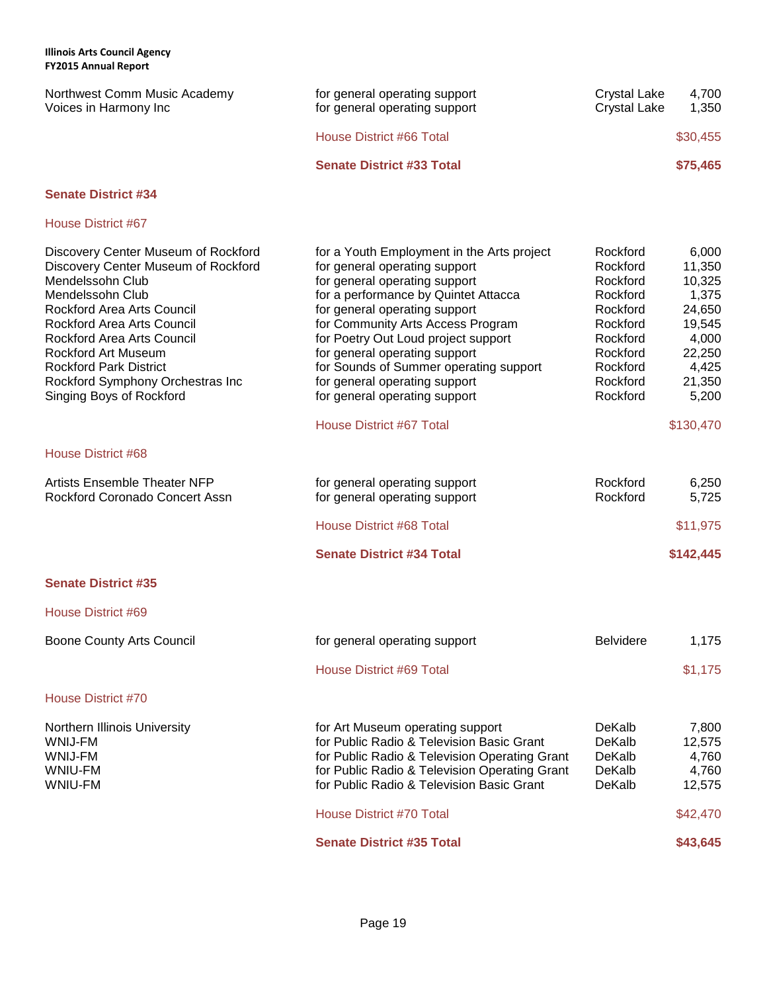| L LEVIJ MILIUM RUPUR                                                                                                                                                                                                                                                                                                                               |                                                                                                                                                                                                                                                                                                                                                                                                                |                                                                                                                                  |                                                                                                       |
|----------------------------------------------------------------------------------------------------------------------------------------------------------------------------------------------------------------------------------------------------------------------------------------------------------------------------------------------------|----------------------------------------------------------------------------------------------------------------------------------------------------------------------------------------------------------------------------------------------------------------------------------------------------------------------------------------------------------------------------------------------------------------|----------------------------------------------------------------------------------------------------------------------------------|-------------------------------------------------------------------------------------------------------|
| Northwest Comm Music Academy<br>Voices in Harmony Inc                                                                                                                                                                                                                                                                                              | for general operating support<br>for general operating support                                                                                                                                                                                                                                                                                                                                                 | <b>Crystal Lake</b><br><b>Crystal Lake</b>                                                                                       | 4,700<br>1,350                                                                                        |
|                                                                                                                                                                                                                                                                                                                                                    | <b>House District #66 Total</b>                                                                                                                                                                                                                                                                                                                                                                                |                                                                                                                                  | \$30,455                                                                                              |
|                                                                                                                                                                                                                                                                                                                                                    | <b>Senate District #33 Total</b>                                                                                                                                                                                                                                                                                                                                                                               |                                                                                                                                  | \$75,465                                                                                              |
| <b>Senate District #34</b>                                                                                                                                                                                                                                                                                                                         |                                                                                                                                                                                                                                                                                                                                                                                                                |                                                                                                                                  |                                                                                                       |
| House District #67                                                                                                                                                                                                                                                                                                                                 |                                                                                                                                                                                                                                                                                                                                                                                                                |                                                                                                                                  |                                                                                                       |
| Discovery Center Museum of Rockford<br>Discovery Center Museum of Rockford<br>Mendelssohn Club<br>Mendelssohn Club<br>Rockford Area Arts Council<br>Rockford Area Arts Council<br><b>Rockford Area Arts Council</b><br><b>Rockford Art Museum</b><br><b>Rockford Park District</b><br>Rockford Symphony Orchestras Inc<br>Singing Boys of Rockford | for a Youth Employment in the Arts project<br>for general operating support<br>for general operating support<br>for a performance by Quintet Attacca<br>for general operating support<br>for Community Arts Access Program<br>for Poetry Out Loud project support<br>for general operating support<br>for Sounds of Summer operating support<br>for general operating support<br>for general operating support | Rockford<br>Rockford<br>Rockford<br>Rockford<br>Rockford<br>Rockford<br>Rockford<br>Rockford<br>Rockford<br>Rockford<br>Rockford | 6,000<br>11,350<br>10,325<br>1,375<br>24,650<br>19,545<br>4,000<br>22,250<br>4,425<br>21,350<br>5,200 |
|                                                                                                                                                                                                                                                                                                                                                    | <b>House District #67 Total</b>                                                                                                                                                                                                                                                                                                                                                                                |                                                                                                                                  | \$130,470                                                                                             |
| House District #68                                                                                                                                                                                                                                                                                                                                 |                                                                                                                                                                                                                                                                                                                                                                                                                |                                                                                                                                  |                                                                                                       |
| <b>Artists Ensemble Theater NFP</b><br>Rockford Coronado Concert Assn                                                                                                                                                                                                                                                                              | for general operating support<br>for general operating support                                                                                                                                                                                                                                                                                                                                                 | Rockford<br>Rockford                                                                                                             | 6,250<br>5,725                                                                                        |
|                                                                                                                                                                                                                                                                                                                                                    | House District #68 Total                                                                                                                                                                                                                                                                                                                                                                                       |                                                                                                                                  | \$11,975                                                                                              |
|                                                                                                                                                                                                                                                                                                                                                    | <b>Senate District #34 Total</b>                                                                                                                                                                                                                                                                                                                                                                               |                                                                                                                                  | \$142,445                                                                                             |
| <b>Senate District #35</b>                                                                                                                                                                                                                                                                                                                         |                                                                                                                                                                                                                                                                                                                                                                                                                |                                                                                                                                  |                                                                                                       |
| House District #69                                                                                                                                                                                                                                                                                                                                 |                                                                                                                                                                                                                                                                                                                                                                                                                |                                                                                                                                  |                                                                                                       |
| Boone County Arts Council                                                                                                                                                                                                                                                                                                                          | for general operating support                                                                                                                                                                                                                                                                                                                                                                                  | <b>Belvidere</b>                                                                                                                 | 1,175                                                                                                 |
|                                                                                                                                                                                                                                                                                                                                                    | <b>House District #69 Total</b>                                                                                                                                                                                                                                                                                                                                                                                |                                                                                                                                  | \$1,175                                                                                               |
| <b>House District #70</b>                                                                                                                                                                                                                                                                                                                          |                                                                                                                                                                                                                                                                                                                                                                                                                |                                                                                                                                  |                                                                                                       |
| Northern Illinois University<br>WNIJ-FM<br>WNIJ-FM<br>WNIU-FM<br>WNIU-FM                                                                                                                                                                                                                                                                           | for Art Museum operating support<br>for Public Radio & Television Basic Grant<br>for Public Radio & Television Operating Grant<br>for Public Radio & Television Operating Grant<br>for Public Radio & Television Basic Grant                                                                                                                                                                                   | DeKalb<br>DeKalb<br>DeKalb<br>DeKalb<br>DeKalb                                                                                   | 7,800<br>12,575<br>4,760<br>4,760<br>12,575                                                           |
|                                                                                                                                                                                                                                                                                                                                                    | House District #70 Total                                                                                                                                                                                                                                                                                                                                                                                       |                                                                                                                                  | \$42,470                                                                                              |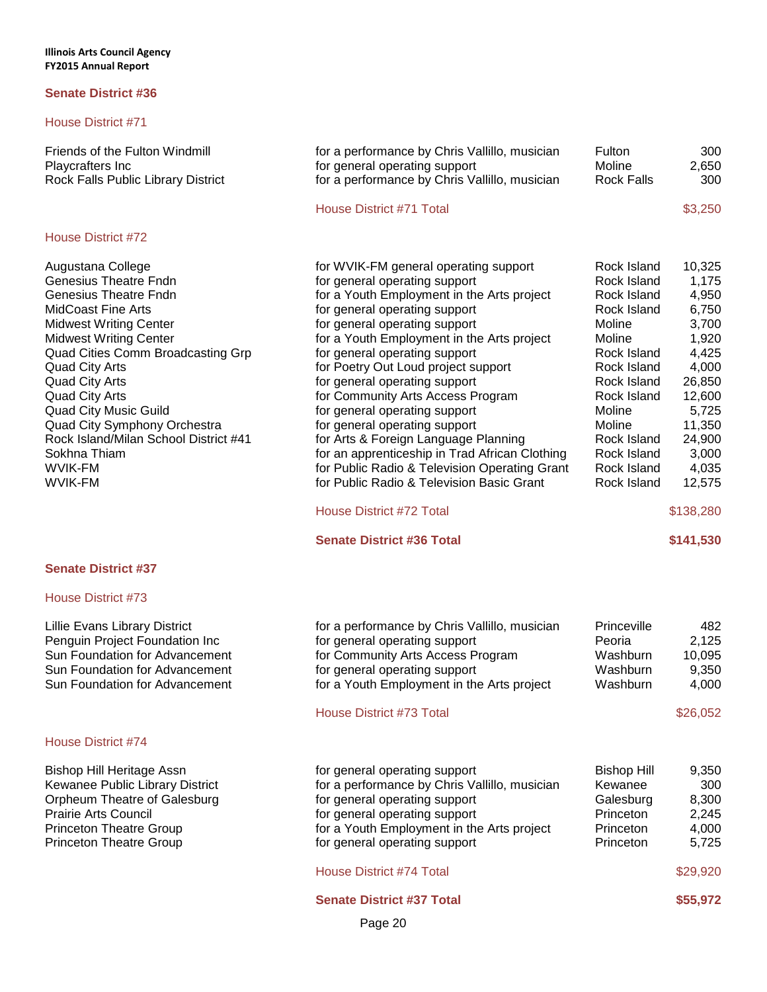### House District #71

| Friends of the Fulton Windmill<br>Playcrafters Inc<br>Rock Falls Public Library District                                                                                                                                                                                                                                                                                                                                                               | for a performance by Chris Vallillo, musician<br>for general operating support<br>for a performance by Chris Vallillo, musician                                                                                                                                                                                                                                                                                                                                                                                                                                                                                                                                                                              | Fulton<br>Moline<br><b>Rock Falls</b>                                                                                                                                                                                    | 300<br>2,650<br>300                                                                                                                                                          |
|--------------------------------------------------------------------------------------------------------------------------------------------------------------------------------------------------------------------------------------------------------------------------------------------------------------------------------------------------------------------------------------------------------------------------------------------------------|--------------------------------------------------------------------------------------------------------------------------------------------------------------------------------------------------------------------------------------------------------------------------------------------------------------------------------------------------------------------------------------------------------------------------------------------------------------------------------------------------------------------------------------------------------------------------------------------------------------------------------------------------------------------------------------------------------------|--------------------------------------------------------------------------------------------------------------------------------------------------------------------------------------------------------------------------|------------------------------------------------------------------------------------------------------------------------------------------------------------------------------|
|                                                                                                                                                                                                                                                                                                                                                                                                                                                        | House District #71 Total                                                                                                                                                                                                                                                                                                                                                                                                                                                                                                                                                                                                                                                                                     |                                                                                                                                                                                                                          | \$3,250                                                                                                                                                                      |
| House District #72                                                                                                                                                                                                                                                                                                                                                                                                                                     |                                                                                                                                                                                                                                                                                                                                                                                                                                                                                                                                                                                                                                                                                                              |                                                                                                                                                                                                                          |                                                                                                                                                                              |
| Augustana College<br>Genesius Theatre Fndn<br><b>Genesius Theatre Fndn</b><br><b>MidCoast Fine Arts</b><br><b>Midwest Writing Center</b><br><b>Midwest Writing Center</b><br>Quad Cities Comm Broadcasting Grp<br><b>Quad City Arts</b><br><b>Quad City Arts</b><br><b>Quad City Arts</b><br><b>Quad City Music Guild</b><br>Quad City Symphony Orchestra<br>Rock Island/Milan School District #41<br>Sokhna Thiam<br><b>WVIK-FM</b><br><b>WVIK-FM</b> | for WVIK-FM general operating support<br>for general operating support<br>for a Youth Employment in the Arts project<br>for general operating support<br>for general operating support<br>for a Youth Employment in the Arts project<br>for general operating support<br>for Poetry Out Loud project support<br>for general operating support<br>for Community Arts Access Program<br>for general operating support<br>for general operating support<br>for Arts & Foreign Language Planning<br>for an apprenticeship in Trad African Clothing<br>for Public Radio & Television Operating Grant<br>for Public Radio & Television Basic Grant<br>House District #72 Total<br><b>Senate District #36 Total</b> | Rock Island<br>Rock Island<br>Rock Island<br>Rock Island<br>Moline<br>Moline<br>Rock Island<br>Rock Island<br>Rock Island<br>Rock Island<br>Moline<br>Moline<br>Rock Island<br>Rock Island<br>Rock Island<br>Rock Island | 10,325<br>1,175<br>4,950<br>6,750<br>3,700<br>1,920<br>4,425<br>4,000<br>26,850<br>12,600<br>5,725<br>11,350<br>24,900<br>3,000<br>4,035<br>12,575<br>\$138,280<br>\$141,530 |
|                                                                                                                                                                                                                                                                                                                                                                                                                                                        |                                                                                                                                                                                                                                                                                                                                                                                                                                                                                                                                                                                                                                                                                                              |                                                                                                                                                                                                                          |                                                                                                                                                                              |
| <b>Senate District #37</b>                                                                                                                                                                                                                                                                                                                                                                                                                             |                                                                                                                                                                                                                                                                                                                                                                                                                                                                                                                                                                                                                                                                                                              |                                                                                                                                                                                                                          |                                                                                                                                                                              |
| House District #73                                                                                                                                                                                                                                                                                                                                                                                                                                     |                                                                                                                                                                                                                                                                                                                                                                                                                                                                                                                                                                                                                                                                                                              |                                                                                                                                                                                                                          |                                                                                                                                                                              |
| Lillie Evans Library District<br>Penguin Project Foundation Inc<br>Sun Foundation for Advancement<br>Sun Foundation for Advancement<br>Sun Foundation for Advancement                                                                                                                                                                                                                                                                                  | for a performance by Chris Vallillo, musician<br>for general operating support<br>for Community Arts Access Program<br>for general operating support<br>for a Youth Employment in the Arts project<br>House District #73 Total                                                                                                                                                                                                                                                                                                                                                                                                                                                                               | Princeville<br>Peoria<br>Washburn<br>Washburn<br>Washburn                                                                                                                                                                | 482<br>2,125<br>10,095<br>9,350<br>4,000<br>\$26,052                                                                                                                         |
|                                                                                                                                                                                                                                                                                                                                                                                                                                                        |                                                                                                                                                                                                                                                                                                                                                                                                                                                                                                                                                                                                                                                                                                              |                                                                                                                                                                                                                          |                                                                                                                                                                              |
| House District #74                                                                                                                                                                                                                                                                                                                                                                                                                                     |                                                                                                                                                                                                                                                                                                                                                                                                                                                                                                                                                                                                                                                                                                              |                                                                                                                                                                                                                          |                                                                                                                                                                              |

Bishop Hill Heritage Assn for general operating support Bishop Hill 9,350<br>Kewanee Public Library District for a performance by Chris Vallillo, musician Kewanee 300

Page 20 Orpheum Theatre of Galesburg for general operating support Galesburg 8,300<br>
Prairie Arts Council (2,245) or general operating support Princeton 2,245 Prairie Arts Council **Frairie Arts Council** for general operating support **Princeton** Princeton 2,245<br>Princeton Theatre Group for a Youth Employment in the Arts project Princeton 4,000 for a Youth Employment in the Arts project Princeton Theatre Group **Find the Strutter of the Critical** operating support Princeton Frinceton 5,725 House District #74 Total \$29,920 **Senate District #37 Total \$55,972** 

for a performance by Chris Vallillo, musician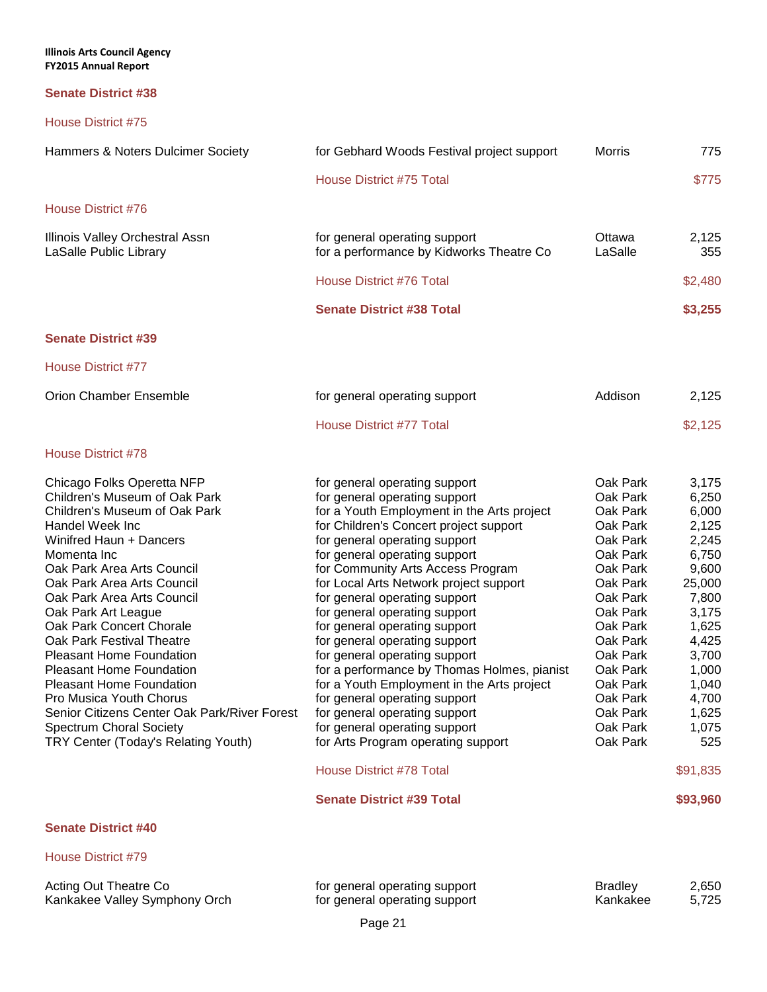### **Senate District #38**

| Hammers & Noters Dulcimer Society                                                                                                                                                                                                                                                                                                                                                                                                                                                                                                                                                                | for Gebhard Woods Festival project support                                                                                                                                                                                                                                                                                                                                                                                                                                                                                                                                                                                                                                                                                                                                                | <b>Morris</b>                                                                                                                                                                                                                    | 775                                                                                                                                                                                            |
|--------------------------------------------------------------------------------------------------------------------------------------------------------------------------------------------------------------------------------------------------------------------------------------------------------------------------------------------------------------------------------------------------------------------------------------------------------------------------------------------------------------------------------------------------------------------------------------------------|-------------------------------------------------------------------------------------------------------------------------------------------------------------------------------------------------------------------------------------------------------------------------------------------------------------------------------------------------------------------------------------------------------------------------------------------------------------------------------------------------------------------------------------------------------------------------------------------------------------------------------------------------------------------------------------------------------------------------------------------------------------------------------------------|----------------------------------------------------------------------------------------------------------------------------------------------------------------------------------------------------------------------------------|------------------------------------------------------------------------------------------------------------------------------------------------------------------------------------------------|
|                                                                                                                                                                                                                                                                                                                                                                                                                                                                                                                                                                                                  | <b>House District #75 Total</b>                                                                                                                                                                                                                                                                                                                                                                                                                                                                                                                                                                                                                                                                                                                                                           |                                                                                                                                                                                                                                  | \$775                                                                                                                                                                                          |
| House District #76                                                                                                                                                                                                                                                                                                                                                                                                                                                                                                                                                                               |                                                                                                                                                                                                                                                                                                                                                                                                                                                                                                                                                                                                                                                                                                                                                                                           |                                                                                                                                                                                                                                  |                                                                                                                                                                                                |
| Illinois Valley Orchestral Assn<br>LaSalle Public Library                                                                                                                                                                                                                                                                                                                                                                                                                                                                                                                                        | for general operating support<br>for a performance by Kidworks Theatre Co                                                                                                                                                                                                                                                                                                                                                                                                                                                                                                                                                                                                                                                                                                                 | Ottawa<br>LaSalle                                                                                                                                                                                                                | 2,125<br>355                                                                                                                                                                                   |
|                                                                                                                                                                                                                                                                                                                                                                                                                                                                                                                                                                                                  | House District #76 Total                                                                                                                                                                                                                                                                                                                                                                                                                                                                                                                                                                                                                                                                                                                                                                  |                                                                                                                                                                                                                                  | \$2,480                                                                                                                                                                                        |
|                                                                                                                                                                                                                                                                                                                                                                                                                                                                                                                                                                                                  | <b>Senate District #38 Total</b>                                                                                                                                                                                                                                                                                                                                                                                                                                                                                                                                                                                                                                                                                                                                                          |                                                                                                                                                                                                                                  | \$3,255                                                                                                                                                                                        |
| <b>Senate District #39</b>                                                                                                                                                                                                                                                                                                                                                                                                                                                                                                                                                                       |                                                                                                                                                                                                                                                                                                                                                                                                                                                                                                                                                                                                                                                                                                                                                                                           |                                                                                                                                                                                                                                  |                                                                                                                                                                                                |
| <b>House District #77</b>                                                                                                                                                                                                                                                                                                                                                                                                                                                                                                                                                                        |                                                                                                                                                                                                                                                                                                                                                                                                                                                                                                                                                                                                                                                                                                                                                                                           |                                                                                                                                                                                                                                  |                                                                                                                                                                                                |
| <b>Orion Chamber Ensemble</b>                                                                                                                                                                                                                                                                                                                                                                                                                                                                                                                                                                    | for general operating support                                                                                                                                                                                                                                                                                                                                                                                                                                                                                                                                                                                                                                                                                                                                                             | Addison                                                                                                                                                                                                                          | 2,125                                                                                                                                                                                          |
|                                                                                                                                                                                                                                                                                                                                                                                                                                                                                                                                                                                                  | <b>House District #77 Total</b>                                                                                                                                                                                                                                                                                                                                                                                                                                                                                                                                                                                                                                                                                                                                                           |                                                                                                                                                                                                                                  | \$2,125                                                                                                                                                                                        |
| House District #78                                                                                                                                                                                                                                                                                                                                                                                                                                                                                                                                                                               |                                                                                                                                                                                                                                                                                                                                                                                                                                                                                                                                                                                                                                                                                                                                                                                           |                                                                                                                                                                                                                                  |                                                                                                                                                                                                |
| Chicago Folks Operetta NFP<br>Children's Museum of Oak Park<br>Children's Museum of Oak Park<br>Handel Week Inc<br>Winifred Haun + Dancers<br>Momenta Inc<br>Oak Park Area Arts Council<br>Oak Park Area Arts Council<br>Oak Park Area Arts Council<br>Oak Park Art League<br>Oak Park Concert Chorale<br>Oak Park Festival Theatre<br><b>Pleasant Home Foundation</b><br><b>Pleasant Home Foundation</b><br><b>Pleasant Home Foundation</b><br>Pro Musica Youth Chorus<br>Senior Citizens Center Oak Park/River Forest<br><b>Spectrum Choral Society</b><br>TRY Center (Today's Relating Youth) | for general operating support<br>for general operating support<br>for a Youth Employment in the Arts project<br>for Children's Concert project support<br>for general operating support<br>for general operating support<br>for Community Arts Access Program<br>for Local Arts Network project support<br>for general operating support<br>for general operating support<br>for general operating support<br>for general operating support<br>for general operating support<br>for a performance by Thomas Holmes, pianist<br>for a Youth Employment in the Arts project<br>for general operating support<br>for general operating support<br>for general operating support<br>for Arts Program operating support<br><b>House District #78 Total</b><br><b>Senate District #39 Total</b> | Oak Park<br>Oak Park<br>Oak Park<br>Oak Park<br>Oak Park<br>Oak Park<br>Oak Park<br>Oak Park<br>Oak Park<br>Oak Park<br>Oak Park<br>Oak Park<br>Oak Park<br>Oak Park<br>Oak Park<br>Oak Park<br>Oak Park<br>Oak Park<br>Oak Park | 3,175<br>6,250<br>6,000<br>2,125<br>2,245<br>6,750<br>9,600<br>25,000<br>7,800<br>3,175<br>1,625<br>4,425<br>3,700<br>1,000<br>1,040<br>4,700<br>1,625<br>1,075<br>525<br>\$91,835<br>\$93,960 |
| <b>Senate District #40</b>                                                                                                                                                                                                                                                                                                                                                                                                                                                                                                                                                                       |                                                                                                                                                                                                                                                                                                                                                                                                                                                                                                                                                                                                                                                                                                                                                                                           |                                                                                                                                                                                                                                  |                                                                                                                                                                                                |
| House District #79                                                                                                                                                                                                                                                                                                                                                                                                                                                                                                                                                                               |                                                                                                                                                                                                                                                                                                                                                                                                                                                                                                                                                                                                                                                                                                                                                                                           |                                                                                                                                                                                                                                  |                                                                                                                                                                                                |
| Acting Out Theatre Co<br>Kankakee Valley Symphony Orch                                                                                                                                                                                                                                                                                                                                                                                                                                                                                                                                           | for general operating support<br>for general operating support                                                                                                                                                                                                                                                                                                                                                                                                                                                                                                                                                                                                                                                                                                                            | <b>Bradley</b><br>Kankakee                                                                                                                                                                                                       | 2,650<br>5,725                                                                                                                                                                                 |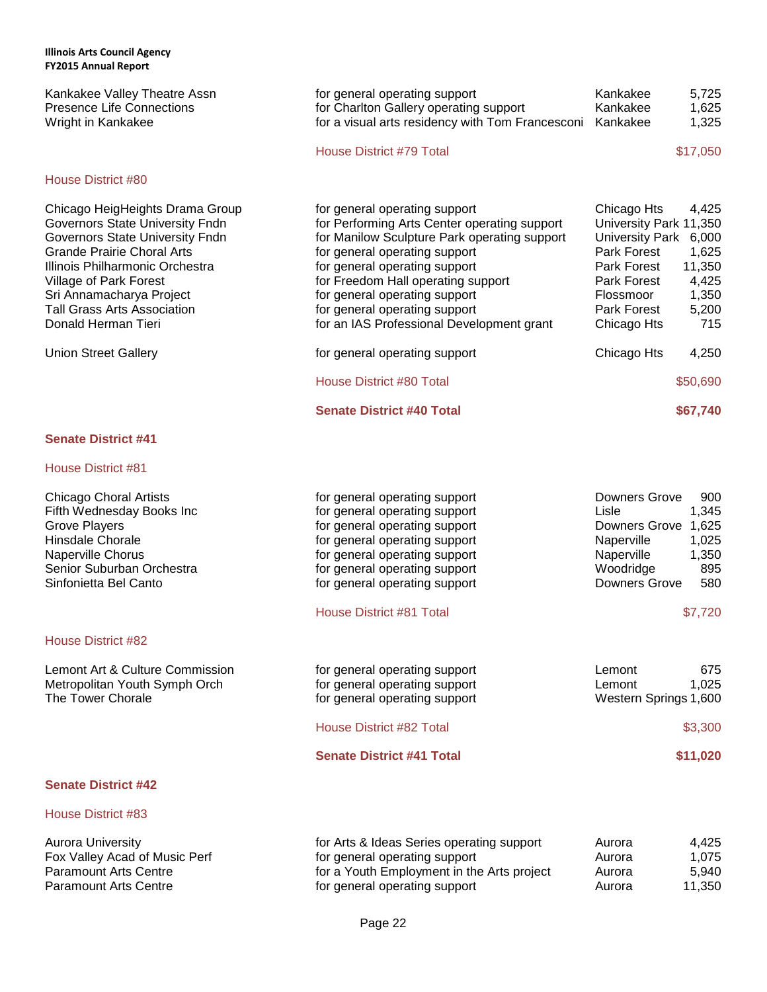| Kankakee Valley Theatre Assn<br><b>Presence Life Connections</b><br>Wright in Kankakee                                                                                                                                                                                                           | for general operating support<br>for Charlton Gallery operating support<br>for a visual arts residency with Tom Francesconi<br><b>House District #79 Total</b>                                                                                                                                                                                       | Kankakee<br>5,725<br>Kankakee<br>1,625<br>Kankakee<br>1,325<br>\$17,050                                                                                                                                                 |
|--------------------------------------------------------------------------------------------------------------------------------------------------------------------------------------------------------------------------------------------------------------------------------------------------|------------------------------------------------------------------------------------------------------------------------------------------------------------------------------------------------------------------------------------------------------------------------------------------------------------------------------------------------------|-------------------------------------------------------------------------------------------------------------------------------------------------------------------------------------------------------------------------|
| House District #80                                                                                                                                                                                                                                                                               |                                                                                                                                                                                                                                                                                                                                                      |                                                                                                                                                                                                                         |
| Chicago HeigHeights Drama Group<br>Governors State University Fndn<br>Governors State University Fndn<br><b>Grande Prairie Choral Arts</b><br>Illinois Philharmonic Orchestra<br>Village of Park Forest<br>Sri Annamacharya Project<br><b>Tall Grass Arts Association</b><br>Donald Herman Tieri | for general operating support<br>for Performing Arts Center operating support<br>for Manilow Sculpture Park operating support<br>for general operating support<br>for general operating support<br>for Freedom Hall operating support<br>for general operating support<br>for general operating support<br>for an IAS Professional Development grant | Chicago Hts<br>4,425<br>University Park 11,350<br>University Park<br>6,000<br>Park Forest<br>1,625<br>11,350<br>Park Forest<br>Park Forest<br>4,425<br>1,350<br>Flossmoor<br>Park Forest<br>5,200<br>715<br>Chicago Hts |
| <b>Union Street Gallery</b>                                                                                                                                                                                                                                                                      | for general operating support                                                                                                                                                                                                                                                                                                                        | Chicago Hts<br>4,250                                                                                                                                                                                                    |
|                                                                                                                                                                                                                                                                                                  | House District #80 Total                                                                                                                                                                                                                                                                                                                             | \$50,690                                                                                                                                                                                                                |
|                                                                                                                                                                                                                                                                                                  | <b>Senate District #40 Total</b>                                                                                                                                                                                                                                                                                                                     | \$67,740                                                                                                                                                                                                                |

# **Senate District #41**

# House District #81

| Chicago Choral Artists<br>Fifth Wednesday Books Inc<br>Grove Players<br>Hinsdale Chorale<br>Naperville Chorus<br>Senior Suburban Orchestra<br>Sinfonietta Bel Canto | for general operating support<br>for general operating support<br>for general operating support<br>for general operating support<br>for general operating support<br>for general operating support<br>for general operating support | Downers Grove<br>900<br>1,345<br>Lisle<br>Downers Grove<br>1,625<br>1,025<br>Naperville<br>Naperville<br>1,350<br>Woodridge<br>895<br>Downers Grove<br>580 |
|---------------------------------------------------------------------------------------------------------------------------------------------------------------------|-------------------------------------------------------------------------------------------------------------------------------------------------------------------------------------------------------------------------------------|------------------------------------------------------------------------------------------------------------------------------------------------------------|
|                                                                                                                                                                     | House District #81 Total                                                                                                                                                                                                            | \$7,720                                                                                                                                                    |
| House District #82                                                                                                                                                  |                                                                                                                                                                                                                                     |                                                                                                                                                            |
| Lemont Art & Culture Commission<br>Metropolitan Youth Symph Orch<br>The Tower Chorale                                                                               | for general operating support<br>for general operating support<br>for general operating support                                                                                                                                     | 675<br>Lemont<br>1,025<br>Lemont<br>Western Springs 1,600                                                                                                  |
|                                                                                                                                                                     | House District #82 Total                                                                                                                                                                                                            | \$3,300                                                                                                                                                    |
|                                                                                                                                                                     | <b>Senate District #41 Total</b>                                                                                                                                                                                                    | \$11,020                                                                                                                                                   |
| <b>Senate District #42</b>                                                                                                                                          |                                                                                                                                                                                                                                     |                                                                                                                                                            |

| Aurora University             |
|-------------------------------|
| Fox Valley Acad of Music Perf |
| Paramount Arts Centre         |
| <b>Paramount Arts Centre</b>  |

| Aurora University             | for Arts & Ideas Series operating support  | Aurora | 4.425  |
|-------------------------------|--------------------------------------------|--------|--------|
| Fox Valley Acad of Music Perf | for general operating support              | Aurora | 1.075  |
| Paramount Arts Centre         | for a Youth Employment in the Arts project | Aurora | 5.940  |
| Paramount Arts Centre         | for general operating support              | Aurora | 11.350 |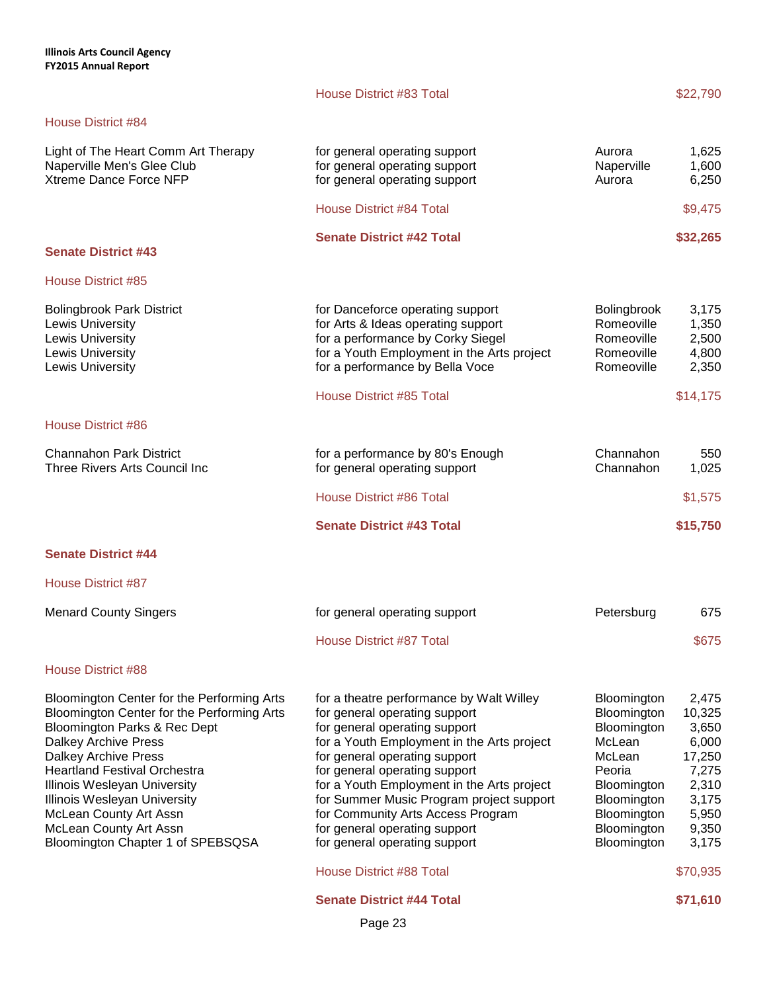| <b>House District #84</b>                                                                                                                                                                                                                                                                                                                                                              |                                                                                                                                                                                                                                                                                                                                                                                                                             |                                                                                                                                                    |                                                                                                   |
|----------------------------------------------------------------------------------------------------------------------------------------------------------------------------------------------------------------------------------------------------------------------------------------------------------------------------------------------------------------------------------------|-----------------------------------------------------------------------------------------------------------------------------------------------------------------------------------------------------------------------------------------------------------------------------------------------------------------------------------------------------------------------------------------------------------------------------|----------------------------------------------------------------------------------------------------------------------------------------------------|---------------------------------------------------------------------------------------------------|
| Light of The Heart Comm Art Therapy<br>Naperville Men's Glee Club<br>Xtreme Dance Force NFP                                                                                                                                                                                                                                                                                            | for general operating support<br>for general operating support<br>for general operating support                                                                                                                                                                                                                                                                                                                             | Aurora<br>Naperville<br>Aurora                                                                                                                     | 1,625<br>1,600<br>6,250                                                                           |
|                                                                                                                                                                                                                                                                                                                                                                                        | <b>House District #84 Total</b>                                                                                                                                                                                                                                                                                                                                                                                             |                                                                                                                                                    | \$9,475                                                                                           |
| <b>Senate District #43</b>                                                                                                                                                                                                                                                                                                                                                             | <b>Senate District #42 Total</b>                                                                                                                                                                                                                                                                                                                                                                                            |                                                                                                                                                    | \$32,265                                                                                          |
| <b>House District #85</b>                                                                                                                                                                                                                                                                                                                                                              |                                                                                                                                                                                                                                                                                                                                                                                                                             |                                                                                                                                                    |                                                                                                   |
| <b>Bolingbrook Park District</b><br>Lewis University<br>Lewis University<br>Lewis University<br>Lewis University                                                                                                                                                                                                                                                                       | for Danceforce operating support<br>for Arts & Ideas operating support<br>for a performance by Corky Siegel<br>for a Youth Employment in the Arts project<br>for a performance by Bella Voce                                                                                                                                                                                                                                | Bolingbrook<br>Romeoville<br>Romeoville<br>Romeoville<br>Romeoville                                                                                | 3,175<br>1,350<br>2,500<br>4,800<br>2,350                                                         |
|                                                                                                                                                                                                                                                                                                                                                                                        | House District #85 Total                                                                                                                                                                                                                                                                                                                                                                                                    |                                                                                                                                                    | \$14,175                                                                                          |
| House District #86                                                                                                                                                                                                                                                                                                                                                                     |                                                                                                                                                                                                                                                                                                                                                                                                                             |                                                                                                                                                    |                                                                                                   |
| <b>Channahon Park District</b><br>Three Rivers Arts Council Inc                                                                                                                                                                                                                                                                                                                        | for a performance by 80's Enough<br>for general operating support                                                                                                                                                                                                                                                                                                                                                           | Channahon<br>Channahon                                                                                                                             | 550<br>1,025                                                                                      |
|                                                                                                                                                                                                                                                                                                                                                                                        | <b>House District #86 Total</b>                                                                                                                                                                                                                                                                                                                                                                                             |                                                                                                                                                    | \$1,575                                                                                           |
|                                                                                                                                                                                                                                                                                                                                                                                        | <b>Senate District #43 Total</b>                                                                                                                                                                                                                                                                                                                                                                                            |                                                                                                                                                    | \$15,750                                                                                          |
| <b>Senate District #44</b>                                                                                                                                                                                                                                                                                                                                                             |                                                                                                                                                                                                                                                                                                                                                                                                                             |                                                                                                                                                    |                                                                                                   |
| <b>House District #87</b>                                                                                                                                                                                                                                                                                                                                                              |                                                                                                                                                                                                                                                                                                                                                                                                                             |                                                                                                                                                    |                                                                                                   |
| <b>Menard County Singers</b>                                                                                                                                                                                                                                                                                                                                                           | for general operating support                                                                                                                                                                                                                                                                                                                                                                                               | Petersburg                                                                                                                                         | 675                                                                                               |
|                                                                                                                                                                                                                                                                                                                                                                                        | <b>House District #87 Total</b>                                                                                                                                                                                                                                                                                                                                                                                             |                                                                                                                                                    | \$675                                                                                             |
| <b>House District #88</b>                                                                                                                                                                                                                                                                                                                                                              |                                                                                                                                                                                                                                                                                                                                                                                                                             |                                                                                                                                                    |                                                                                                   |
| Bloomington Center for the Performing Arts<br>Bloomington Center for the Performing Arts<br>Bloomington Parks & Rec Dept<br><b>Dalkey Archive Press</b><br><b>Dalkey Archive Press</b><br><b>Heartland Festival Orchestra</b><br>Illinois Wesleyan University<br>Illinois Wesleyan University<br>McLean County Art Assn<br>McLean County Art Assn<br>Bloomington Chapter 1 of SPEBSQSA | for a theatre performance by Walt Willey<br>for general operating support<br>for general operating support<br>for a Youth Employment in the Arts project<br>for general operating support<br>for general operating support<br>for a Youth Employment in the Arts project<br>for Summer Music Program project support<br>for Community Arts Access Program<br>for general operating support<br>for general operating support | Bloomington<br>Bloomington<br>Bloomington<br>McLean<br>McLean<br>Peoria<br>Bloomington<br>Bloomington<br>Bloomington<br>Bloomington<br>Bloomington | 2,475<br>10,325<br>3,650<br>6,000<br>17,250<br>7,275<br>2,310<br>3,175<br>5,950<br>9,350<br>3,175 |
|                                                                                                                                                                                                                                                                                                                                                                                        | House District #88 Total                                                                                                                                                                                                                                                                                                                                                                                                    |                                                                                                                                                    | \$70,935                                                                                          |
|                                                                                                                                                                                                                                                                                                                                                                                        | <b>Senate District #44 Total</b>                                                                                                                                                                                                                                                                                                                                                                                            |                                                                                                                                                    | \$71,610                                                                                          |

House District #83 Total \$22,790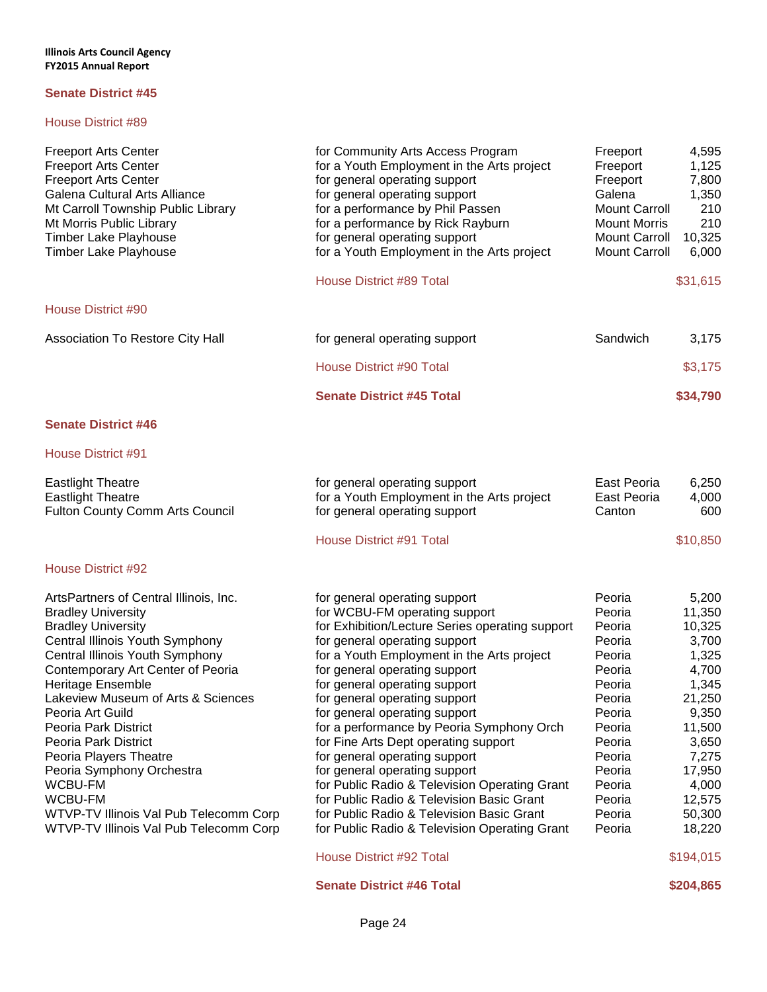| <b>Freeport Arts Center</b><br><b>Freeport Arts Center</b><br><b>Freeport Arts Center</b><br>Galena Cultural Arts Alliance<br>Mt Carroll Township Public Library<br>Mt Morris Public Library<br><b>Timber Lake Playhouse</b><br><b>Timber Lake Playhouse</b>                                                                                                                                                                                                                                                                     | for Community Arts Access Program<br>for a Youth Employment in the Arts project<br>for general operating support<br>for general operating support<br>for a performance by Phil Passen<br>for a performance by Rick Rayburn<br>for general operating support<br>for a Youth Employment in the Arts project                                                                                                                                                                                                                                                                                                                                                                                                           | Freeport<br>Freeport<br>Freeport<br>Galena<br><b>Mount Carroll</b><br><b>Mount Morris</b><br><b>Mount Carroll</b><br><b>Mount Carroll</b>                              | 4,595<br>1,125<br>7,800<br>1,350<br>210<br>210<br>10,325<br>6,000                                                                                                          |
|----------------------------------------------------------------------------------------------------------------------------------------------------------------------------------------------------------------------------------------------------------------------------------------------------------------------------------------------------------------------------------------------------------------------------------------------------------------------------------------------------------------------------------|---------------------------------------------------------------------------------------------------------------------------------------------------------------------------------------------------------------------------------------------------------------------------------------------------------------------------------------------------------------------------------------------------------------------------------------------------------------------------------------------------------------------------------------------------------------------------------------------------------------------------------------------------------------------------------------------------------------------|------------------------------------------------------------------------------------------------------------------------------------------------------------------------|----------------------------------------------------------------------------------------------------------------------------------------------------------------------------|
|                                                                                                                                                                                                                                                                                                                                                                                                                                                                                                                                  | <b>House District #89 Total</b>                                                                                                                                                                                                                                                                                                                                                                                                                                                                                                                                                                                                                                                                                     |                                                                                                                                                                        | \$31,615                                                                                                                                                                   |
| <b>House District #90</b>                                                                                                                                                                                                                                                                                                                                                                                                                                                                                                        |                                                                                                                                                                                                                                                                                                                                                                                                                                                                                                                                                                                                                                                                                                                     |                                                                                                                                                                        |                                                                                                                                                                            |
| Association To Restore City Hall                                                                                                                                                                                                                                                                                                                                                                                                                                                                                                 | for general operating support                                                                                                                                                                                                                                                                                                                                                                                                                                                                                                                                                                                                                                                                                       | Sandwich                                                                                                                                                               | 3,175                                                                                                                                                                      |
|                                                                                                                                                                                                                                                                                                                                                                                                                                                                                                                                  | House District #90 Total                                                                                                                                                                                                                                                                                                                                                                                                                                                                                                                                                                                                                                                                                            |                                                                                                                                                                        | \$3,175                                                                                                                                                                    |
|                                                                                                                                                                                                                                                                                                                                                                                                                                                                                                                                  | <b>Senate District #45 Total</b>                                                                                                                                                                                                                                                                                                                                                                                                                                                                                                                                                                                                                                                                                    |                                                                                                                                                                        | \$34,790                                                                                                                                                                   |
| <b>Senate District #46</b>                                                                                                                                                                                                                                                                                                                                                                                                                                                                                                       |                                                                                                                                                                                                                                                                                                                                                                                                                                                                                                                                                                                                                                                                                                                     |                                                                                                                                                                        |                                                                                                                                                                            |
| House District #91                                                                                                                                                                                                                                                                                                                                                                                                                                                                                                               |                                                                                                                                                                                                                                                                                                                                                                                                                                                                                                                                                                                                                                                                                                                     |                                                                                                                                                                        |                                                                                                                                                                            |
| <b>Eastlight Theatre</b><br><b>Eastlight Theatre</b><br>Fulton County Comm Arts Council                                                                                                                                                                                                                                                                                                                                                                                                                                          | for general operating support<br>for a Youth Employment in the Arts project<br>for general operating support                                                                                                                                                                                                                                                                                                                                                                                                                                                                                                                                                                                                        | East Peoria<br>East Peoria<br>Canton                                                                                                                                   | 6,250<br>4,000<br>600                                                                                                                                                      |
|                                                                                                                                                                                                                                                                                                                                                                                                                                                                                                                                  | House District #91 Total                                                                                                                                                                                                                                                                                                                                                                                                                                                                                                                                                                                                                                                                                            |                                                                                                                                                                        | \$10,850                                                                                                                                                                   |
| House District #92                                                                                                                                                                                                                                                                                                                                                                                                                                                                                                               |                                                                                                                                                                                                                                                                                                                                                                                                                                                                                                                                                                                                                                                                                                                     |                                                                                                                                                                        |                                                                                                                                                                            |
| ArtsPartners of Central Illinois, Inc.<br><b>Bradley University</b><br><b>Bradley University</b><br>Central Illinois Youth Symphony<br>Central Illinois Youth Symphony<br>Contemporary Art Center of Peoria<br>Heritage Ensemble<br>Lakeview Museum of Arts & Sciences<br>Peoria Art Guild<br>Peoria Park District<br>Peoria Park District<br>Peoria Players Theatre<br>Peoria Symphony Orchestra<br><b>WCBU-FM</b><br><b>WCBU-FM</b><br><b>WTVP-TV Illinois Val Pub Telecomm Corp</b><br>WTVP-TV Illinois Val Pub Telecomm Corp | for general operating support<br>for WCBU-FM operating support<br>for Exhibition/Lecture Series operating support<br>for general operating support<br>for a Youth Employment in the Arts project<br>for general operating support<br>for general operating support<br>for general operating support<br>for general operating support<br>for a performance by Peoria Symphony Orch<br>for Fine Arts Dept operating support<br>for general operating support<br>for general operating support<br>for Public Radio & Television Operating Grant<br>for Public Radio & Television Basic Grant<br>for Public Radio & Television Basic Grant<br>for Public Radio & Television Operating Grant<br>House District #92 Total | Peoria<br>Peoria<br>Peoria<br>Peoria<br>Peoria<br>Peoria<br>Peoria<br>Peoria<br>Peoria<br>Peoria<br>Peoria<br>Peoria<br>Peoria<br>Peoria<br>Peoria<br>Peoria<br>Peoria | 5,200<br>11,350<br>10,325<br>3,700<br>1,325<br>4,700<br>1,345<br>21,250<br>9,350<br>11,500<br>3,650<br>7,275<br>17,950<br>4,000<br>12,575<br>50,300<br>18,220<br>\$194,015 |
|                                                                                                                                                                                                                                                                                                                                                                                                                                                                                                                                  | <b>Senate District #46 Total</b>                                                                                                                                                                                                                                                                                                                                                                                                                                                                                                                                                                                                                                                                                    |                                                                                                                                                                        | \$204,865                                                                                                                                                                  |
|                                                                                                                                                                                                                                                                                                                                                                                                                                                                                                                                  |                                                                                                                                                                                                                                                                                                                                                                                                                                                                                                                                                                                                                                                                                                                     |                                                                                                                                                                        |                                                                                                                                                                            |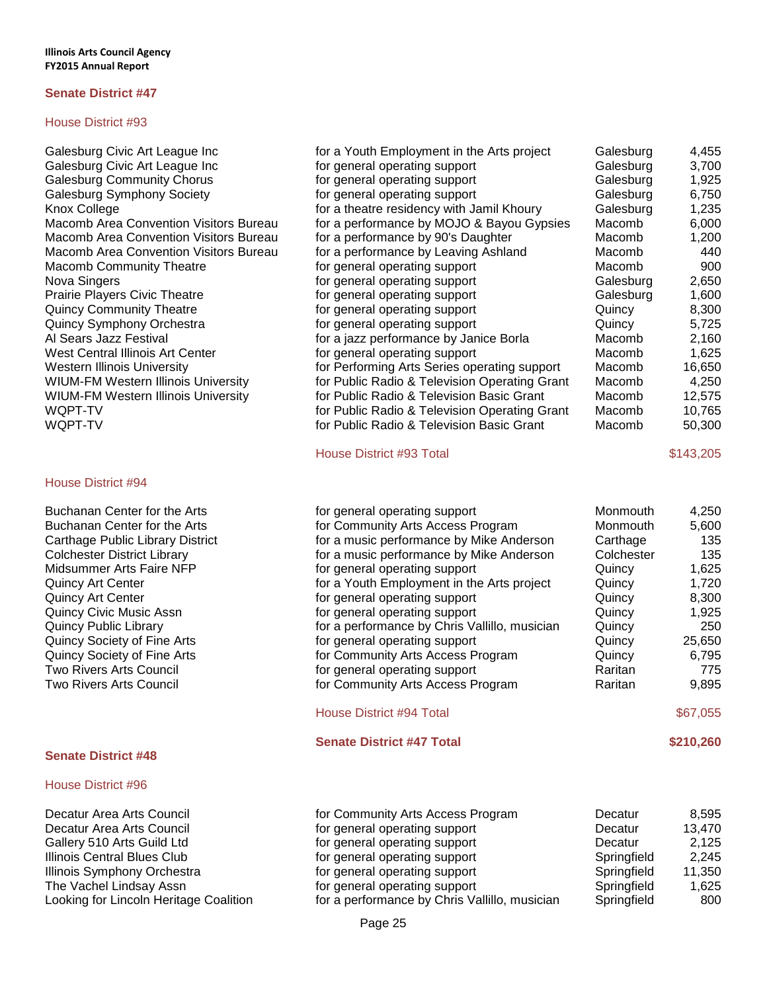### House District #93

### House District #94

Buchanan Center for the Arts for the Tensor operation operation of Buchanan Center for the Arts **Formula** Month 5,600 for Community Arts **Formula** Monogram Monogram Monogram Monogram Monogram Monogram Monogram Monogram Monogram Monogram Monogram Monogram Monogram Monogram Monogram Monogra Carthage Public Library District Colchester District Library Midsummer Arts Faire NFP Quincy Art Center Quincy Art Center Quincy Civic Music Assn Quincy Public Library Quincy Society of Fine Arts Quincy Society of Fine Arts Two Rivers Arts Council **For General Arts** for General Arts Raritan 7755 Two Rivers Arts Council for Community Arts Access Program Raritan 9,895

# **Senate District #48**

# House District #96

Decatur Area Arts Council Decatur Area Arts Council Gallery 510 Arts Guild Ltd **Illinois Central Blues Club** Illinois Symphony Orchestra The Vachel Lindsay Assn Looking for Lincoln Heritage Coalition

| Galesburg Civic Art League Inc                | for a Youth Employment in the Arts project    | Galesburg | 4,455  |
|-----------------------------------------------|-----------------------------------------------|-----------|--------|
| Galesburg Civic Art League Inc                | for general operating support                 | Galesburg | 3,700  |
| <b>Galesburg Community Chorus</b>             | for general operating support                 | Galesburg | 1,925  |
| Galesburg Symphony Society                    | for general operating support                 | Galesburg | 6,750  |
| Knox College                                  | for a theatre residency with Jamil Khoury     | Galesburg | 1,235  |
| <b>Macomb Area Convention Visitors Bureau</b> | for a performance by MOJO & Bayou Gypsies     | Macomb    | 6,000  |
| Macomb Area Convention Visitors Bureau        | for a performance by 90's Daughter            | Macomb    | 1,200  |
| Macomb Area Convention Visitors Bureau        | for a performance by Leaving Ashland          | Macomb    | 440    |
| <b>Macomb Community Theatre</b>               | for general operating support                 | Macomb    | 900    |
| Nova Singers                                  | for general operating support                 | Galesburg | 2,650  |
| <b>Prairie Players Civic Theatre</b>          | for general operating support                 | Galesburg | 1,600  |
| <b>Quincy Community Theatre</b>               | for general operating support                 | Quincy    | 8,300  |
| Quincy Symphony Orchestra                     | for general operating support                 | Quincy    | 5,725  |
| Al Sears Jazz Festival                        | for a jazz performance by Janice Borla        | Macomb    | 2,160  |
| West Central Illinois Art Center              | for general operating support                 | Macomb    | 1,625  |
| Western Illinois University                   | for Performing Arts Series operating support  | Macomb    | 16,650 |
| WIUM-FM Western Illinois University           | for Public Radio & Television Operating Grant | Macomb    | 4,250  |
| WIUM-FM Western Illinois University           | for Public Radio & Television Basic Grant     | Macomb    | 12,575 |
| WQPT-TV                                       | for Public Radio & Television Operating Grant | Macomb    | 10,765 |
| WQPT-TV                                       | for Public Radio & Television Basic Grant     | Macomb    | 50,300 |

# House District #93 Total \$143,205

| for general operating support                 | Monmouth   | 4,250     |
|-----------------------------------------------|------------|-----------|
| for Community Arts Access Program             | Monmouth   | 5,600     |
| for a music performance by Mike Anderson      | Carthage   | 135       |
| for a music performance by Mike Anderson      | Colchester | 135       |
| for general operating support                 | Quincy     | 1,625     |
| for a Youth Employment in the Arts project    | Quincy     | 1,720     |
| for general operating support                 | Quincy     | 8,300     |
| for general operating support                 | Quincy     | 1,925     |
| for a performance by Chris Vallillo, musician | Quincy     | 250       |
| for general operating support                 | Quincy     | 25,650    |
| for Community Arts Access Program             | Quincy     | 6,795     |
| for general operating support                 | Raritan    | 775       |
| for Community Arts Access Program             | Raritan    | 9,895     |
| <b>House District #94 Total</b>               |            | \$67,055  |
| <b>Senate District #47 Total</b>              |            | \$210,260 |
|                                               |            |           |

| for Community Arts Access Program             | Decatur     | 8,595  |
|-----------------------------------------------|-------------|--------|
| for general operating support                 | Decatur     | 13,470 |
| for general operating support                 | Decatur     | 2,125  |
| for general operating support                 | Springfield | 2.245  |
| for general operating support                 | Springfield | 11,350 |
| for general operating support                 | Springfield | 1,625  |
| for a performance by Chris Vallillo, musician | Springfield | 800    |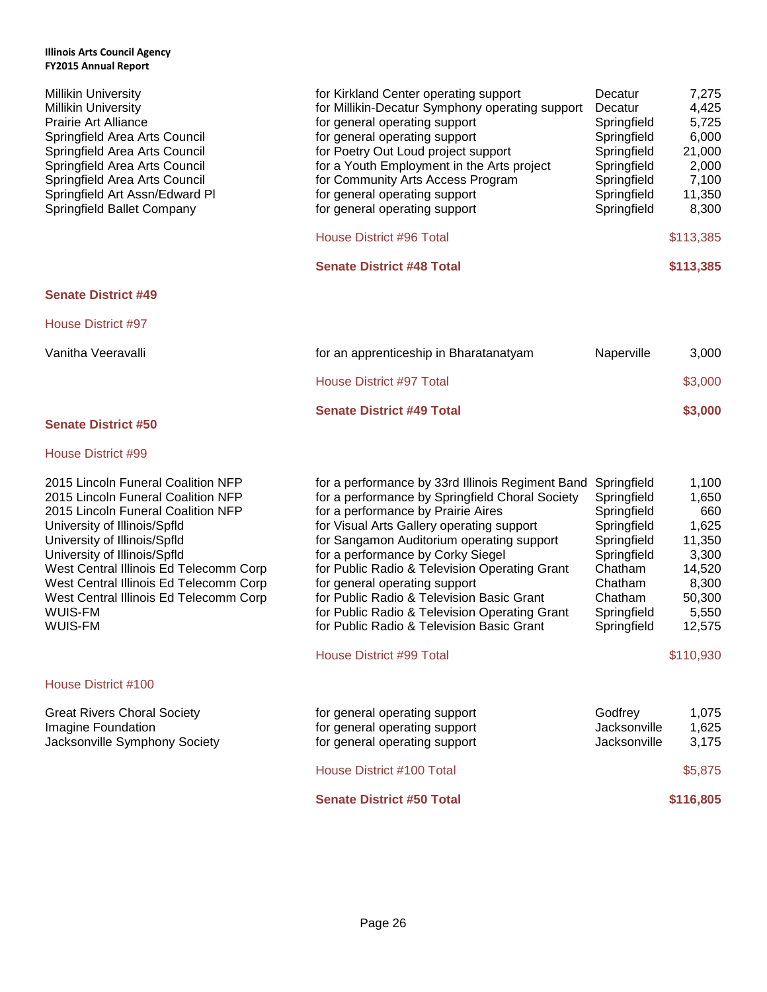| <b>Millikin University</b><br><b>Millikin University</b><br><b>Prairie Art Alliance</b><br>Springfield Area Arts Council<br>Springfield Area Arts Council<br>Springfield Area Arts Council<br>Springfield Area Arts Council<br>Springfield Art Assn/Edward Pl<br>Springfield Ballet Company                                                                        | for Kirkland Center operating support<br>for Millikin-Decatur Symphony operating support<br>for general operating support<br>for general operating support<br>for Poetry Out Loud project support<br>for a Youth Employment in the Arts project<br>for Community Arts Access Program<br>for general operating support<br>for general operating support<br><b>House District #96 Total</b>                                                                                                             | Decatur<br>Decatur<br>Springfield<br>Springfield<br>Springfield<br>Springfield<br>Springfield<br>Springfield<br>Springfield                           | 7,275<br>4,425<br>5,725<br>6,000<br>21,000<br>2,000<br>7,100<br>11,350<br>8,300<br>\$113,385      |
|--------------------------------------------------------------------------------------------------------------------------------------------------------------------------------------------------------------------------------------------------------------------------------------------------------------------------------------------------------------------|-------------------------------------------------------------------------------------------------------------------------------------------------------------------------------------------------------------------------------------------------------------------------------------------------------------------------------------------------------------------------------------------------------------------------------------------------------------------------------------------------------|-------------------------------------------------------------------------------------------------------------------------------------------------------|---------------------------------------------------------------------------------------------------|
|                                                                                                                                                                                                                                                                                                                                                                    | <b>Senate District #48 Total</b>                                                                                                                                                                                                                                                                                                                                                                                                                                                                      |                                                                                                                                                       | \$113,385                                                                                         |
| <b>Senate District #49</b>                                                                                                                                                                                                                                                                                                                                         |                                                                                                                                                                                                                                                                                                                                                                                                                                                                                                       |                                                                                                                                                       |                                                                                                   |
| <b>House District #97</b>                                                                                                                                                                                                                                                                                                                                          |                                                                                                                                                                                                                                                                                                                                                                                                                                                                                                       |                                                                                                                                                       |                                                                                                   |
| Vanitha Veeravalli                                                                                                                                                                                                                                                                                                                                                 | for an apprenticeship in Bharatanatyam                                                                                                                                                                                                                                                                                                                                                                                                                                                                | Naperville                                                                                                                                            | 3,000                                                                                             |
|                                                                                                                                                                                                                                                                                                                                                                    | <b>House District #97 Total</b>                                                                                                                                                                                                                                                                                                                                                                                                                                                                       |                                                                                                                                                       | \$3,000                                                                                           |
| <b>Senate District #50</b>                                                                                                                                                                                                                                                                                                                                         | <b>Senate District #49 Total</b>                                                                                                                                                                                                                                                                                                                                                                                                                                                                      |                                                                                                                                                       | \$3,000                                                                                           |
| House District #99                                                                                                                                                                                                                                                                                                                                                 |                                                                                                                                                                                                                                                                                                                                                                                                                                                                                                       |                                                                                                                                                       |                                                                                                   |
| 2015 Lincoln Funeral Coalition NFP<br>2015 Lincoln Funeral Coalition NFP<br>2015 Lincoln Funeral Coalition NFP<br>University of Illinois/Spfld<br>University of Illinois/Spfld<br>University of Illinois/Spfld<br>West Central Illinois Ed Telecomm Corp<br>West Central Illinois Ed Telecomm Corp<br>West Central Illinois Ed Telecomm Corp<br>WUIS-FM<br>WUIS-FM | for a performance by 33rd Illinois Regiment Band<br>for a performance by Springfield Choral Society<br>for a performance by Prairie Aires<br>for Visual Arts Gallery operating support<br>for Sangamon Auditorium operating support<br>for a performance by Corky Siegel<br>for Public Radio & Television Operating Grant<br>for general operating support<br>for Public Radio & Television Basic Grant<br>for Public Radio & Television Operating Grant<br>for Public Radio & Television Basic Grant | Springfield<br>Springfield<br>Springfield<br>Springfield<br>Springfield<br>Springfield<br>Chatham<br>Chatham<br>Chatham<br>Springfield<br>Springfield | 1,100<br>1,650<br>660<br>1,625<br>11,350<br>3,300<br>14,520<br>8,300<br>50,300<br>5,550<br>12,575 |
|                                                                                                                                                                                                                                                                                                                                                                    | <b>House District #99 Total</b>                                                                                                                                                                                                                                                                                                                                                                                                                                                                       |                                                                                                                                                       | \$110,930                                                                                         |
| House District #100                                                                                                                                                                                                                                                                                                                                                |                                                                                                                                                                                                                                                                                                                                                                                                                                                                                                       |                                                                                                                                                       |                                                                                                   |
| <b>Great Rivers Choral Society</b><br>Imagine Foundation<br>Jacksonville Symphony Society                                                                                                                                                                                                                                                                          | for general operating support<br>for general operating support<br>for general operating support                                                                                                                                                                                                                                                                                                                                                                                                       | Godfrey<br>Jacksonville<br>Jacksonville                                                                                                               | 1,075<br>1,625<br>3,175                                                                           |
|                                                                                                                                                                                                                                                                                                                                                                    | House District #100 Total                                                                                                                                                                                                                                                                                                                                                                                                                                                                             |                                                                                                                                                       | \$5,875                                                                                           |
|                                                                                                                                                                                                                                                                                                                                                                    | <b>Senate District #50 Total</b>                                                                                                                                                                                                                                                                                                                                                                                                                                                                      |                                                                                                                                                       | \$116,805                                                                                         |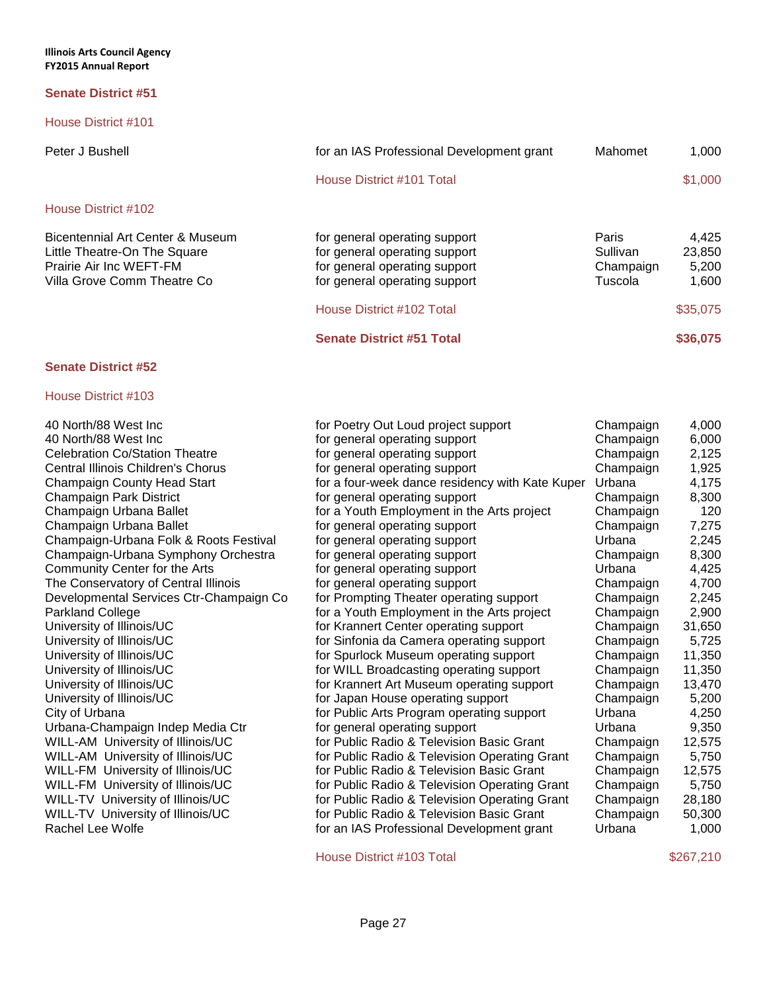House District #101

# House District #102

| Bicentennial Art Center & Museum |  |
|----------------------------------|--|
| Little Theatre-On The Square     |  |
| Prairie Air Inc WEFT-FM          |  |
| Villa Grove Comm Theatre Co      |  |
|                                  |  |

| Peter J Bushell                                                                                                            | for an IAS Professional Development grant                                                                                        | Mahomet                                   | 1.000                             |
|----------------------------------------------------------------------------------------------------------------------------|----------------------------------------------------------------------------------------------------------------------------------|-------------------------------------------|-----------------------------------|
|                                                                                                                            | House District #101 Total                                                                                                        |                                           | \$1,000                           |
| House District #102                                                                                                        |                                                                                                                                  |                                           |                                   |
| Bicentennial Art Center & Museum<br>Little Theatre-On The Square<br>Prairie Air Inc WEFT-FM<br>Villa Grove Comm Theatre Co | for general operating support<br>for general operating support<br>for general operating support<br>for general operating support | Paris<br>Sullivan<br>Champaign<br>Tuscola | 4,425<br>23,850<br>5,200<br>1.600 |
|                                                                                                                            | House District #102 Total                                                                                                        |                                           | \$35,075                          |
|                                                                                                                            | <b>Senate District #51 Total</b>                                                                                                 |                                           | \$36,075                          |

# **Senate District #52**

# House District #103

| 40 NORTIV88 West Inc                      | tor F             |
|-------------------------------------------|-------------------|
| 40 North/88 West Inc                      | for g             |
| <b>Celebration Co/Station Theatre</b>     | for $g$           |
| <b>Central Illinois Children's Chorus</b> | for g             |
| Champaign County Head Start               | for a             |
| Champaign Park District                   | for g             |
| Champaign Urbana Ballet                   | for a             |
| Champaign Urbana Ballet                   | for g             |
| Champaign-Urbana Folk & Roots Festival    | for g             |
| Champaign-Urbana Symphony Orchestra       | for g             |
| Community Center for the Arts             | for g             |
| The Conservatory of Central Illinois      | for g             |
| Developmental Services Ctr-Champaign Co   | for F             |
| <b>Parkland College</b>                   | for a             |
| University of Illinois/UC                 | for k             |
| University of Illinois/UC                 | for S             |
| University of Illinois/UC                 | for S             |
| University of Illinois/UC                 | for V             |
| University of Illinois/UC                 | for k             |
| University of Illinois/UC                 | for J             |
| City of Urbana                            | for F             |
| Urbana-Champaign Indep Media Ctr          | for $g$           |
| WILL-AM University of Illinois/UC         | for F             |
| WILL-AM University of Illinois/UC         | for F             |
| WILL-FM University of Illinois/UC         | for F             |
| WILL-FM University of Illinois/UC         | for F             |
| WILL-TV University of Illinois/UC         | for F             |
| WILL-TV University of Illinois/UC         | for F             |
| Rachel Lee Wolfe                          | for $\varepsilon$ |

| 40 North/88 West Inc                    | for Poetry Out Loud project support             | Champaign | 4,000  |
|-----------------------------------------|-------------------------------------------------|-----------|--------|
| 40 North/88 West Inc                    | for general operating support                   | Champaign | 6,000  |
| Celebration Co/Station Theatre          | for general operating support                   | Champaign | 2,125  |
| Central Illinois Children's Chorus      | for general operating support                   | Champaign | 1,925  |
| Champaign County Head Start             | for a four-week dance residency with Kate Kuper | Urbana    | 4,175  |
| Champaign Park District                 | for general operating support                   | Champaign | 8,300  |
| Champaign Urbana Ballet                 | for a Youth Employment in the Arts project      | Champaign | 120    |
| Champaign Urbana Ballet                 | for general operating support                   | Champaign | 7,275  |
| Champaign-Urbana Folk & Roots Festival  | for general operating support                   | Urbana    | 2,245  |
| Champaign-Urbana Symphony Orchestra     | for general operating support                   | Champaign | 8,300  |
| Community Center for the Arts           | for general operating support                   | Urbana    | 4,425  |
| The Conservatory of Central Illinois    | for general operating support                   | Champaign | 4,700  |
| Developmental Services Ctr-Champaign Co | for Prompting Theater operating support         | Champaign | 2,245  |
| Parkland College                        | for a Youth Employment in the Arts project      | Champaign | 2,900  |
| University of Illinois/UC               | for Krannert Center operating support           | Champaign | 31,650 |
| University of Illinois/UC               | for Sinfonia da Camera operating support        | Champaign | 5,725  |
| University of Illinois/UC               | for Spurlock Museum operating support           | Champaign | 11,350 |
| University of Illinois/UC               | for WILL Broadcasting operating support         | Champaign | 11,350 |
| University of Illinois/UC               | for Krannert Art Museum operating support       | Champaign | 13,470 |
| University of Illinois/UC               | for Japan House operating support               | Champaign | 5,200  |
| City of Urbana                          | for Public Arts Program operating support       | Urbana    | 4,250  |
| Urbana-Champaign Indep Media Ctr        | for general operating support                   | Urbana    | 9,350  |
| WILL-AM University of Illinois/UC       | for Public Radio & Television Basic Grant       | Champaign | 12,575 |
| WILL-AM University of Illinois/UC       | for Public Radio & Television Operating Grant   | Champaign | 5,750  |
| WILL-FM University of Illinois/UC       | for Public Radio & Television Basic Grant       | Champaign | 12,575 |
| WILL-FM University of Illinois/UC       | for Public Radio & Television Operating Grant   | Champaign | 5,750  |
| WILL-TV University of Illinois/UC       | for Public Radio & Television Operating Grant   | Champaign | 28,180 |
| WILL-TV University of Illinois/UC       | for Public Radio & Television Basic Grant       | Champaign | 50,300 |
| Rachel Lee Wolfe                        | for an IAS Professional Development grant       | Urbana    | 1,000  |
|                                         |                                                 |           |        |

House District #103 Total \$267,210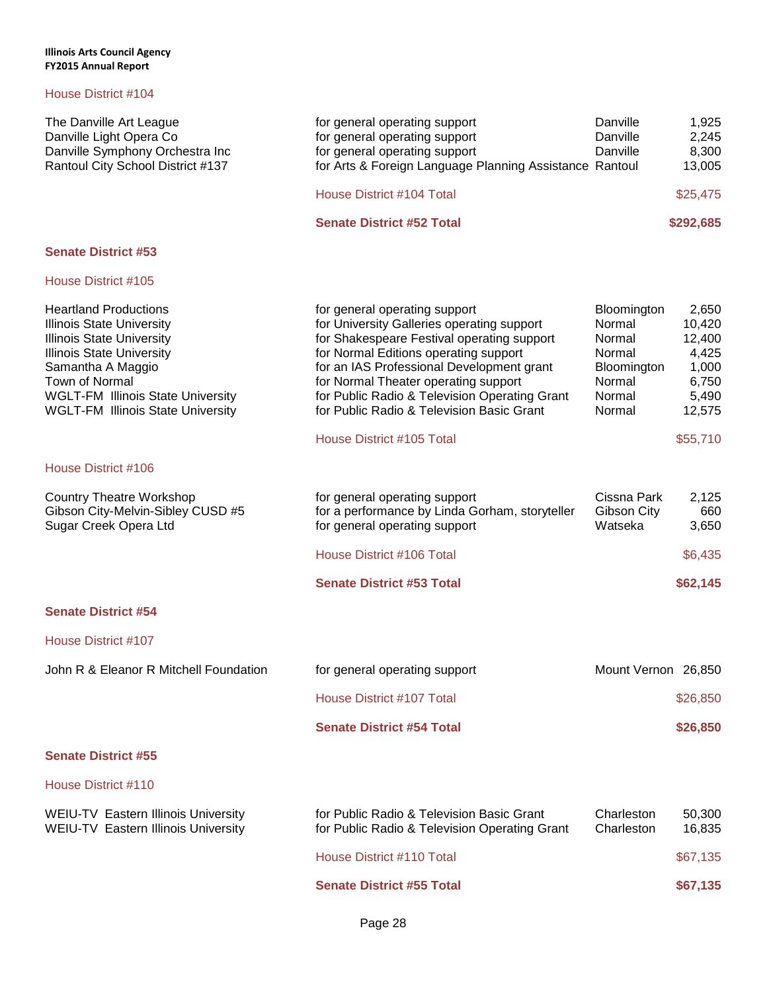| The Danville Art League<br>Danville Light Opera Co<br>Danville Symphony Orchestra Inc<br>Rantoul City School District #137                                                                                                                                              | for general operating support<br>for general operating support<br>for general operating support<br>for Arts & Foreign Language Planning Assistance Rantoul                                                                                                                                                                                            | Danville<br>Danville<br>Danville                                                       | 1,925<br>2,245<br>8,300<br>13,005                                       |
|-------------------------------------------------------------------------------------------------------------------------------------------------------------------------------------------------------------------------------------------------------------------------|-------------------------------------------------------------------------------------------------------------------------------------------------------------------------------------------------------------------------------------------------------------------------------------------------------------------------------------------------------|----------------------------------------------------------------------------------------|-------------------------------------------------------------------------|
|                                                                                                                                                                                                                                                                         | House District #104 Total                                                                                                                                                                                                                                                                                                                             |                                                                                        | \$25,475                                                                |
|                                                                                                                                                                                                                                                                         | <b>Senate District #52 Total</b>                                                                                                                                                                                                                                                                                                                      |                                                                                        | \$292,685                                                               |
| <b>Senate District #53</b>                                                                                                                                                                                                                                              |                                                                                                                                                                                                                                                                                                                                                       |                                                                                        |                                                                         |
| House District #105                                                                                                                                                                                                                                                     |                                                                                                                                                                                                                                                                                                                                                       |                                                                                        |                                                                         |
| <b>Heartland Productions</b><br><b>Illinois State University</b><br><b>Illinois State University</b><br><b>Illinois State University</b><br>Samantha A Maggio<br>Town of Normal<br><b>WGLT-FM Illinois State University</b><br><b>WGLT-FM Illinois State University</b> | for general operating support<br>for University Galleries operating support<br>for Shakespeare Festival operating support<br>for Normal Editions operating support<br>for an IAS Professional Development grant<br>for Normal Theater operating support<br>for Public Radio & Television Operating Grant<br>for Public Radio & Television Basic Grant | Bloomington<br>Normal<br>Normal<br>Normal<br>Bloomington<br>Normal<br>Normal<br>Normal | 2,650<br>10,420<br>12,400<br>4,425<br>1,000<br>6,750<br>5,490<br>12,575 |
|                                                                                                                                                                                                                                                                         | House District #105 Total                                                                                                                                                                                                                                                                                                                             |                                                                                        | \$55,710                                                                |
| House District #106                                                                                                                                                                                                                                                     |                                                                                                                                                                                                                                                                                                                                                       |                                                                                        |                                                                         |
| <b>Country Theatre Workshop</b><br>Gibson City-Melvin-Sibley CUSD #5<br>Sugar Creek Opera Ltd                                                                                                                                                                           | for general operating support<br>for a performance by Linda Gorham, storyteller<br>for general operating support                                                                                                                                                                                                                                      | Cissna Park<br>Gibson City<br>Watseka                                                  | 2,125<br>660<br>3,650                                                   |
|                                                                                                                                                                                                                                                                         | House District #106 Total                                                                                                                                                                                                                                                                                                                             |                                                                                        | \$6,435                                                                 |
|                                                                                                                                                                                                                                                                         | <b>Senate District #53 Total</b>                                                                                                                                                                                                                                                                                                                      |                                                                                        | \$62,145                                                                |
| <b>Senate District #54</b>                                                                                                                                                                                                                                              |                                                                                                                                                                                                                                                                                                                                                       |                                                                                        |                                                                         |
| House District #107                                                                                                                                                                                                                                                     |                                                                                                                                                                                                                                                                                                                                                       |                                                                                        |                                                                         |
| John R & Eleanor R Mitchell Foundation                                                                                                                                                                                                                                  | for general operating support                                                                                                                                                                                                                                                                                                                         | Mount Vernon 26,850                                                                    |                                                                         |
|                                                                                                                                                                                                                                                                         | House District #107 Total                                                                                                                                                                                                                                                                                                                             |                                                                                        | \$26,850                                                                |
|                                                                                                                                                                                                                                                                         | <b>Senate District #54 Total</b>                                                                                                                                                                                                                                                                                                                      |                                                                                        | \$26,850                                                                |
| <b>Senate District #55</b>                                                                                                                                                                                                                                              |                                                                                                                                                                                                                                                                                                                                                       |                                                                                        |                                                                         |
| House District #110                                                                                                                                                                                                                                                     |                                                                                                                                                                                                                                                                                                                                                       |                                                                                        |                                                                         |
| WEIU-TV Eastern Illinois University<br><b>WEIU-TV Eastern Illinois University</b>                                                                                                                                                                                       | for Public Radio & Television Basic Grant<br>for Public Radio & Television Operating Grant                                                                                                                                                                                                                                                            | Charleston<br>Charleston                                                               | 50,300<br>16,835                                                        |
|                                                                                                                                                                                                                                                                         | House District #110 Total                                                                                                                                                                                                                                                                                                                             |                                                                                        | \$67,135                                                                |
|                                                                                                                                                                                                                                                                         | <b>Senate District #55 Total</b>                                                                                                                                                                                                                                                                                                                      |                                                                                        | \$67,135                                                                |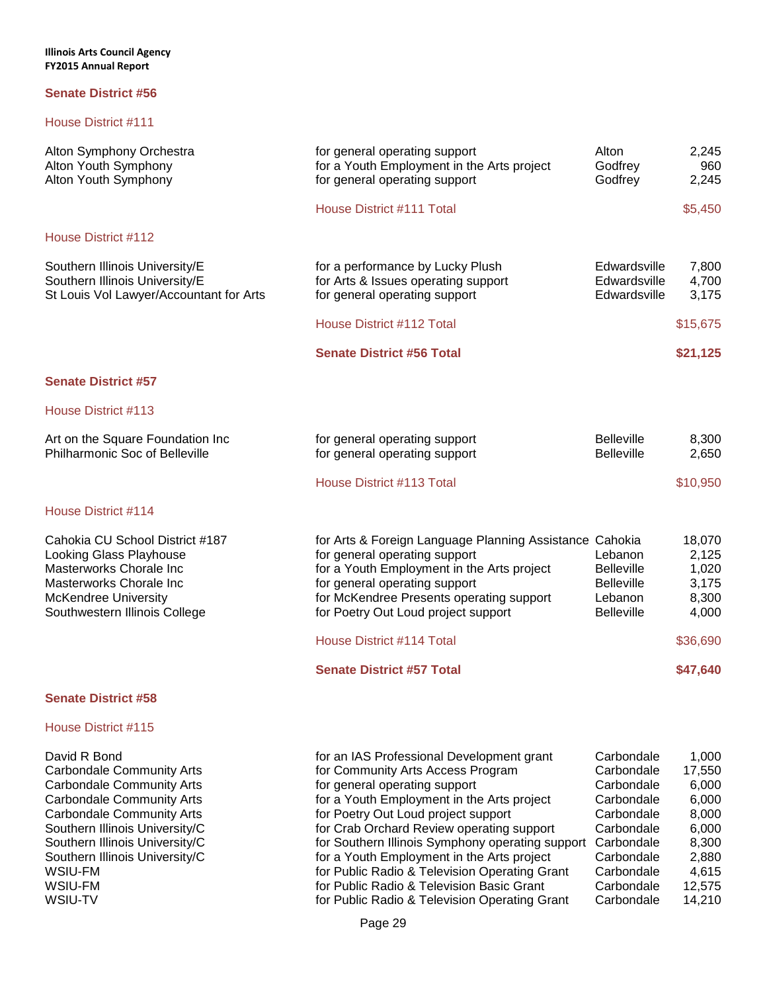### House District #111

| Alton Symphony Orchestra<br>Alton Youth Symphony<br>Alton Youth Symphony                                                                                                                       | for general operating support<br>for a Youth Employment in the Arts project<br>for general operating support                                                                                                                                               | Alton<br>Godfrey<br>Godfrey                                                       | 2,245<br>960<br>2,245                               |
|------------------------------------------------------------------------------------------------------------------------------------------------------------------------------------------------|------------------------------------------------------------------------------------------------------------------------------------------------------------------------------------------------------------------------------------------------------------|-----------------------------------------------------------------------------------|-----------------------------------------------------|
|                                                                                                                                                                                                | House District #111 Total                                                                                                                                                                                                                                  |                                                                                   | \$5,450                                             |
| House District #112                                                                                                                                                                            |                                                                                                                                                                                                                                                            |                                                                                   |                                                     |
| Southern Illinois University/E<br>Southern Illinois University/E<br>St Louis Vol Lawyer/Accountant for Arts                                                                                    | for a performance by Lucky Plush<br>for Arts & Issues operating support<br>for general operating support                                                                                                                                                   | Edwardsville<br>Edwardsville<br>Edwardsville                                      | 7,800<br>4,700<br>3,175                             |
|                                                                                                                                                                                                | House District #112 Total                                                                                                                                                                                                                                  |                                                                                   | \$15,675                                            |
|                                                                                                                                                                                                | <b>Senate District #56 Total</b>                                                                                                                                                                                                                           |                                                                                   | \$21,125                                            |
| <b>Senate District #57</b>                                                                                                                                                                     |                                                                                                                                                                                                                                                            |                                                                                   |                                                     |
| House District #113                                                                                                                                                                            |                                                                                                                                                                                                                                                            |                                                                                   |                                                     |
| Art on the Square Foundation Inc<br>Philharmonic Soc of Belleville                                                                                                                             | for general operating support<br>for general operating support                                                                                                                                                                                             | <b>Belleville</b><br><b>Belleville</b>                                            | 8,300<br>2,650                                      |
|                                                                                                                                                                                                | House District #113 Total                                                                                                                                                                                                                                  |                                                                                   | \$10,950                                            |
| House District #114                                                                                                                                                                            |                                                                                                                                                                                                                                                            |                                                                                   |                                                     |
| Cahokia CU School District #187<br>Looking Glass Playhouse<br>Masterworks Chorale Inc<br>Masterworks Chorale Inc<br><b>McKendree University</b><br>Southwestern Illinois College               | for Arts & Foreign Language Planning Assistance Cahokia<br>for general operating support<br>for a Youth Employment in the Arts project<br>for general operating support<br>for McKendree Presents operating support<br>for Poetry Out Loud project support | Lebanon<br><b>Belleville</b><br><b>Belleville</b><br>Lebanon<br><b>Belleville</b> | 18,070<br>2,125<br>1,020<br>3,175<br>8,300<br>4,000 |
|                                                                                                                                                                                                | House District #114 Total                                                                                                                                                                                                                                  |                                                                                   | \$36,690                                            |
|                                                                                                                                                                                                | <b>Senate District #57 Total</b>                                                                                                                                                                                                                           |                                                                                   | \$47,640                                            |
| <b>Senate District #58</b>                                                                                                                                                                     |                                                                                                                                                                                                                                                            |                                                                                   |                                                     |
| House District #115                                                                                                                                                                            |                                                                                                                                                                                                                                                            |                                                                                   |                                                     |
| David R Bond<br><b>Carbondale Community Arts</b><br><b>Carbondale Community Arts</b><br><b>Carbondale Community Arts</b><br><b>Carbondale Community Arts</b><br>Southern Illinois University/C | for an IAS Professional Development grant<br>for Community Arts Access Program<br>for general operating support<br>for a Youth Employment in the Arts project<br>for Poetry Out Loud project support<br>for Crab Orchard Review operating support          | Carbondale<br>Carbondale<br>Carbondale<br>Carbondale<br>Carbondale<br>Carbondale  | 1,000<br>17,550<br>6,000<br>6,000<br>8,000<br>6,000 |

Southern Illinois University/C **for Southern Illinois Symphony operating support Carbondale** 8,300 Southern Illinois University/C **for a Youth Employment in the Arts project** Carbondale 2,880<br>WSIU-FM **for Public Radio & Television Operating Grant** Carbondale 4,615 WSIU-FM **the Carbon of Carbon Carbon Carbon Carbon Carbon date** 12,575 WSIU-TV **For Public Radio & Television Operating Grant** Carbondale 14,210

for Public Radio & Television Operating Grant Carbondale 4,615